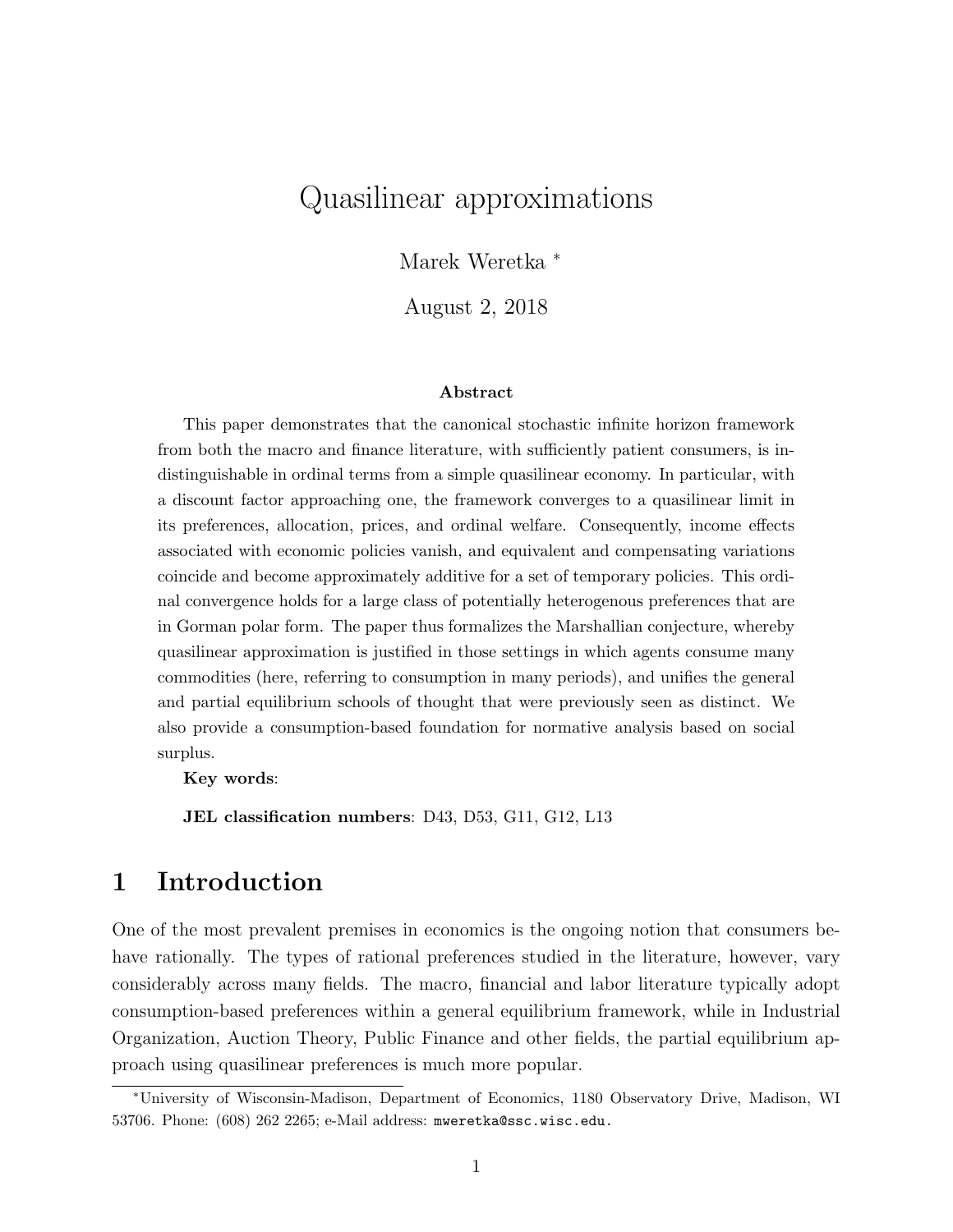# Quasilinear approximations

Marek Weretka <sup>∗</sup>

August 2, 2018

#### Abstract

This paper demonstrates that the canonical stochastic infinite horizon framework from both the macro and finance literature, with sufficiently patient consumers, is indistinguishable in ordinal terms from a simple quasilinear economy. In particular, with a discount factor approaching one, the framework converges to a quasilinear limit in its preferences, allocation, prices, and ordinal welfare. Consequently, income effects associated with economic policies vanish, and equivalent and compensating variations coincide and become approximately additive for a set of temporary policies. This ordinal convergence holds for a large class of potentially heterogenous preferences that are in Gorman polar form. The paper thus formalizes the Marshallian conjecture, whereby quasilinear approximation is justified in those settings in which agents consume many commodities (here, referring to consumption in many periods), and unifies the general and partial equilibrium schools of thought that were previously seen as distinct. We also provide a consumption-based foundation for normative analysis based on social surplus.

Key words:

JEL classification numbers: D43, D53, G11, G12, L13

# 1 Introduction

One of the most prevalent premises in economics is the ongoing notion that consumers behave rationally. The types of rational preferences studied in the literature, however, vary considerably across many fields. The macro, financial and labor literature typically adopt consumption-based preferences within a general equilibrium framework, while in Industrial Organization, Auction Theory, Public Finance and other fields, the partial equilibrium approach using quasilinear preferences is much more popular.

<sup>∗</sup>University of Wisconsin-Madison, Department of Economics, 1180 Observatory Drive, Madison, WI 53706. Phone: (608) 262 2265; e-Mail address: mweretka@ssc.wisc.edu.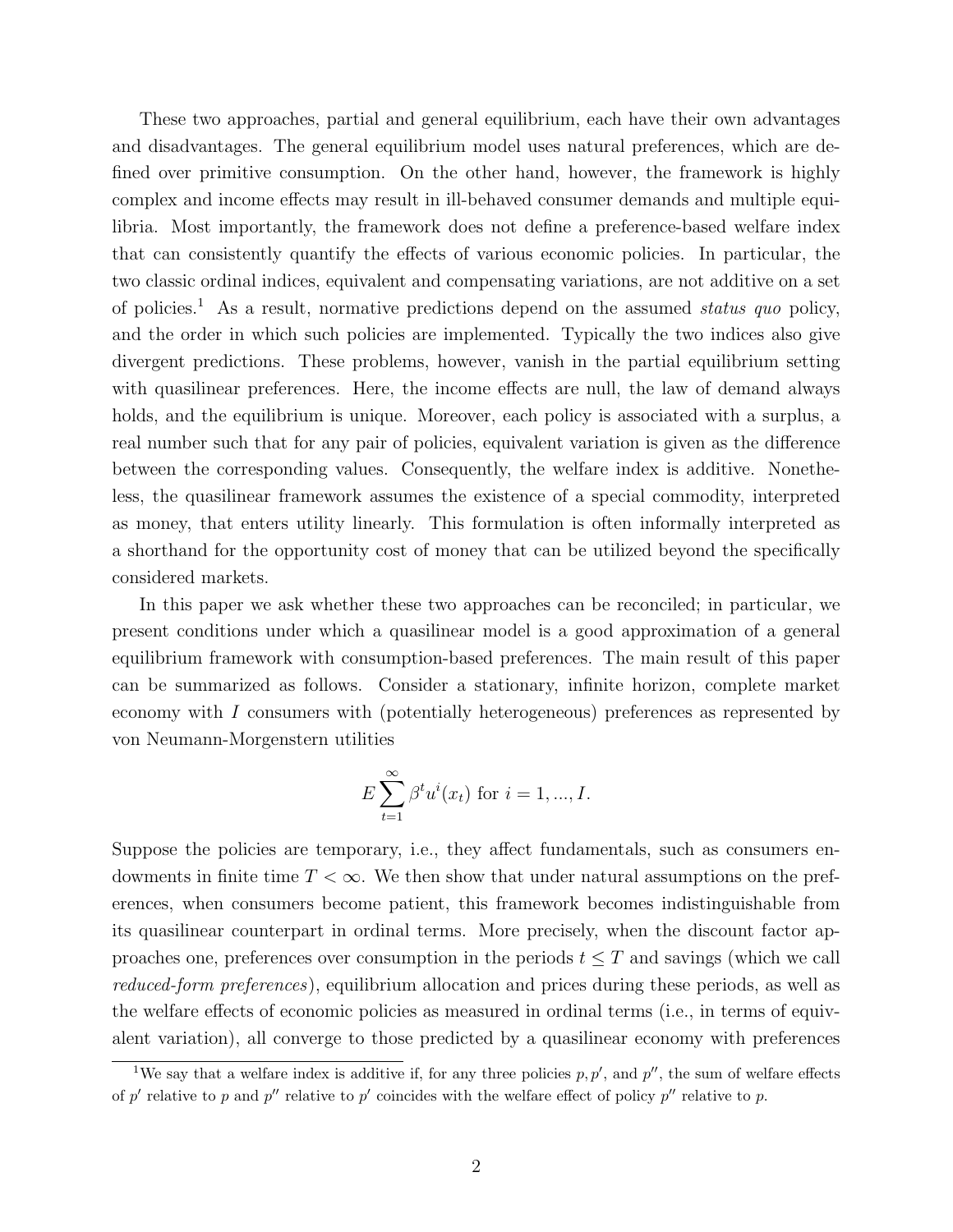These two approaches, partial and general equilibrium, each have their own advantages and disadvantages. The general equilibrium model uses natural preferences, which are defined over primitive consumption. On the other hand, however, the framework is highly complex and income effects may result in ill-behaved consumer demands and multiple equilibria. Most importantly, the framework does not define a preference-based welfare index that can consistently quantify the effects of various economic policies. In particular, the two classic ordinal indices, equivalent and compensating variations, are not additive on a set of policies.<sup>1</sup> As a result, normative predictions depend on the assumed *status quo* policy, and the order in which such policies are implemented. Typically the two indices also give divergent predictions. These problems, however, vanish in the partial equilibrium setting with quasilinear preferences. Here, the income effects are null, the law of demand always holds, and the equilibrium is unique. Moreover, each policy is associated with a surplus, a real number such that for any pair of policies, equivalent variation is given as the difference between the corresponding values. Consequently, the welfare index is additive. Nonetheless, the quasilinear framework assumes the existence of a special commodity, interpreted as money, that enters utility linearly. This formulation is often informally interpreted as a shorthand for the opportunity cost of money that can be utilized beyond the specifically considered markets.

In this paper we ask whether these two approaches can be reconciled; in particular, we present conditions under which a quasilinear model is a good approximation of a general equilibrium framework with consumption-based preferences. The main result of this paper can be summarized as follows. Consider a stationary, infinite horizon, complete market economy with I consumers with (potentially heterogeneous) preferences as represented by von Neumann-Morgenstern utilities

$$
E\sum_{t=1}^{\infty} \beta^t u^i(x_t) \text{ for } i = 1, ..., I.
$$

Suppose the policies are temporary, i.e., they affect fundamentals, such as consumers endowments in finite time  $T < \infty$ . We then show that under natural assumptions on the preferences, when consumers become patient, this framework becomes indistinguishable from its quasilinear counterpart in ordinal terms. More precisely, when the discount factor approaches one, preferences over consumption in the periods  $t \leq T$  and savings (which we call reduced-form preferences), equilibrium allocation and prices during these periods, as well as the welfare effects of economic policies as measured in ordinal terms (i.e., in terms of equivalent variation), all converge to those predicted by a quasilinear economy with preferences

<sup>&</sup>lt;sup>1</sup>We say that a welfare index is additive if, for any three policies  $p, p'$ , and  $p''$ , the sum of welfare effects of p' relative to p and p'' relative to p' coincides with the welfare effect of policy p'' relative to p.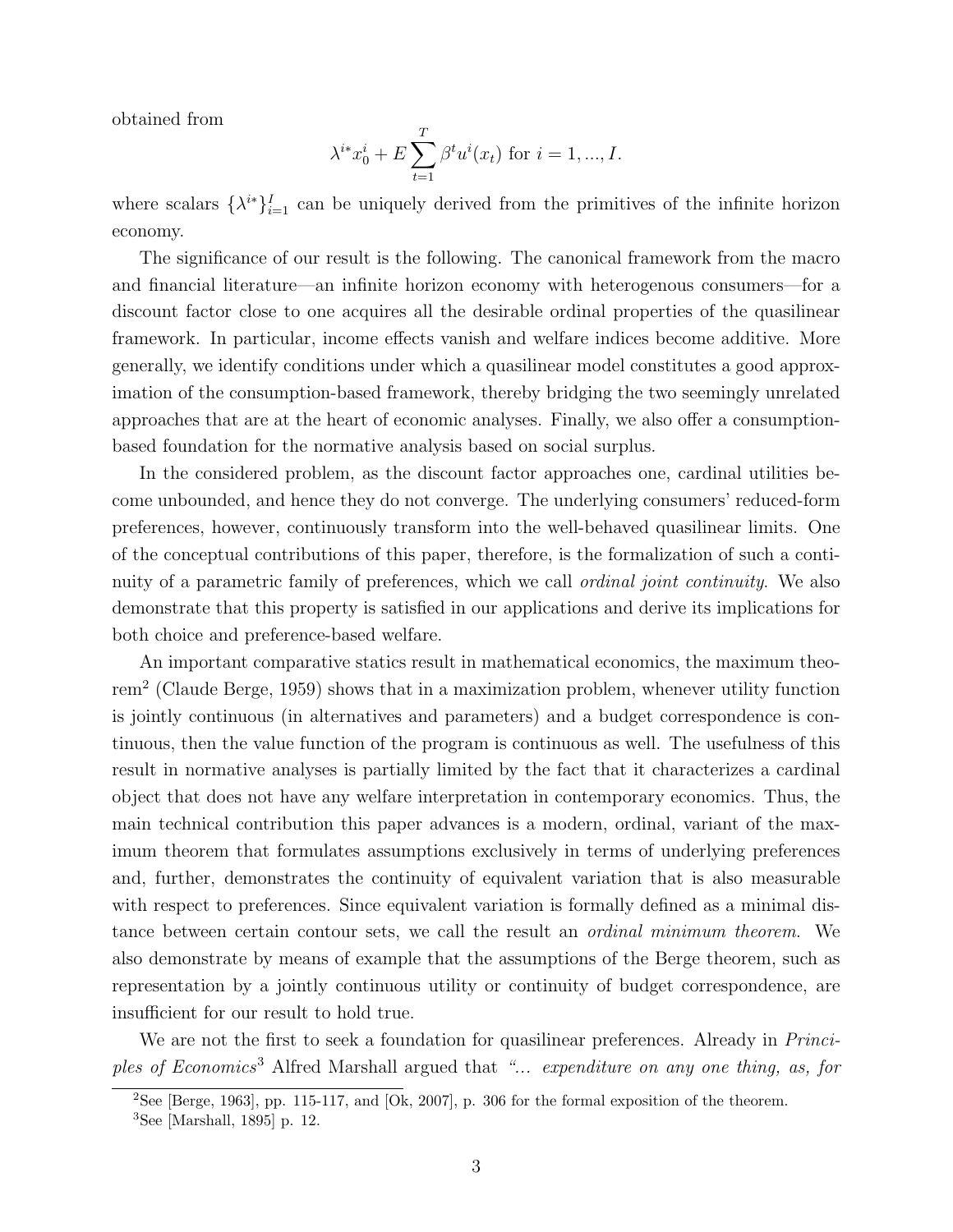obtained from

$$
\lambda^{i*} x_0^i + E \sum_{t=1}^T \beta^t u^i(x_t) \text{ for } i = 1, ..., I.
$$

where scalars  $\{\lambda^{i*}\}_{i=1}^I$  can be uniquely derived from the primitives of the infinite horizon economy.

The significance of our result is the following. The canonical framework from the macro and financial literature—an infinite horizon economy with heterogenous consumers—for a discount factor close to one acquires all the desirable ordinal properties of the quasilinear framework. In particular, income effects vanish and welfare indices become additive. More generally, we identify conditions under which a quasilinear model constitutes a good approximation of the consumption-based framework, thereby bridging the two seemingly unrelated approaches that are at the heart of economic analyses. Finally, we also offer a consumptionbased foundation for the normative analysis based on social surplus.

In the considered problem, as the discount factor approaches one, cardinal utilities become unbounded, and hence they do not converge. The underlying consumers' reduced-form preferences, however, continuously transform into the well-behaved quasilinear limits. One of the conceptual contributions of this paper, therefore, is the formalization of such a continuity of a parametric family of preferences, which we call *ordinal joint continuity*. We also demonstrate that this property is satisfied in our applications and derive its implications for both choice and preference-based welfare.

An important comparative statics result in mathematical economics, the maximum theorem<sup>2</sup> (Claude Berge, 1959) shows that in a maximization problem, whenever utility function is jointly continuous (in alternatives and parameters) and a budget correspondence is continuous, then the value function of the program is continuous as well. The usefulness of this result in normative analyses is partially limited by the fact that it characterizes a cardinal object that does not have any welfare interpretation in contemporary economics. Thus, the main technical contribution this paper advances is a modern, ordinal, variant of the maximum theorem that formulates assumptions exclusively in terms of underlying preferences and, further, demonstrates the continuity of equivalent variation that is also measurable with respect to preferences. Since equivalent variation is formally defined as a minimal distance between certain contour sets, we call the result an ordinal minimum theorem. We also demonstrate by means of example that the assumptions of the Berge theorem, such as representation by a jointly continuous utility or continuity of budget correspondence, are insufficient for our result to hold true.

We are not the first to seek a foundation for quasilinear preferences. Already in *Princi*ples of Economics<sup>3</sup> Alfred Marshall argued that "... expenditure on any one thing, as, for

<sup>&</sup>lt;sup>2</sup>See [Berge, 1963], pp. 115-117, and  $[Ok, 2007]$ , p. 306 for the formal exposition of the theorem.

 ${}^{3}$ See [Marshall, 1895] p. 12.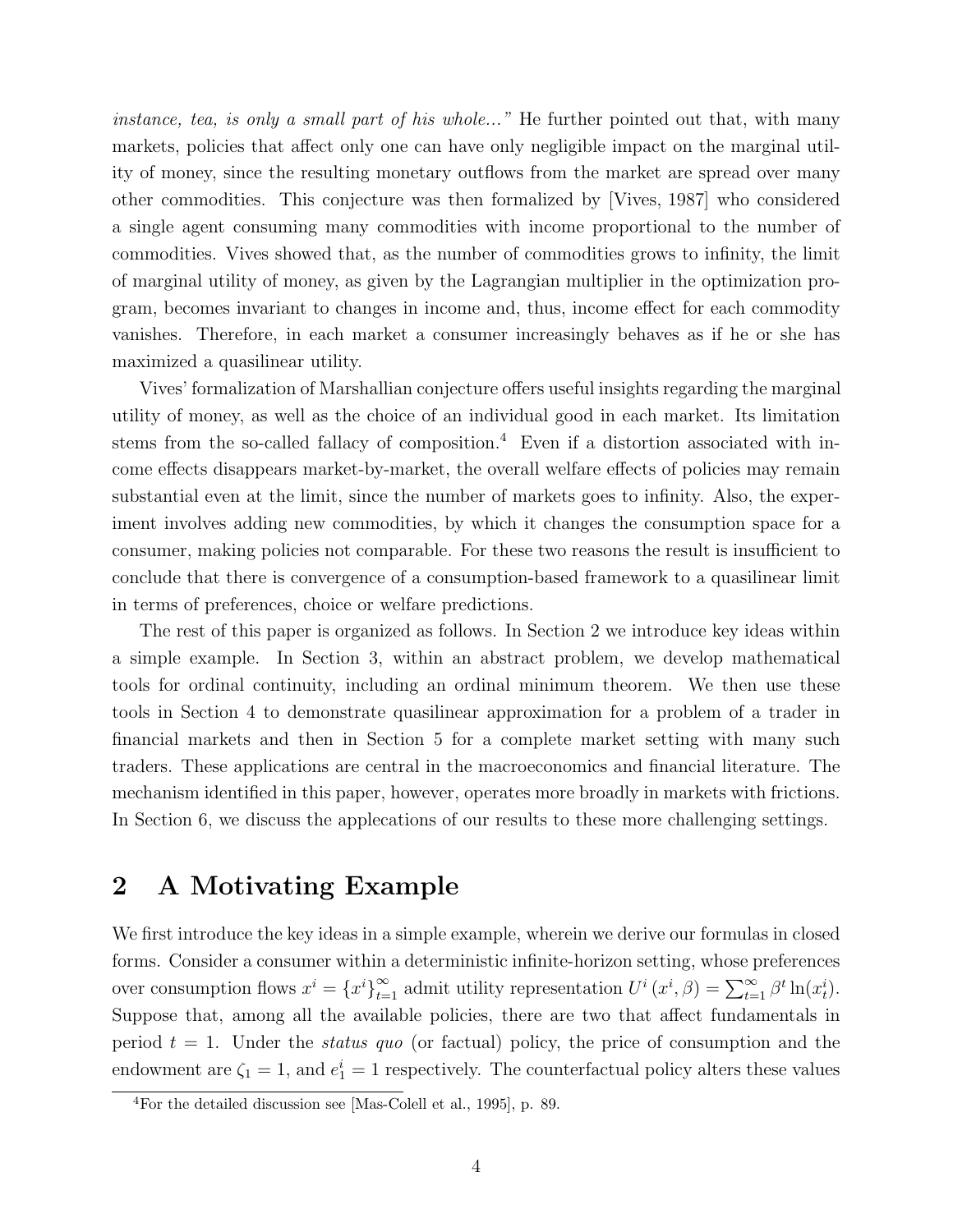instance, tea, is only a small part of his whole..." He further pointed out that, with many markets, policies that affect only one can have only negligible impact on the marginal utility of money, since the resulting monetary outflows from the market are spread over many other commodities. This conjecture was then formalized by [Vives, 1987] who considered a single agent consuming many commodities with income proportional to the number of commodities. Vives showed that, as the number of commodities grows to infinity, the limit of marginal utility of money, as given by the Lagrangian multiplier in the optimization program, becomes invariant to changes in income and, thus, income effect for each commodity vanishes. Therefore, in each market a consumer increasingly behaves as if he or she has maximized a quasilinear utility.

Vives' formalization of Marshallian conjecture offers useful insights regarding the marginal utility of money, as well as the choice of an individual good in each market. Its limitation stems from the so-called fallacy of composition.<sup>4</sup> Even if a distortion associated with income effects disappears market-by-market, the overall welfare effects of policies may remain substantial even at the limit, since the number of markets goes to infinity. Also, the experiment involves adding new commodities, by which it changes the consumption space for a consumer, making policies not comparable. For these two reasons the result is insufficient to conclude that there is convergence of a consumption-based framework to a quasilinear limit in terms of preferences, choice or welfare predictions.

The rest of this paper is organized as follows. In Section 2 we introduce key ideas within a simple example. In Section 3, within an abstract problem, we develop mathematical tools for ordinal continuity, including an ordinal minimum theorem. We then use these tools in Section 4 to demonstrate quasilinear approximation for a problem of a trader in financial markets and then in Section 5 for a complete market setting with many such traders. These applications are central in the macroeconomics and financial literature. The mechanism identified in this paper, however, operates more broadly in markets with frictions. In Section 6, we discuss the applecations of our results to these more challenging settings.

# 2 A Motivating Example

We first introduce the key ideas in a simple example, wherein we derive our formulas in closed forms. Consider a consumer within a deterministic infinite-horizon setting, whose preferences over consumption flows  $x^i = \{x^i\}_{i=1}^{\infty}$  admit utility representation  $U^i(x^i, \beta) = \sum_{t=1}^{\infty} \beta^t \ln(x_t^i)$ . Suppose that, among all the available policies, there are two that affect fundamentals in period  $t = 1$ . Under the *status quo* (or factual) policy, the price of consumption and the endowment are  $\zeta_1 = 1$ , and  $e_1^i = 1$  respectively. The counterfactual policy alters these values

<sup>4</sup>For the detailed discussion see [Mas-Colell et al., 1995], p. 89.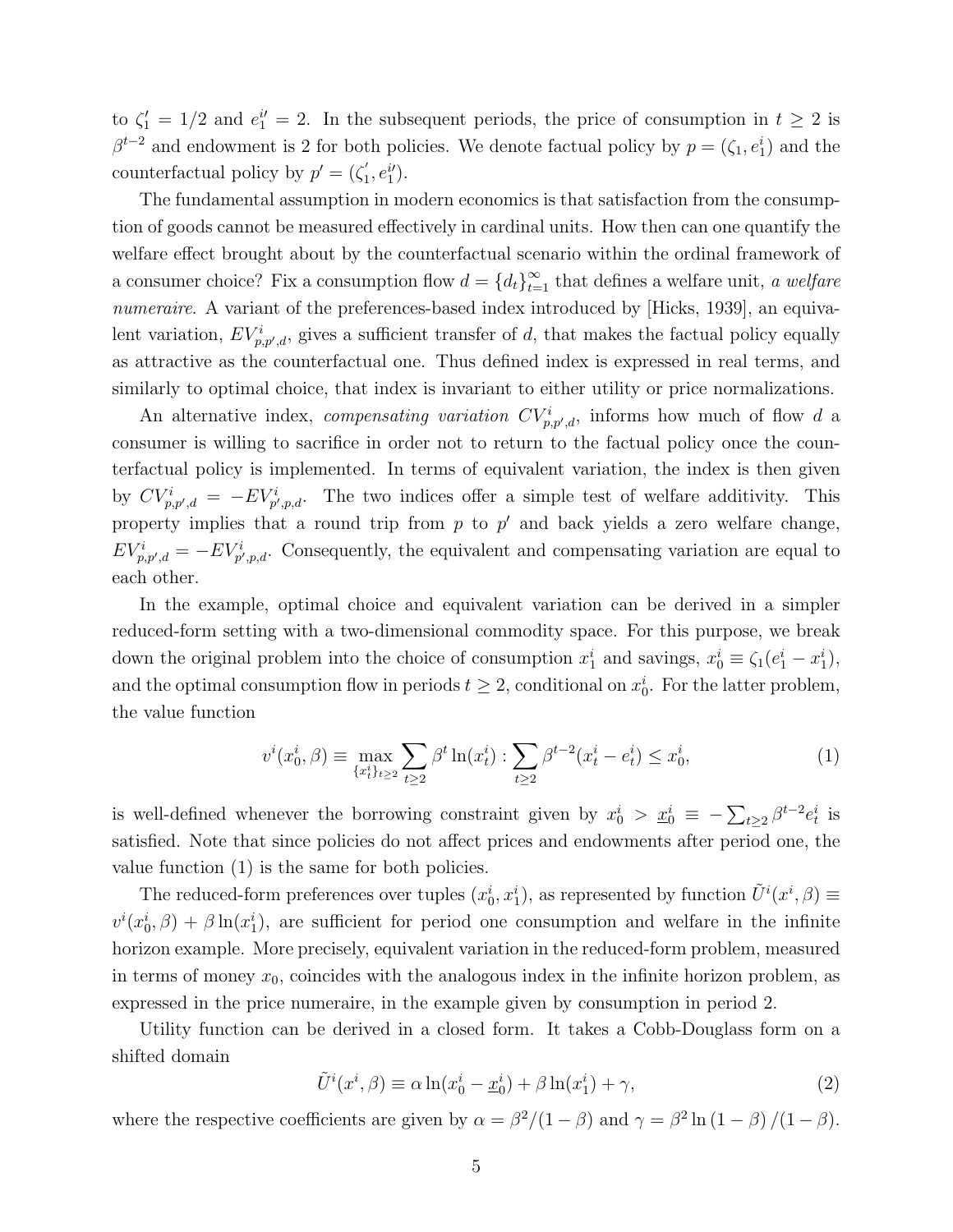to  $\zeta_1' = 1/2$  and  $e_1^{i'} = 2$ . In the subsequent periods, the price of consumption in  $t \geq 2$  is  $\beta^{t-2}$  and endowment is 2 for both policies. We denote factual policy by  $p = (\zeta_1, e_1^i)$  and the counterfactual policy by  $p' = (\zeta_1')$  $_1',e_1^{i'}).$ 

The fundamental assumption in modern economics is that satisfaction from the consumption of goods cannot be measured effectively in cardinal units. How then can one quantify the welfare effect brought about by the counterfactual scenario within the ordinal framework of a consumer choice? Fix a consumption flow  $d = \{d_t\}_{t=1}^{\infty}$  that defines a welfare unit, a welfare numeraire. A variant of the preferences-based index introduced by [Hicks, 1939], an equivalent variation,  $EV_{p,p',d}^i$ , gives a sufficient transfer of d, that makes the factual policy equally as attractive as the counterfactual one. Thus defined index is expressed in real terms, and similarly to optimal choice, that index is invariant to either utility or price normalizations.

An alternative index, *compensating variation*  $CV_{p,p',d}^i$ , informs how much of flow d a consumer is willing to sacrifice in order not to return to the factual policy once the counterfactual policy is implemented. In terms of equivalent variation, the index is then given by  $CV_{p,p',d}^i = -EV_{p',p,d}^i$ . The two indices offer a simple test of welfare additivity. This property implies that a round trip from  $p$  to  $p'$  and back yields a zero welfare change,  $EV_{p,p',d}^{i} = -EV_{p',p,d}^{i}$ . Consequently, the equivalent and compensating variation are equal to each other.

In the example, optimal choice and equivalent variation can be derived in a simpler reduced-form setting with a two-dimensional commodity space. For this purpose, we break down the original problem into the choice of consumption  $x_1^i$  and savings,  $x_0^i \equiv \zeta_1(e_1^i - x_1^i)$ , and the optimal consumption flow in periods  $t \geq 2$ , conditional on  $x_0^i$ . For the latter problem, the value function

$$
v^{i}(x_{0}^{i}, \beta) \equiv \max_{\{x_{t}^{i}\}_{t\geq 2}} \sum_{t\geq 2} \beta^{t} \ln(x_{t}^{i}) : \sum_{t\geq 2} \beta^{t-2}(x_{t}^{i} - e_{t}^{i}) \leq x_{0}^{i}, \tag{1}
$$

is well-defined whenever the borrowing constraint given by  $x_0^i > \underline{x}_0^i \equiv -\sum_{t\geq 2} \beta^{t-2} e_t^i$  is satisfied. Note that since policies do not affect prices and endowments after period one, the value function (1) is the same for both policies.

The reduced-form preferences over tuples  $(x_0^i, x_1^i)$ , as represented by function  $\tilde{U}^i(x^i, \beta) \equiv$  $v^{i}(x_0^i, \beta) + \beta \ln(x_1^i)$ , are sufficient for period one consumption and welfare in the infinite horizon example. More precisely, equivalent variation in the reduced-form problem, measured in terms of money  $x_0$ , coincides with the analogous index in the infinite horizon problem, as expressed in the price numeraire, in the example given by consumption in period 2.

Utility function can be derived in a closed form. It takes a Cobb-Douglass form on a shifted domain

$$
\tilde{U}^i(x^i, \beta) \equiv \alpha \ln(x_0^i - \underline{x}_0^i) + \beta \ln(x_1^i) + \gamma,\tag{2}
$$

where the respective coefficients are given by  $\alpha = \beta^2/(1-\beta)$  and  $\gamma = \beta^2 \ln(1-\beta)/(1-\beta)$ .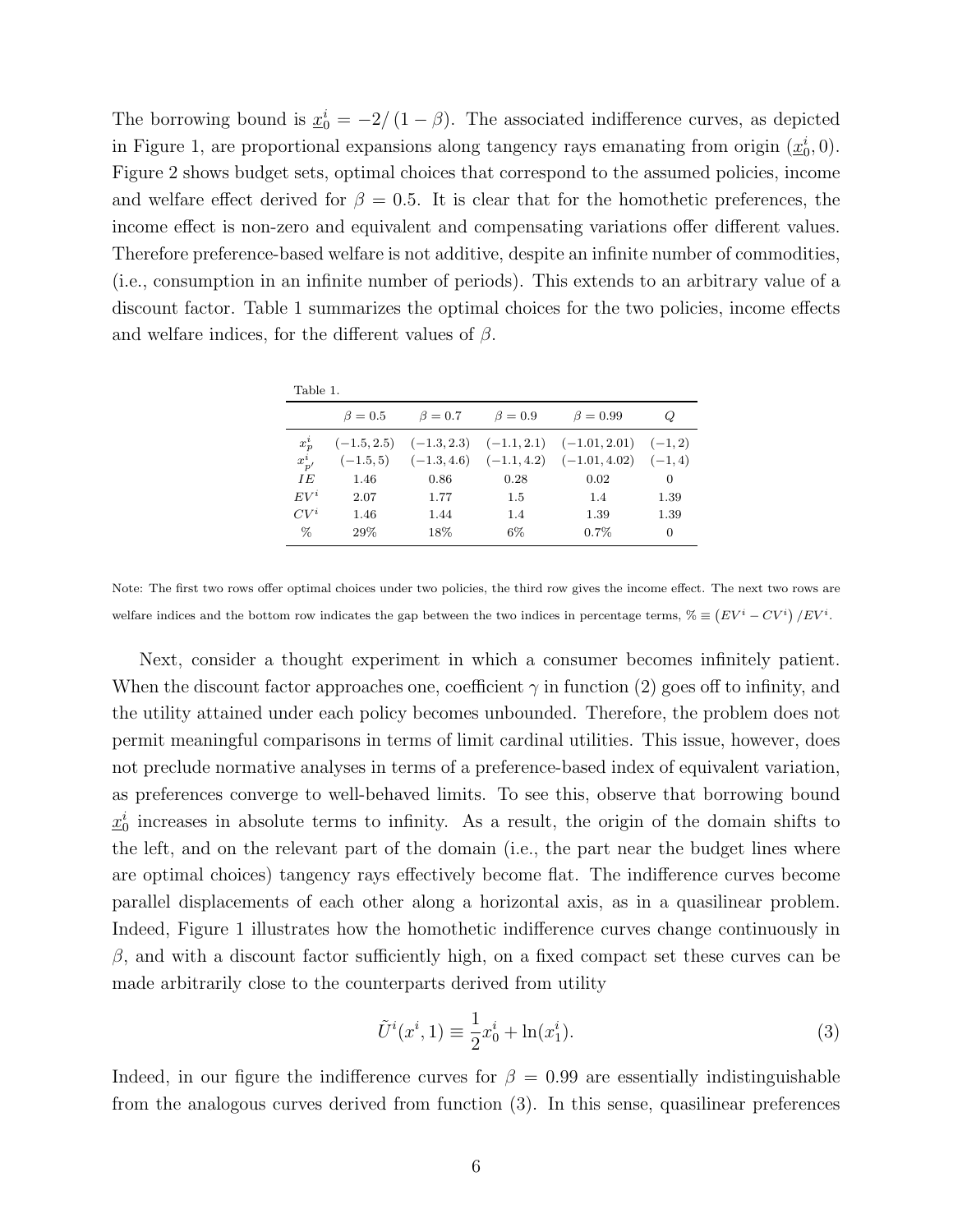The borrowing bound is  $\underline{x}_0^i = -2/(1-\beta)$ . The associated indifference curves, as depicted in Figure 1, are proportional expansions along tangency rays emanating from origin  $(\underline{x}_0^i, 0)$ . Figure 2 shows budget sets, optimal choices that correspond to the assumed policies, income and welfare effect derived for  $\beta = 0.5$ . It is clear that for the homothetic preferences, the income effect is non-zero and equivalent and compensating variations offer different values. Therefore preference-based welfare is not additive, despite an infinite number of commodities, (i.e., consumption in an infinite number of periods). This extends to an arbitrary value of a discount factor. Table 1 summarizes the optimal choices for the two policies, income effects and welfare indices, for the different values of  $\beta$ .

| 1 M H<br>×<br>۰.<br>. .<br>o esta<br>٠ |
|----------------------------------------|
|----------------------------------------|

|            | $\beta = 0.5$ | $\beta=0.7$ | $\beta = 0.9$ | $\beta = 0.99$                                                      | Q        |
|------------|---------------|-------------|---------------|---------------------------------------------------------------------|----------|
| $x_p^i$    |               |             |               | $(-1.5, 2.5)$ $(-1.3, 2.3)$ $(-1.1, 2.1)$ $(-1.01, 2.01)$ $(-1, 2)$ |          |
| $x_{p'}^i$ |               |             |               | $(-1.5,5)$ $(-1.3,4.6)$ $(-1.1,4.2)$ $(-1.01,4.02)$ $(-1,4)$        |          |
| IE         | 1.46          | 0.86        | 0.28          | 0.02                                                                | $\theta$ |
| $EV^i$     | 2.07          | 1.77        | 1.5           | 1.4                                                                 | 1.39     |
| $CV^i$     | 1.46          | 1.44        | 1.4           | 1.39                                                                | 1.39     |
| $\%$       | 29%           | 18%         | $6\%$         | $0.7\%$                                                             | 0        |

Note: The first two rows offer optimal choices under two policies, the third row gives the income effect. The next two rows are welfare indices and the bottom row indicates the gap between the two indices in percentage terms,  $\mathcal{C} \equiv (EV^i - CV^i)/EV^i$ .

Next, consider a thought experiment in which a consumer becomes infinitely patient. When the discount factor approaches one, coefficient  $\gamma$  in function (2) goes off to infinity, and the utility attained under each policy becomes unbounded. Therefore, the problem does not permit meaningful comparisons in terms of limit cardinal utilities. This issue, however, does not preclude normative analyses in terms of a preference-based index of equivalent variation, as preferences converge to well-behaved limits. To see this, observe that borrowing bound  $\underline{x}_0^i$  increases in absolute terms to infinity. As a result, the origin of the domain shifts to the left, and on the relevant part of the domain (i.e., the part near the budget lines where are optimal choices) tangency rays effectively become flat. The indifference curves become parallel displacements of each other along a horizontal axis, as in a quasilinear problem. Indeed, Figure 1 illustrates how the homothetic indifference curves change continuously in  $\beta$ , and with a discount factor sufficiently high, on a fixed compact set these curves can be made arbitrarily close to the counterparts derived from utility

$$
\tilde{U}^{i}(x^{i}, 1) \equiv \frac{1}{2}x_{0}^{i} + \ln(x_{1}^{i}).
$$
\n(3)

Indeed, in our figure the indifference curves for  $\beta = 0.99$  are essentially indistinguishable from the analogous curves derived from function (3). In this sense, quasilinear preferences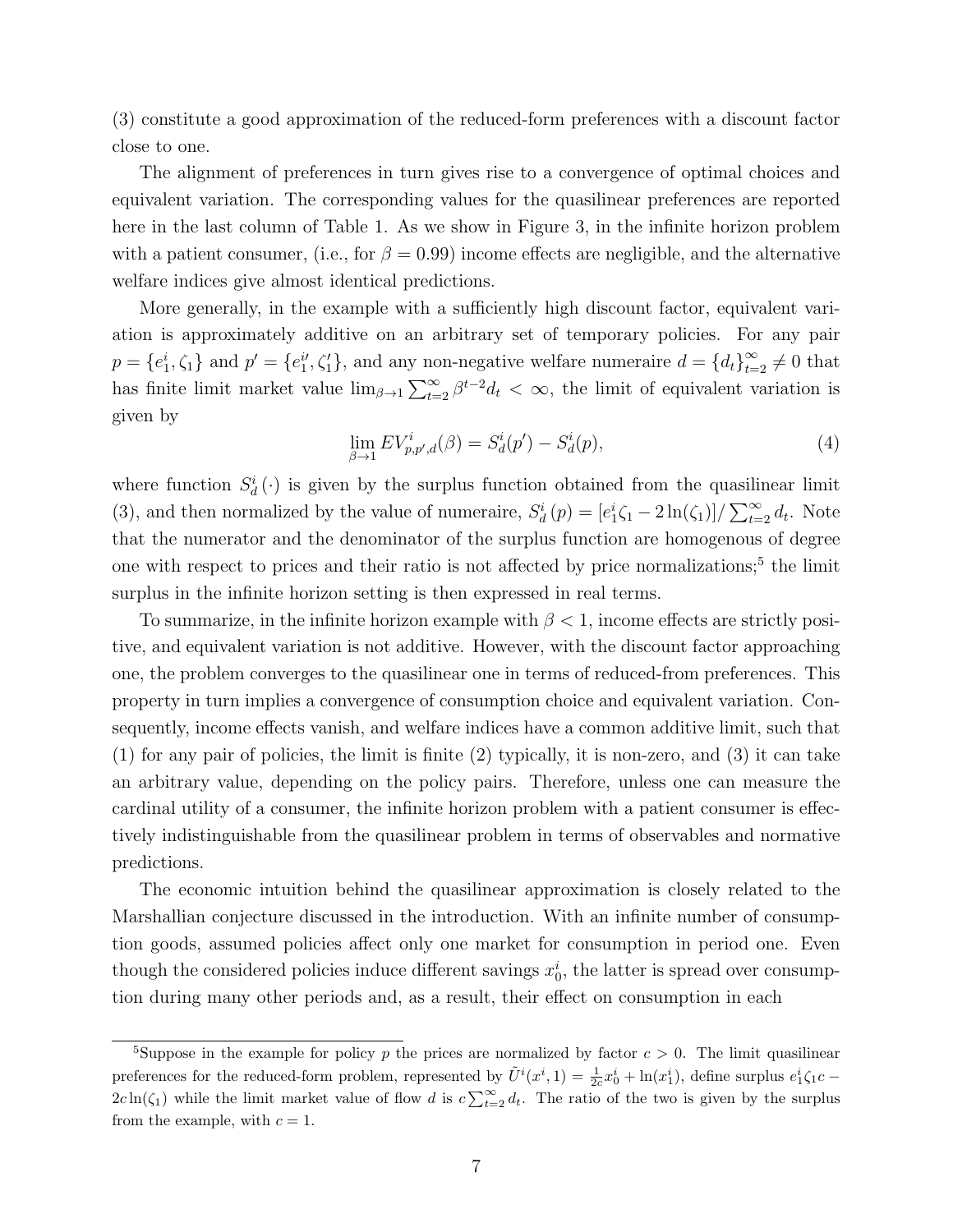(3) constitute a good approximation of the reduced-form preferences with a discount factor close to one.

The alignment of preferences in turn gives rise to a convergence of optimal choices and equivalent variation. The corresponding values for the quasilinear preferences are reported here in the last column of Table 1. As we show in Figure 3, in the infinite horizon problem with a patient consumer, (i.e., for  $\beta = 0.99$ ) income effects are negligible, and the alternative welfare indices give almost identical predictions.

More generally, in the example with a sufficiently high discount factor, equivalent variation is approximately additive on an arbitrary set of temporary policies. For any pair  $p = \{e_1^i, \zeta_1\}$  and  $p' = \{e_1^{i'}, \zeta_1'\}$ , and any non-negative welfare numeraire  $d = \{d_t\}_{t=2}^{\infty} \neq 0$  that has finite limit market value  $\lim_{\beta\to 1}\sum_{t=2}^{\infty}\beta^{t-2}d_t < \infty$ , the limit of equivalent variation is given by

$$
\lim_{\beta \to 1} EV_{p,p',d}^i(\beta) = S_d^i(p') - S_d^i(p),\tag{4}
$$

where function  $S_d^i(\cdot)$  is given by the surplus function obtained from the quasilinear limit (3), and then normalized by the value of numeraire,  $S_d^i(p) = \frac{e_1^i \zeta_1 - 2 \ln(\zeta_1)}{\sum_{t=2}^\infty d_t}$ . Note that the numerator and the denominator of the surplus function are homogenous of degree one with respect to prices and their ratio is not affected by price normalizations;<sup>5</sup> the limit surplus in the infinite horizon setting is then expressed in real terms.

To summarize, in the infinite horizon example with  $\beta < 1$ , income effects are strictly positive, and equivalent variation is not additive. However, with the discount factor approaching one, the problem converges to the quasilinear one in terms of reduced-from preferences. This property in turn implies a convergence of consumption choice and equivalent variation. Consequently, income effects vanish, and welfare indices have a common additive limit, such that (1) for any pair of policies, the limit is finite (2) typically, it is non-zero, and (3) it can take an arbitrary value, depending on the policy pairs. Therefore, unless one can measure the cardinal utility of a consumer, the infinite horizon problem with a patient consumer is effectively indistinguishable from the quasilinear problem in terms of observables and normative predictions.

The economic intuition behind the quasilinear approximation is closely related to the Marshallian conjecture discussed in the introduction. With an infinite number of consumption goods, assumed policies affect only one market for consumption in period one. Even though the considered policies induce different savings  $x_0^i$ , the latter is spread over consumption during many other periods and, as a result, their effect on consumption in each

<sup>&</sup>lt;sup>5</sup>Suppose in the example for policy p the prices are normalized by factor  $c > 0$ . The limit quasilinear preferences for the reduced-form problem, represented by  $\tilde{U}^i(x^i,1) = \frac{1}{2c}x_0^i + \ln(x_1^i)$ , define surplus  $e_1^i \zeta_1 c$  $2c\ln(\zeta_1)$  while the limit market value of flow d is  $c\sum_{t=2}^{\infty}d_t$ . The ratio of the two is given by the surplus from the example, with  $c = 1$ .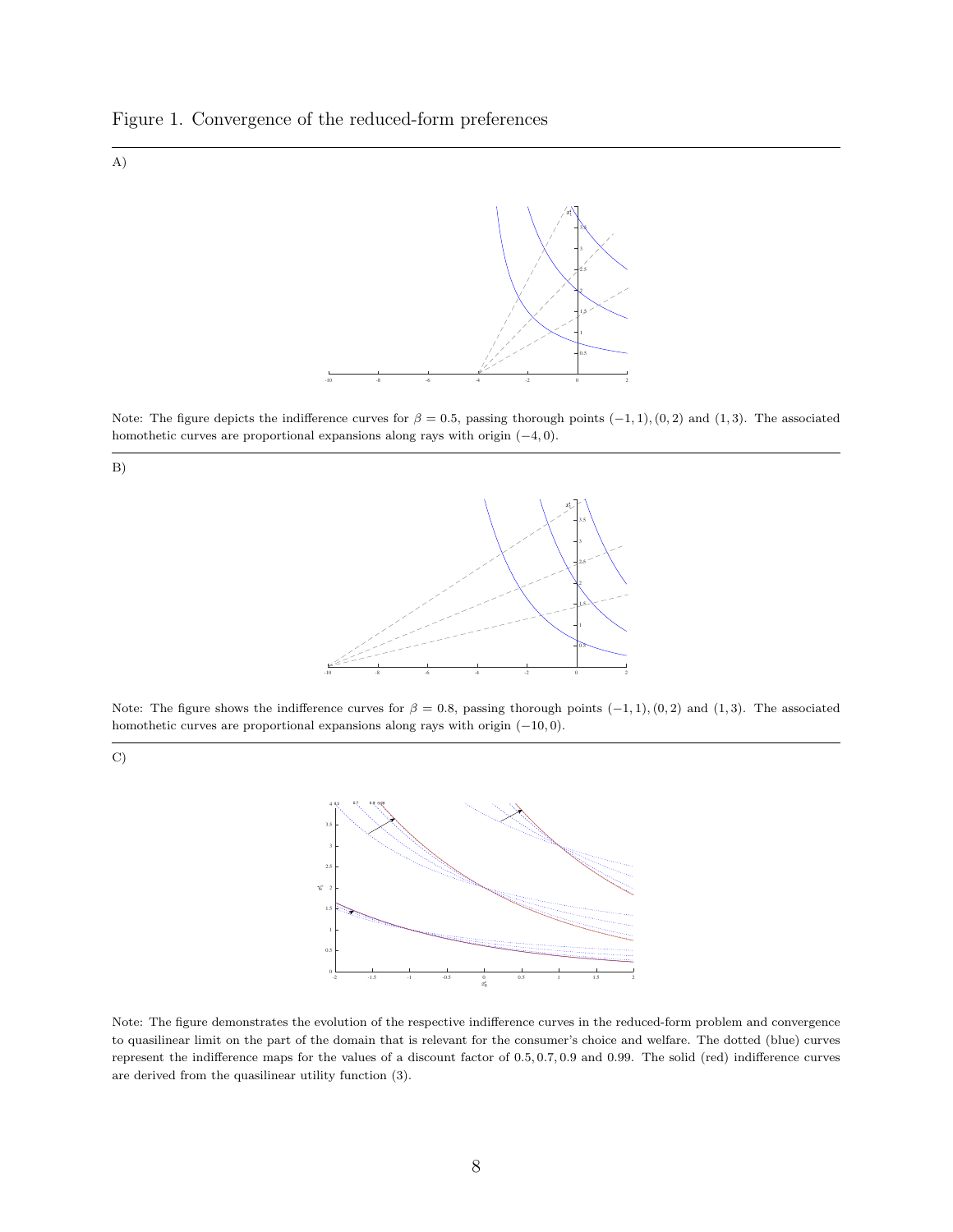



Note: The figure depicts the indifference curves for  $\beta = 0.5$ , passing thorough points  $(-1, 1)$ ,  $(0, 2)$  and  $(1, 3)$ . The associated homothetic curves are proportional expansions along rays with origin (−4, 0).



C)



Note: The figure shows the indifference curves for  $\beta = 0.8$ , passing thorough points  $(-1, 1)$ ,  $(0, 2)$  and  $(1, 3)$ . The associated homothetic curves are proportional expansions along rays with origin (−10, 0).



Note: The figure demonstrates the evolution of the respective indifference curves in the reduced-form problem and convergence to quasilinear limit on the part of the domain that is relevant for the consumer's choice and welfare. The dotted (blue) curves represent the indifference maps for the values of a discount factor of 0.5, 0.7, 0.9 and 0.99. The solid (red) indifference curves are derived from the quasilinear utility function (3).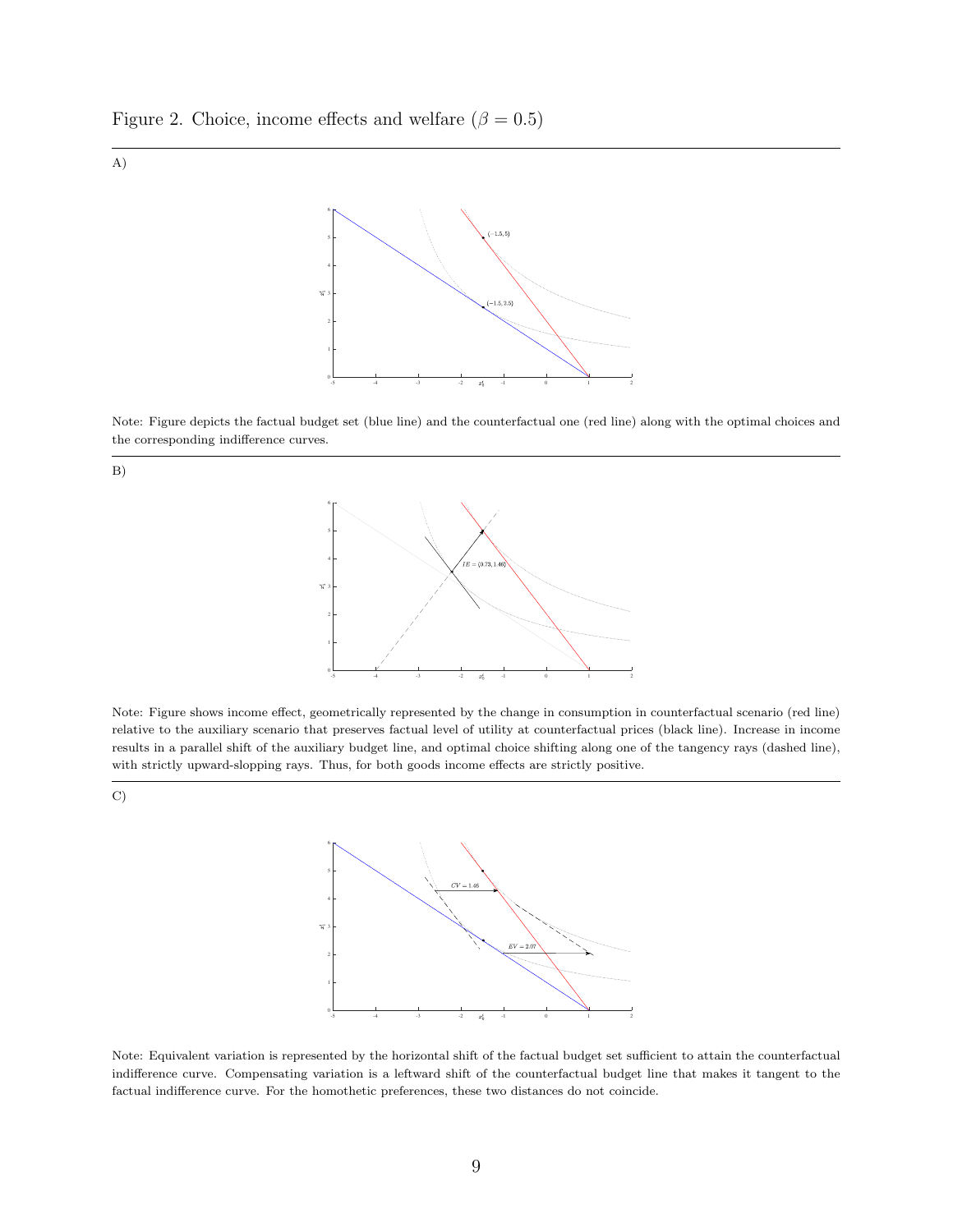Figure 2. Choice, income effects and welfare ( $\beta = 0.5$ )





Note: Figure depicts the factual budget set (blue line) and the counterfactual one (red line) along with the optimal choices and the corresponding indifference curves.





Note: Figure shows income effect, geometrically represented by the change in consumption in counterfactual scenario (red line) relative to the auxiliary scenario that preserves factual level of utility at counterfactual prices (black line). Increase in income results in a parallel shift of the auxiliary budget line, and optimal choice shifting along one of the tangency rays (dashed line), with strictly upward-slopping rays. Thus, for both goods income effects are strictly positive.





Note: Equivalent variation is represented by the horizontal shift of the factual budget set sufficient to attain the counterfactual indifference curve. Compensating variation is a leftward shift of the counterfactual budget line that makes it tangent to the factual indifference curve. For the homothetic preferences, these two distances do not coincide.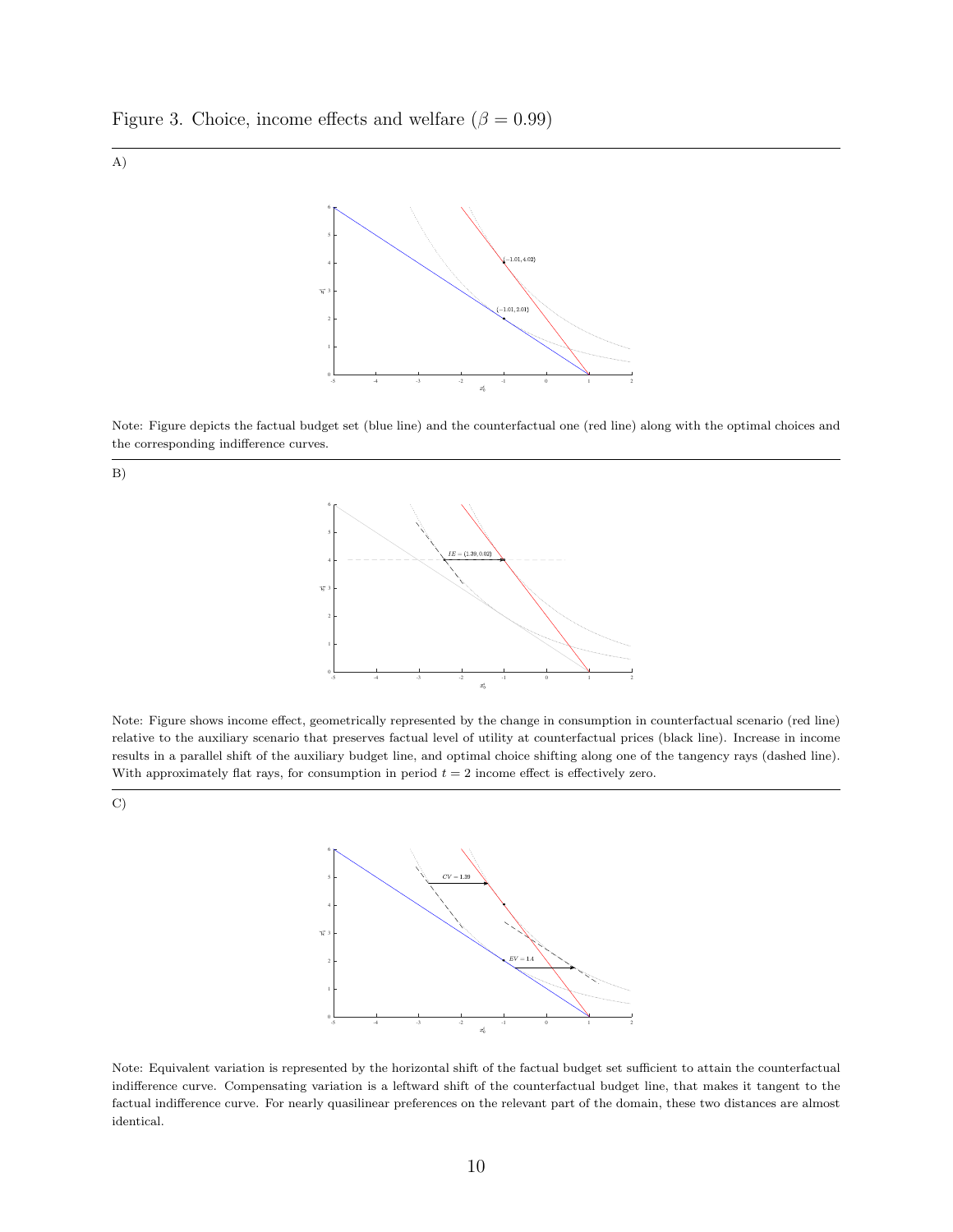Figure 3. Choice, income effects and welfare ( $\beta = 0.99$ )





Note: Figure depicts the factual budget set (blue line) and the counterfactual one (red line) along with the optimal choices and the corresponding indifference curves.





Note: Figure shows income effect, geometrically represented by the change in consumption in counterfactual scenario (red line) relative to the auxiliary scenario that preserves factual level of utility at counterfactual prices (black line). Increase in income results in a parallel shift of the auxiliary budget line, and optimal choice shifting along one of the tangency rays (dashed line). With approximately flat rays, for consumption in period  $t = 2$  income effect is effectively zero.

C)



Note: Equivalent variation is represented by the horizontal shift of the factual budget set sufficient to attain the counterfactual indifference curve. Compensating variation is a leftward shift of the counterfactual budget line, that makes it tangent to the factual indifference curve. For nearly quasilinear preferences on the relevant part of the domain, these two distances are almost identical.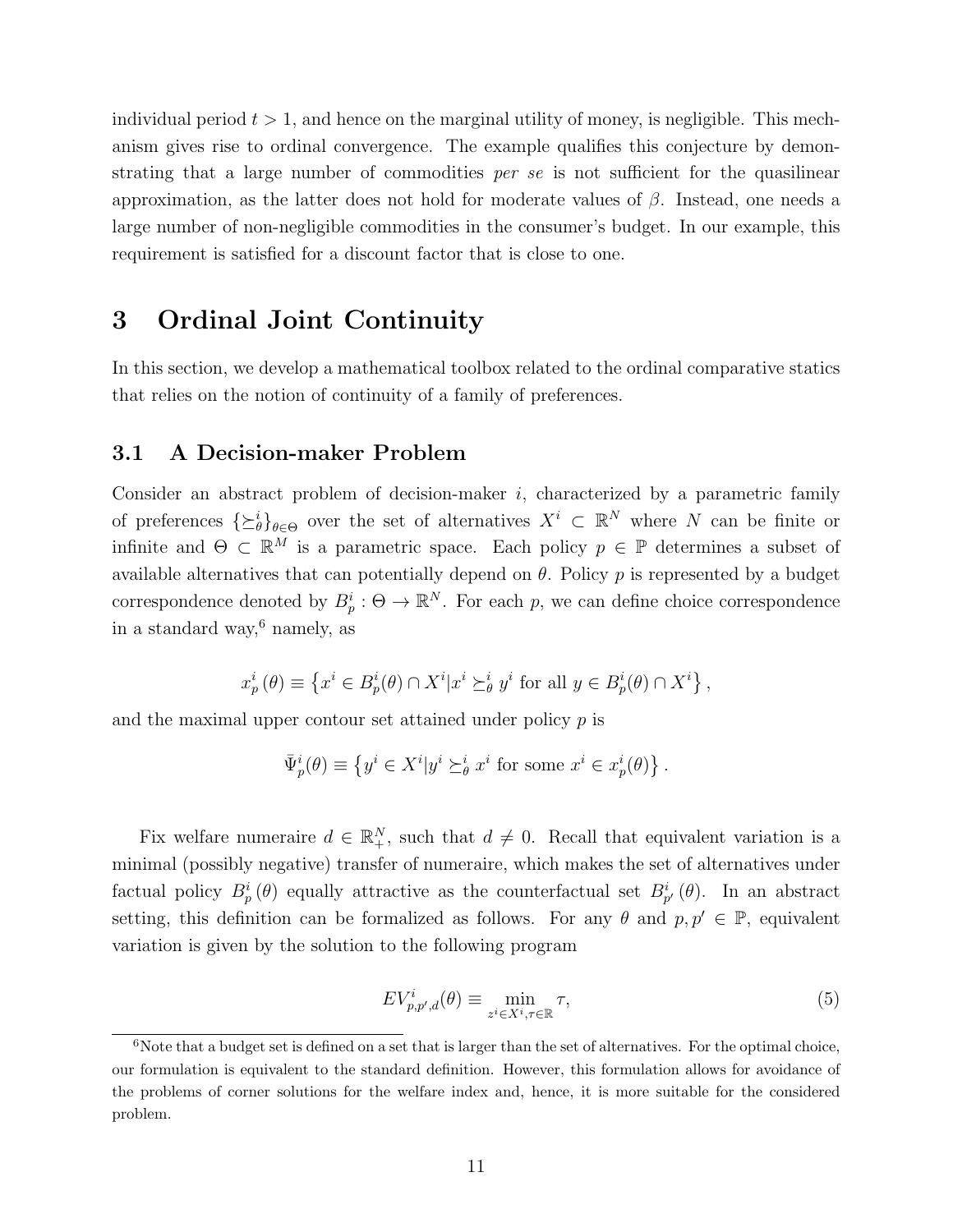individual period  $t > 1$ , and hence on the marginal utility of money, is negligible. This mechanism gives rise to ordinal convergence. The example qualifies this conjecture by demonstrating that a large number of commodities *per se* is not sufficient for the quasilinear approximation, as the latter does not hold for moderate values of β. Instead, one needs a large number of non-negligible commodities in the consumer's budget. In our example, this requirement is satisfied for a discount factor that is close to one.

# 3 Ordinal Joint Continuity

In this section, we develop a mathematical toolbox related to the ordinal comparative statics that relies on the notion of continuity of a family of preferences.

## 3.1 A Decision-maker Problem

Consider an abstract problem of decision-maker  $i$ , characterized by a parametric family of preferences  $\{\succeq^i_\theta\}_{\theta \in \Theta}$  over the set of alternatives  $X^i \subset \mathbb{R}^N$  where N can be finite or infinite and  $\Theta \subset \mathbb{R}^M$  is a parametric space. Each policy  $p \in \mathbb{P}$  determines a subset of available alternatives that can potentially depend on  $\theta$ . Policy p is represented by a budget correspondence denoted by  $B_p^i: \Theta \to \mathbb{R}^N$ . For each p, we can define choice correspondence in a standard way, $6$  namely, as

$$
x_p^i(\theta) \equiv \left\{ x^i \in B_p^i(\theta) \cap X^i | x^i \succeq_{\theta}^i y^i \text{ for all } y \in B_p^i(\theta) \cap X^i \right\},\
$$

and the maximal upper contour set attained under policy  $p$  is

$$
\bar{\Psi}^i_p(\theta) \equiv \left\{ y^i \in X^i | y^i \succeq^i_{\theta} x^i \text{ for some } x^i \in x^i_p(\theta) \right\}.
$$

Fix welfare numeraire  $d \in \mathbb{R}^N_+$ , such that  $d \neq 0$ . Recall that equivalent variation is a minimal (possibly negative) transfer of numeraire, which makes the set of alternatives under factual policy  $B_p^i(\theta)$  equally attractive as the counterfactual set  $B_{p'}^i(\theta)$ . In an abstract setting, this definition can be formalized as follows. For any  $\theta$  and  $p, p' \in \mathbb{P}$ , equivalent variation is given by the solution to the following program

$$
EV_{p,p',d}^{i}(\theta) \equiv \min_{z^{i} \in X^{i}, \tau \in \mathbb{R}} \tau,
$$
\n<sup>(5)</sup>

 $6N$ ote that a budget set is defined on a set that is larger than the set of alternatives. For the optimal choice, our formulation is equivalent to the standard definition. However, this formulation allows for avoidance of the problems of corner solutions for the welfare index and, hence, it is more suitable for the considered problem.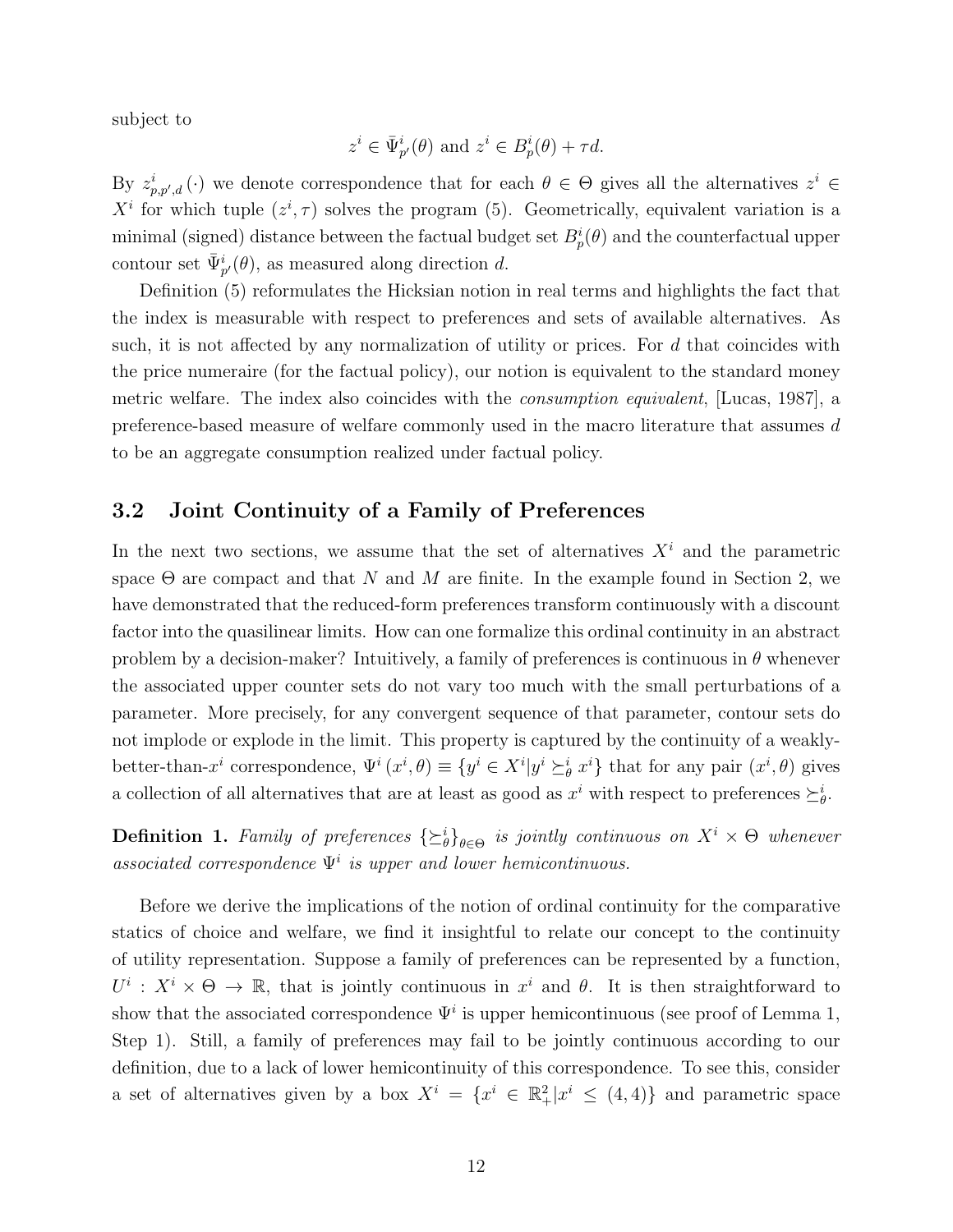subject to

$$
z^i \in \bar{\Psi}_{p'}^i(\theta)
$$
 and  $z^i \in B_p^i(\theta) + \tau d$ .

By  $z_{p,p',d}^i(\cdot)$  we denote correspondence that for each  $\theta \in \Theta$  gives all the alternatives  $z^i \in$  $X^i$  for which tuple  $(z^i, \tau)$  solves the program (5). Geometrically, equivalent variation is a minimal (signed) distance between the factual budget set  $B_p^i(\theta)$  and the counterfactual upper contour set  $\bar{\Psi}_{p'}^{i}(\theta)$ , as measured along direction d.

Definition (5) reformulates the Hicksian notion in real terms and highlights the fact that the index is measurable with respect to preferences and sets of available alternatives. As such, it is not affected by any normalization of utility or prices. For  $d$  that coincides with the price numeraire (for the factual policy), our notion is equivalent to the standard money metric welfare. The index also coincides with the consumption equivalent, [Lucas, 1987], a preference-based measure of welfare commonly used in the macro literature that assumes d to be an aggregate consumption realized under factual policy.

## 3.2 Joint Continuity of a Family of Preferences

In the next two sections, we assume that the set of alternatives  $X<sup>i</sup>$  and the parametric space  $\Theta$  are compact and that N and M are finite. In the example found in Section 2, we have demonstrated that the reduced-form preferences transform continuously with a discount factor into the quasilinear limits. How can one formalize this ordinal continuity in an abstract problem by a decision-maker? Intuitively, a family of preferences is continuous in  $\theta$  whenever the associated upper counter sets do not vary too much with the small perturbations of a parameter. More precisely, for any convergent sequence of that parameter, contour sets do not implode or explode in the limit. This property is captured by the continuity of a weaklybetter-than- $x^i$  correspondence,  $\Psi^i(x^i, \theta) \equiv \{y^i \in X^i | y^i \succeq^i_{\theta} x^i\}$  that for any pair  $(x^i, \theta)$  gives a collection of all alternatives that are at least as good as  $x^i$  with respect to preferences  $\succeq^i_{\theta}$ .

**Definition 1.** Family of preferences  $\{\succeq^i_\theta\}_{\theta \in \Theta}$  is jointly continuous on  $X^i \times \Theta$  whenever associated correspondence  $\Psi^i$  is upper and lower hemicontinuous.

Before we derive the implications of the notion of ordinal continuity for the comparative statics of choice and welfare, we find it insightful to relate our concept to the continuity of utility representation. Suppose a family of preferences can be represented by a function,  $U^i: X^i \times \Theta \to \mathbb{R}$ , that is jointly continuous in  $x^i$  and  $\theta$ . It is then straightforward to show that the associated correspondence  $\Psi^i$  is upper hemicontinuous (see proof of Lemma 1, Step 1). Still, a family of preferences may fail to be jointly continuous according to our definition, due to a lack of lower hemicontinuity of this correspondence. To see this, consider a set of alternatives given by a box  $X^i = \{x^i \in \mathbb{R}^2_+ | x^i \leq (4, 4)\}\$  and parametric space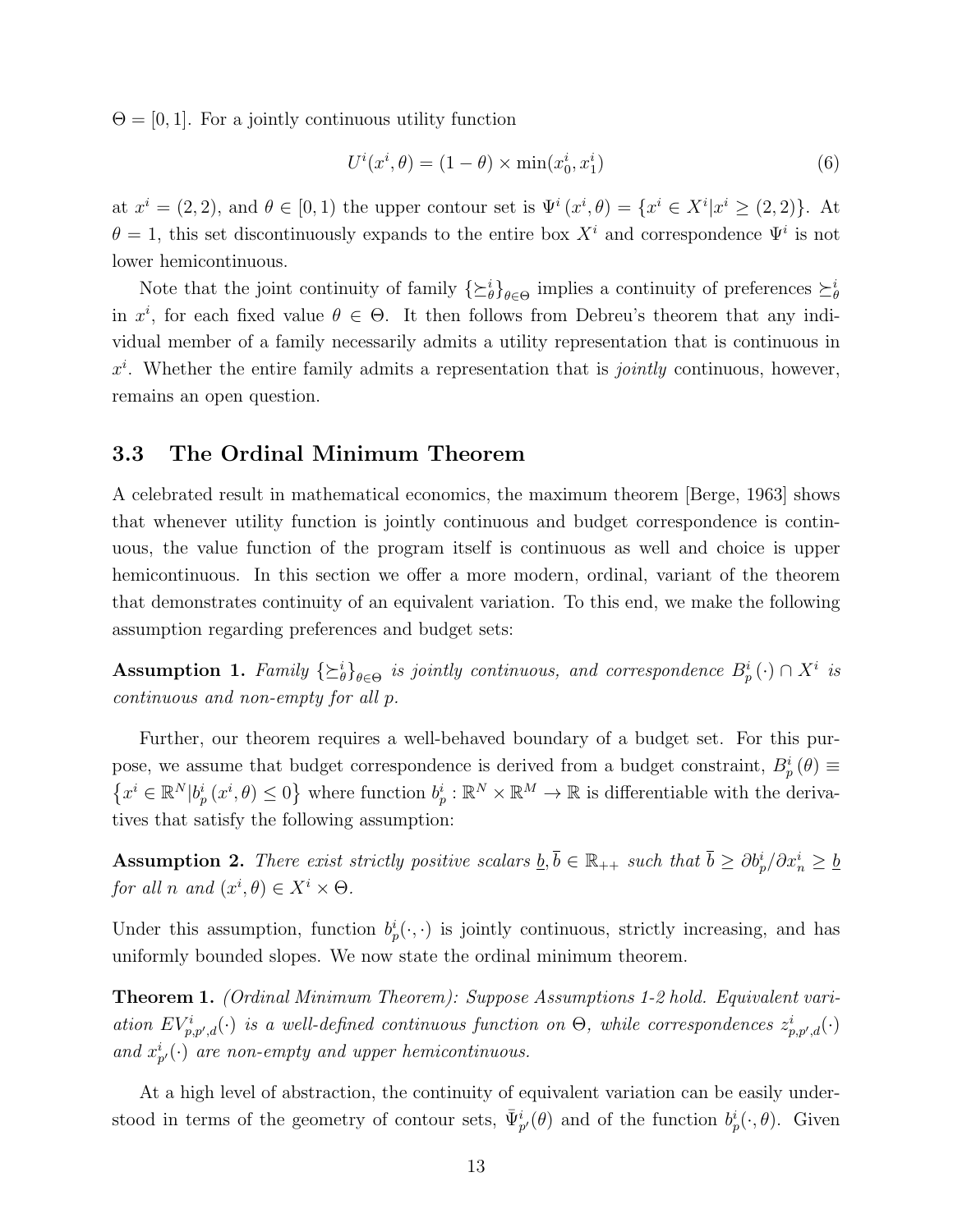$\Theta = [0, 1]$ . For a jointly continuous utility function

$$
U^i(x^i, \theta) = (1 - \theta) \times \min(x_0^i, x_1^i)
$$
\n<sup>(6)</sup>

at  $x^i = (2, 2)$ , and  $\theta \in [0, 1)$  the upper contour set is  $\Psi^i(x^i, \theta) = \{x^i \in X^i | x^i \geq (2, 2)\}\.$  At  $\theta = 1$ , this set discontinuously expands to the entire box  $X^i$  and correspondence  $\Psi^i$  is not lower hemicontinuous.

Note that the joint continuity of family  $\{\succeq^i_\theta\}_{\theta \in \Theta}$  implies a continuity of preferences  $\succeq^i_\theta$ in  $x^i$ , for each fixed value  $\theta \in \Theta$ . It then follows from Debreu's theorem that any individual member of a family necessarily admits a utility representation that is continuous in  $x^i$ . Whether the entire family admits a representation that is *jointly* continuous, however, remains an open question.

### 3.3 The Ordinal Minimum Theorem

A celebrated result in mathematical economics, the maximum theorem [Berge, 1963] shows that whenever utility function is jointly continuous and budget correspondence is continuous, the value function of the program itself is continuous as well and choice is upper hemicontinuous. In this section we offer a more modern, ordinal, variant of the theorem that demonstrates continuity of an equivalent variation. To this end, we make the following assumption regarding preferences and budget sets:

Assumption 1. Family  $\{\succeq^i_\theta\}_{\theta \in \Theta}$  is jointly continuous, and correspondence  $B^i_p(\cdot) \cap X^i$  is continuous and non-empty for all p.

Further, our theorem requires a well-behaved boundary of a budget set. For this purpose, we assume that budget correspondence is derived from a budget constraint,  $B_p^i(\theta) \equiv$  $\{x^i \in \mathbb{R}^N | b_p^i(x^i, \theta) \leq 0\}$  where function  $b_p^i : \mathbb{R}^N \times \mathbb{R}^M \to \mathbb{R}$  is differentiable with the derivatives that satisfy the following assumption:

Assumption 2. There exist strictly positive scalars  $\underline{b}, \overline{b} \in \mathbb{R}_{++}$  such that  $\overline{b} \ge \partial b_p^i / \partial x_n^i \ge \underline{b}$ for all n and  $(x^i, \theta) \in X^i \times \Theta$ .

Under this assumption, function  $b_p^i(\cdot, \cdot)$  is jointly continuous, strictly increasing, and has uniformly bounded slopes. We now state the ordinal minimum theorem.

Theorem 1. (Ordinal Minimum Theorem): Suppose Assumptions 1-2 hold. Equivalent variation  $EV_{p,p',d}^i(\cdot)$  is a well-defined continuous function on  $\Theta$ , while correspondences  $z_{p,p',d}^i(\cdot)$ and  $x_{p'}^i(\cdot)$  are non-empty and upper hemicontinuous.

At a high level of abstraction, the continuity of equivalent variation can be easily understood in terms of the geometry of contour sets,  $\bar{\Psi}_{p}^{i}(\theta)$  and of the function  $b_p^i(\cdot,\theta)$ . Given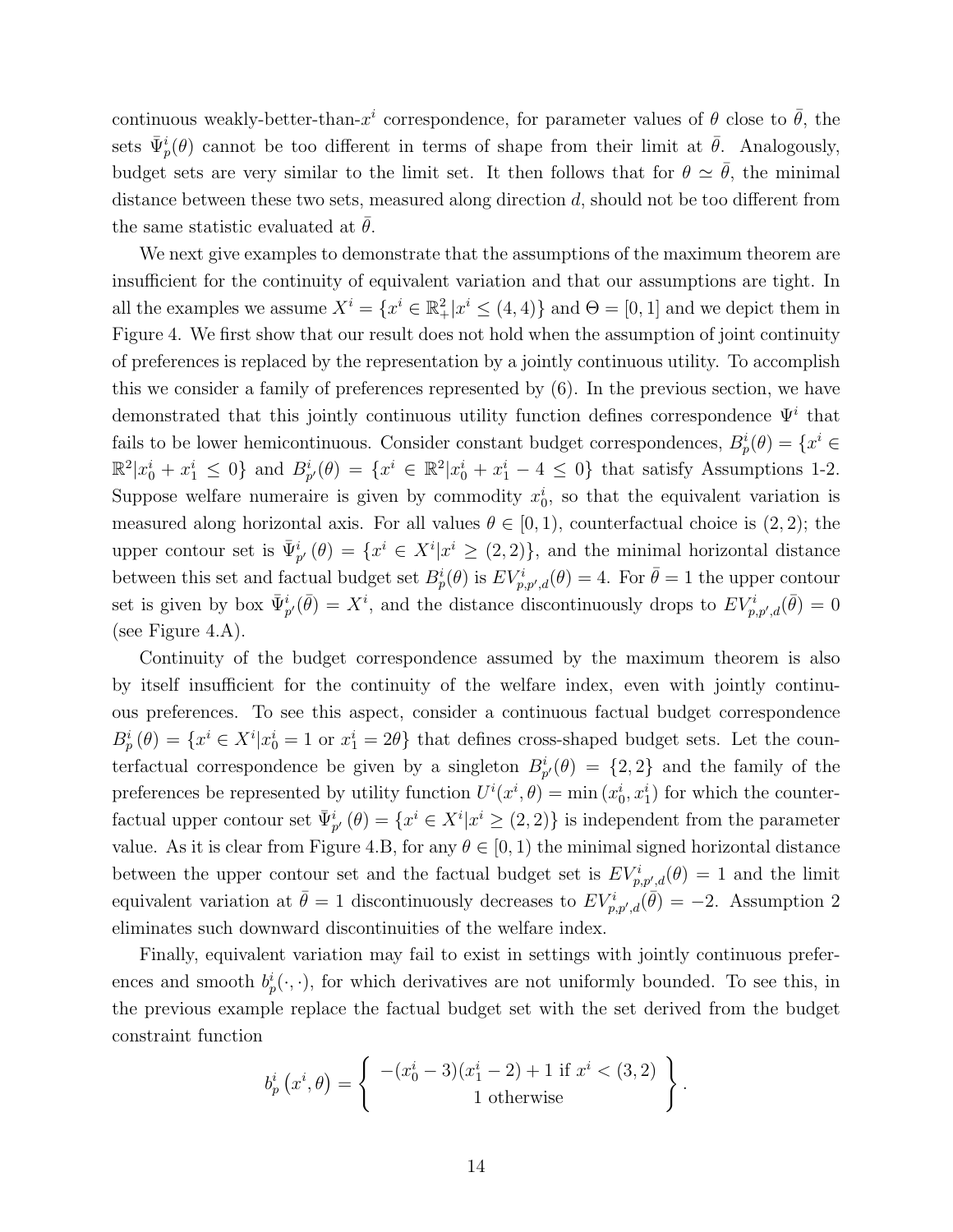continuous weakly-better-than- $x^i$  correspondence, for parameter values of  $\theta$  close to  $\bar{\theta}$ , the sets  $\bar{\Psi}_{p}^{i}(\theta)$  cannot be too different in terms of shape from their limit at  $\bar{\theta}$ . Analogously, budget sets are very similar to the limit set. It then follows that for  $\theta \simeq \bar{\theta}$ , the minimal distance between these two sets, measured along direction d, should not be too different from the same statistic evaluated at  $\theta$ .

We next give examples to demonstrate that the assumptions of the maximum theorem are insufficient for the continuity of equivalent variation and that our assumptions are tight. In all the examples we assume  $X^i = \{x^i \in \mathbb{R}^2_+ | x^i \leq (4, 4)\}$  and  $\Theta = [0, 1]$  and we depict them in Figure 4. We first show that our result does not hold when the assumption of joint continuity of preferences is replaced by the representation by a jointly continuous utility. To accomplish this we consider a family of preferences represented by (6). In the previous section, we have demonstrated that this jointly continuous utility function defines correspondence  $\Psi^i$  that fails to be lower hemicontinuous. Consider constant budget correspondences,  $B_p^i(\theta) = \{x^i \in \mathbb{R}^n : |f(x)| \leq 1\}$  $\mathbb{R}^2 | x_0^i + x_1^i \leq 0$  and  $B_{p'}^i(\theta) = \{x^i \in \mathbb{R}^2 | x_0^i + x_1^i - 4 \leq 0\}$  that satisfy Assumptions 1-2. Suppose welfare numeraire is given by commodity  $x_0^i$ , so that the equivalent variation is measured along horizontal axis. For all values  $\theta \in [0, 1)$ , counterfactual choice is  $(2, 2)$ ; the upper contour set is  $\bar{\Psi}_{p'}^{i}(\theta) = \{x^{i} \in X^{i} | x^{i} \geq (2, 2)\}\$ , and the minimal horizontal distance between this set and factual budget set  $B_p^i(\theta)$  is  $EV_{p,p',d}^i(\theta) = 4$ . For  $\bar{\theta} = 1$  the upper contour set is given by box  $\bar{\Psi}_{p'}^{i}(\bar{\theta}) = X^{i}$ , and the distance discontinuously drops to  $EV_{p,p',d}^{i}(\bar{\theta}) = 0$ (see Figure 4.A).

Continuity of the budget correspondence assumed by the maximum theorem is also by itself insufficient for the continuity of the welfare index, even with jointly continuous preferences. To see this aspect, consider a continuous factual budget correspondence  $B_p^i(\theta) = \{x^i \in X^i | x_0^i = 1 \text{ or } x_1^i = 2\theta\}$  that defines cross-shaped budget sets. Let the counterfactual correspondence be given by a singleton  $B_{p'}^i(\theta) = \{2, 2\}$  and the family of the preferences be represented by utility function  $U^{i}(x^{i}, \theta) = \min(x_{0}^{i}, x_{1}^{i})$  for which the counterfactual upper contour set  $\bar{\Psi}_{p'}^{i}(\theta) = \{x^{i} \in X^{i} | x^{i} \geq (2, 2)\}\$ is independent from the parameter value. As it is clear from Figure 4.B, for any  $\theta \in [0, 1)$  the minimal signed horizontal distance between the upper contour set and the factual budget set is  $EV_{p,p',d}^{i}(\theta) = 1$  and the limit equivalent variation at  $\bar{\theta} = 1$  discontinuously decreases to  $EV_{p,p',d}^{i}(\bar{\theta}) = -2$ . Assumption 2 eliminates such downward discontinuities of the welfare index.

Finally, equivalent variation may fail to exist in settings with jointly continuous preferences and smooth  $b_p^i(\cdot, \cdot)$ , for which derivatives are not uniformly bounded. To see this, in the previous example replace the factual budget set with the set derived from the budget constraint function

$$
b_p^i(x^i, \theta) = \left\{ \begin{array}{c} -(x_0^i - 3)(x_1^i - 2) + 1 \text{ if } x^i < (3, 2) \\ 1 \text{ otherwise} \end{array} \right\}.
$$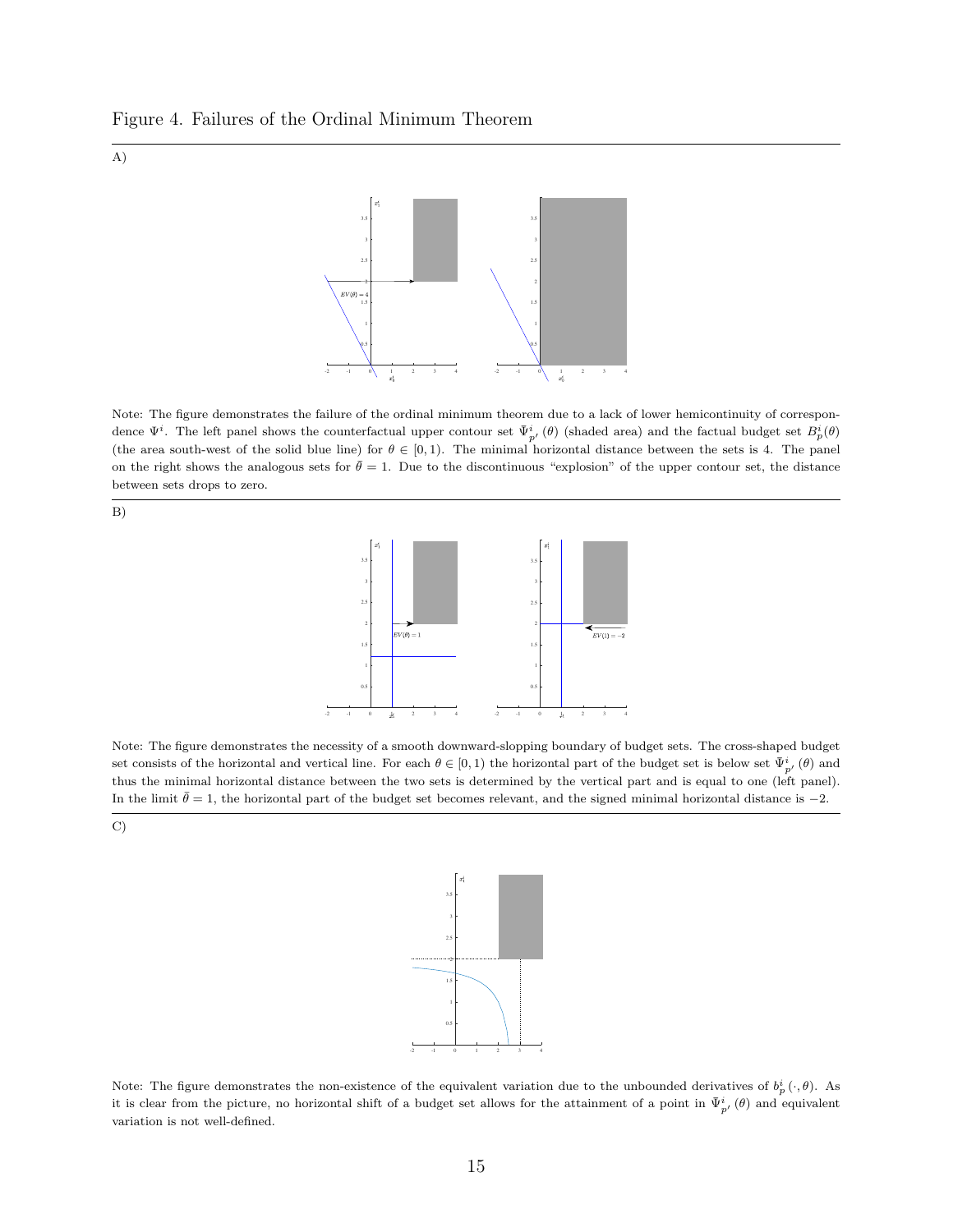



Note: The figure demonstrates the failure of the ordinal minimum theorem due to a lack of lower hemicontinuity of correspondence  $\Psi^i$ . The left panel shows the counterfactual upper contour set  $\bar{\Psi}^i_{p'}(\theta)$  (shaded area) and the factual budget set  $B^i_p(\theta)$ (the area south-west of the solid blue line) for  $\theta \in [0,1)$ . The minimal horizontal distance between the sets is 4. The panel on the right shows the analogous sets for  $\bar{\theta} = 1$ . Due to the discontinuous "explosion" of the upper contour set, the distance between sets drops to zero.





Note: The figure demonstrates the necessity of a smooth downward-slopping boundary of budget sets. The cross-shaped budget set consists of the horizontal and vertical line. For each  $\theta \in [0,1)$  the horizontal part of the budget set is below set  $\bar{\Psi}_{p'}^i(\theta)$  and thus the minimal horizontal distance between the two sets is determined by the vertical part and is equal to one (left panel). In the limit  $\bar{\theta} = 1$ , the horizontal part of the budget set becomes relevant, and the signed minimal horizontal distance is −2.

C)



Note: The figure demonstrates the non-existence of the equivalent variation due to the unbounded derivatives of  $b_p^i(\cdot,\theta)$ . As it is clear from the picture, no horizontal shift of a budget set allows for the attainment of a point in  $\bar{\Psi}_{p'}^i(\theta)$  and equivalent variation is not well-defined.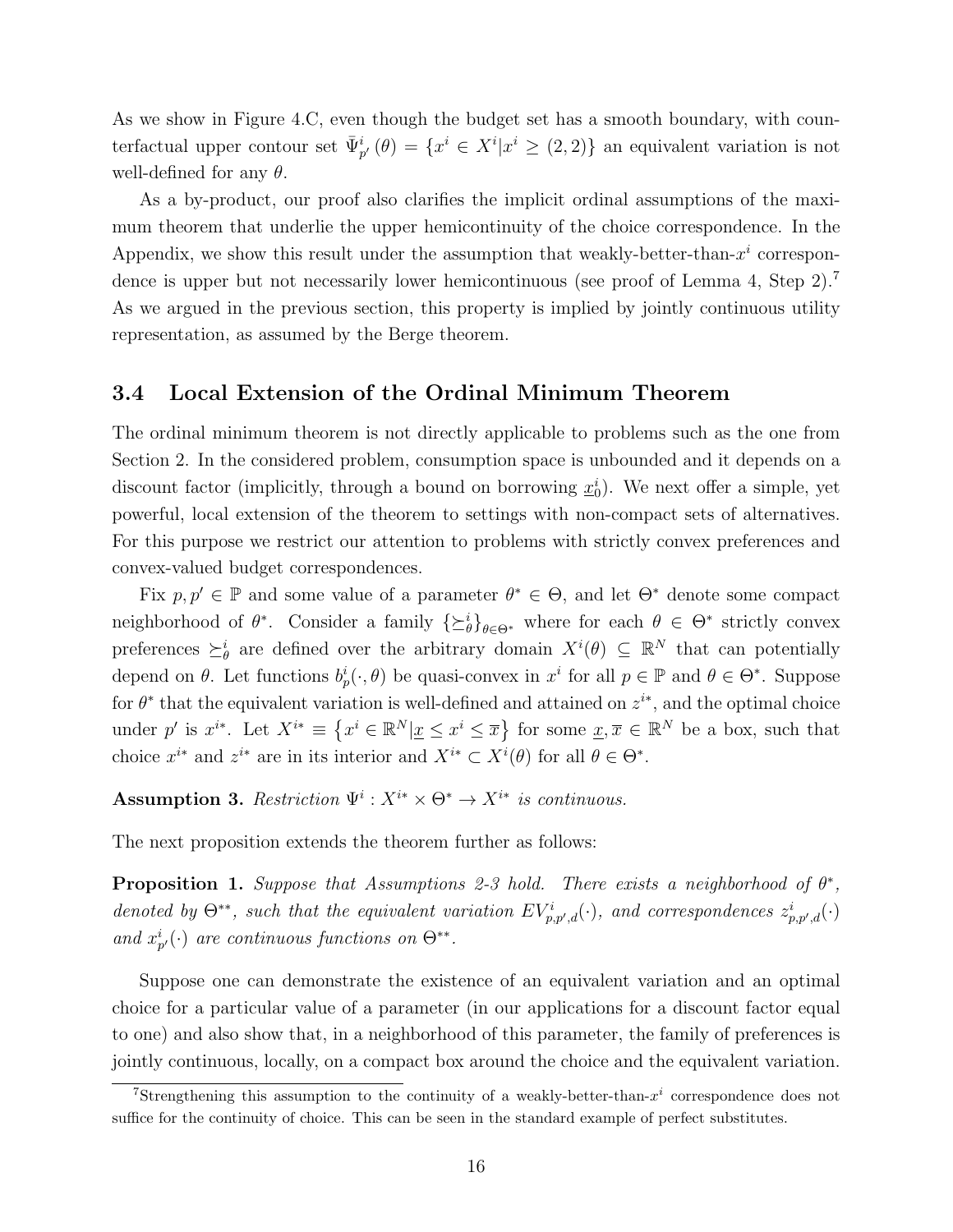As we show in Figure 4.C, even though the budget set has a smooth boundary, with counterfactual upper contour set  $\bar{\Psi}_{p'}^{i}(\theta) = \{x^{i} \in X^{i} | x^{i} \geq (2, 2)\}\$ an equivalent variation is not well-defined for any  $\theta$ .

As a by-product, our proof also clarifies the implicit ordinal assumptions of the maximum theorem that underlie the upper hemicontinuity of the choice correspondence. In the Appendix, we show this result under the assumption that weakly-better-than- $x^i$  correspondence is upper but not necessarily lower hemicontinuous (see proof of Lemma 4, Step 2).<sup>7</sup> As we argued in the previous section, this property is implied by jointly continuous utility representation, as assumed by the Berge theorem.

## 3.4 Local Extension of the Ordinal Minimum Theorem

The ordinal minimum theorem is not directly applicable to problems such as the one from Section 2. In the considered problem, consumption space is unbounded and it depends on a discount factor (implicitly, through a bound on borrowing  $\underline{x}_0^i$ ). We next offer a simple, yet powerful, local extension of the theorem to settings with non-compact sets of alternatives. For this purpose we restrict our attention to problems with strictly convex preferences and convex-valued budget correspondences.

Fix  $p, p' \in \mathbb{P}$  and some value of a parameter  $\theta^* \in \Theta$ , and let  $\Theta^*$  denote some compact neighborhood of  $\theta^*$ . Consider a family  $\{\geq^i_\theta\}_{\theta \in \Theta^*}$  where for each  $\theta \in \Theta^*$  strictly convex preferences  $\succeq^i_{\theta}$  are defined over the arbitrary domain  $X^i(\theta) \subseteq \mathbb{R}^N$  that can potentially depend on  $\theta$ . Let functions  $b_p^i(\cdot, \theta)$  be quasi-convex in  $x^i$  for all  $p \in \mathbb{P}$  and  $\theta \in \Theta^*$ . Suppose for  $\theta^*$  that the equivalent variation is well-defined and attained on  $z^{i*}$ , and the optimal choice under p' is  $x^{i*}$ . Let  $X^{i*} \equiv \{x^i \in \mathbb{R}^N | \underline{x} \leq x^i \leq \overline{x}\}$  for some  $\underline{x}, \overline{x} \in \mathbb{R}^N$  be a box, such that choice  $x^{i*}$  and  $z^{i*}$  are in its interior and  $X^{i*} \subset X^{i}(\theta)$  for all  $\theta \in \Theta^*$ .

Assumption 3. Restriction  $\Psi^i: X^{i*} \times \Theta^* \to X^{i*}$  is continuous.

The next proposition extends the theorem further as follows:

**Proposition 1.** Suppose that Assumptions 2-3 hold. There exists a neighborhood of  $\theta^*$ , denoted by  $\Theta^{**}$ , such that the equivalent variation  $EV_{p,p',d}^i(\cdot)$ , and correspondences  $z_{p,p',d}^i(\cdot)$ and  $x_{p'}^i(\cdot)$  are continuous functions on  $\Theta^{**}$ .

Suppose one can demonstrate the existence of an equivalent variation and an optimal choice for a particular value of a parameter (in our applications for a discount factor equal to one) and also show that, in a neighborhood of this parameter, the family of preferences is jointly continuous, locally, on a compact box around the choice and the equivalent variation.

<sup>&</sup>lt;sup>7</sup>Strengthening this assumption to the continuity of a weakly-better-than- $x^i$  correspondence does not suffice for the continuity of choice. This can be seen in the standard example of perfect substitutes.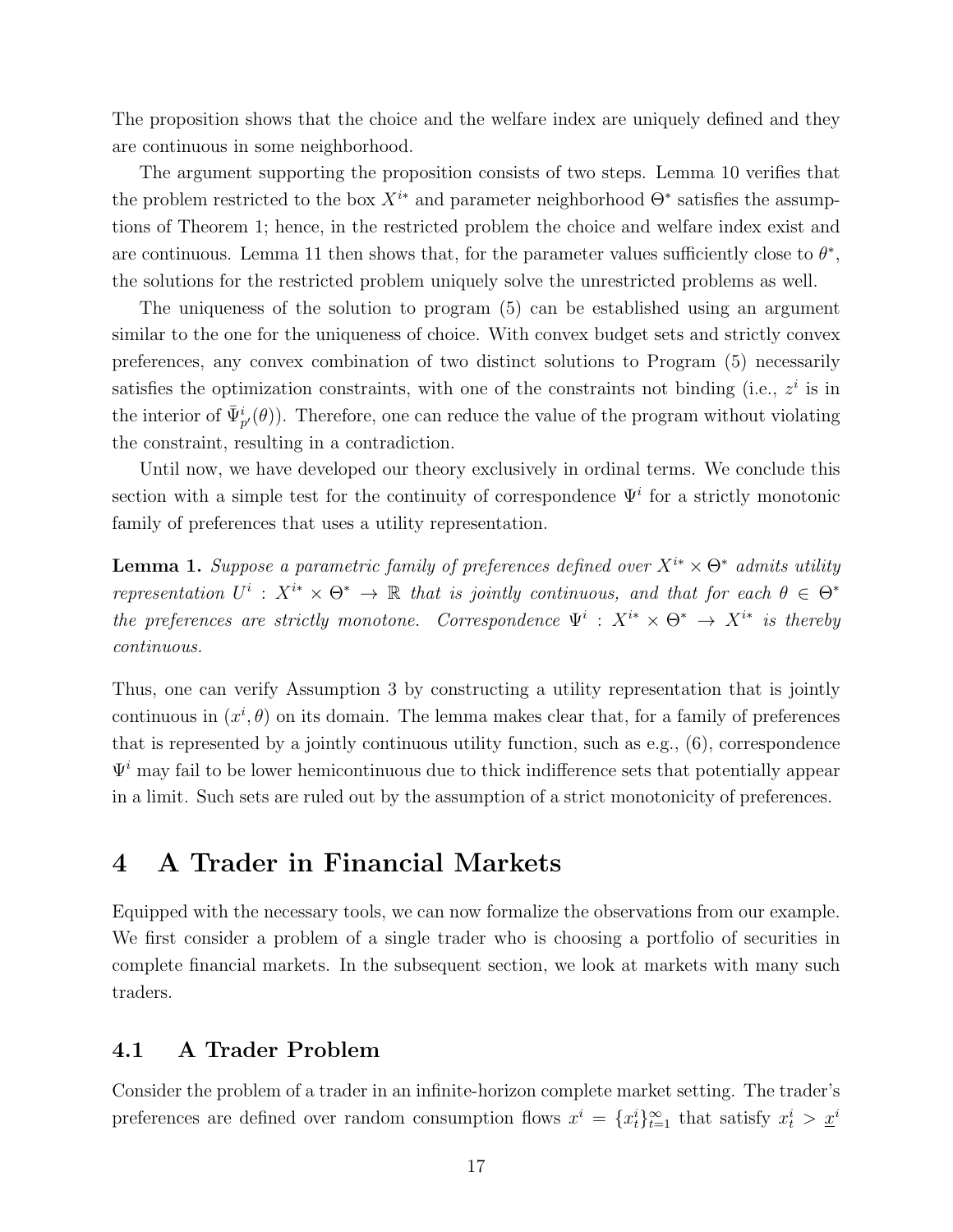The proposition shows that the choice and the welfare index are uniquely defined and they are continuous in some neighborhood.

The argument supporting the proposition consists of two steps. Lemma 10 verifies that the problem restricted to the box  $X^{i*}$  and parameter neighborhood  $\Theta^*$  satisfies the assumptions of Theorem 1; hence, in the restricted problem the choice and welfare index exist and are continuous. Lemma 11 then shows that, for the parameter values sufficiently close to  $\theta^*$ , the solutions for the restricted problem uniquely solve the unrestricted problems as well.

The uniqueness of the solution to program (5) can be established using an argument similar to the one for the uniqueness of choice. With convex budget sets and strictly convex preferences, any convex combination of two distinct solutions to Program (5) necessarily satisfies the optimization constraints, with one of the constraints not binding (i.e.,  $z^i$  is in the interior of  $\bar{\Psi}_{p'}^{i}(\theta)$ ). Therefore, one can reduce the value of the program without violating the constraint, resulting in a contradiction.

Until now, we have developed our theory exclusively in ordinal terms. We conclude this section with a simple test for the continuity of correspondence  $\Psi^i$  for a strictly monotonic family of preferences that uses a utility representation.

**Lemma 1.** Suppose a parametric family of preferences defined over  $X^{i*} \times \Theta^*$  admits utility representation  $U^i: X^{i*} \times \Theta^* \to \mathbb{R}$  that is jointly continuous, and that for each  $\theta \in \Theta^*$ the preferences are strictly monotone. Correspondence  $\Psi^i: X^{i*} \times \Theta^* \to X^{i*}$  is thereby continuous.

Thus, one can verify Assumption 3 by constructing a utility representation that is jointly continuous in  $(x^i, \theta)$  on its domain. The lemma makes clear that, for a family of preferences that is represented by a jointly continuous utility function, such as e.g., (6), correspondence  $\Psi^i$  may fail to be lower hemicontinuous due to thick indifference sets that potentially appear in a limit. Such sets are ruled out by the assumption of a strict monotonicity of preferences.

# 4 A Trader in Financial Markets

Equipped with the necessary tools, we can now formalize the observations from our example. We first consider a problem of a single trader who is choosing a portfolio of securities in complete financial markets. In the subsequent section, we look at markets with many such traders.

## 4.1 A Trader Problem

Consider the problem of a trader in an infinite-horizon complete market setting. The trader's preferences are defined over random consumption flows  $x^i = \{x_t^i\}_{t=1}^{\infty}$  that satisfy  $x_t^i > \underline{x}^i$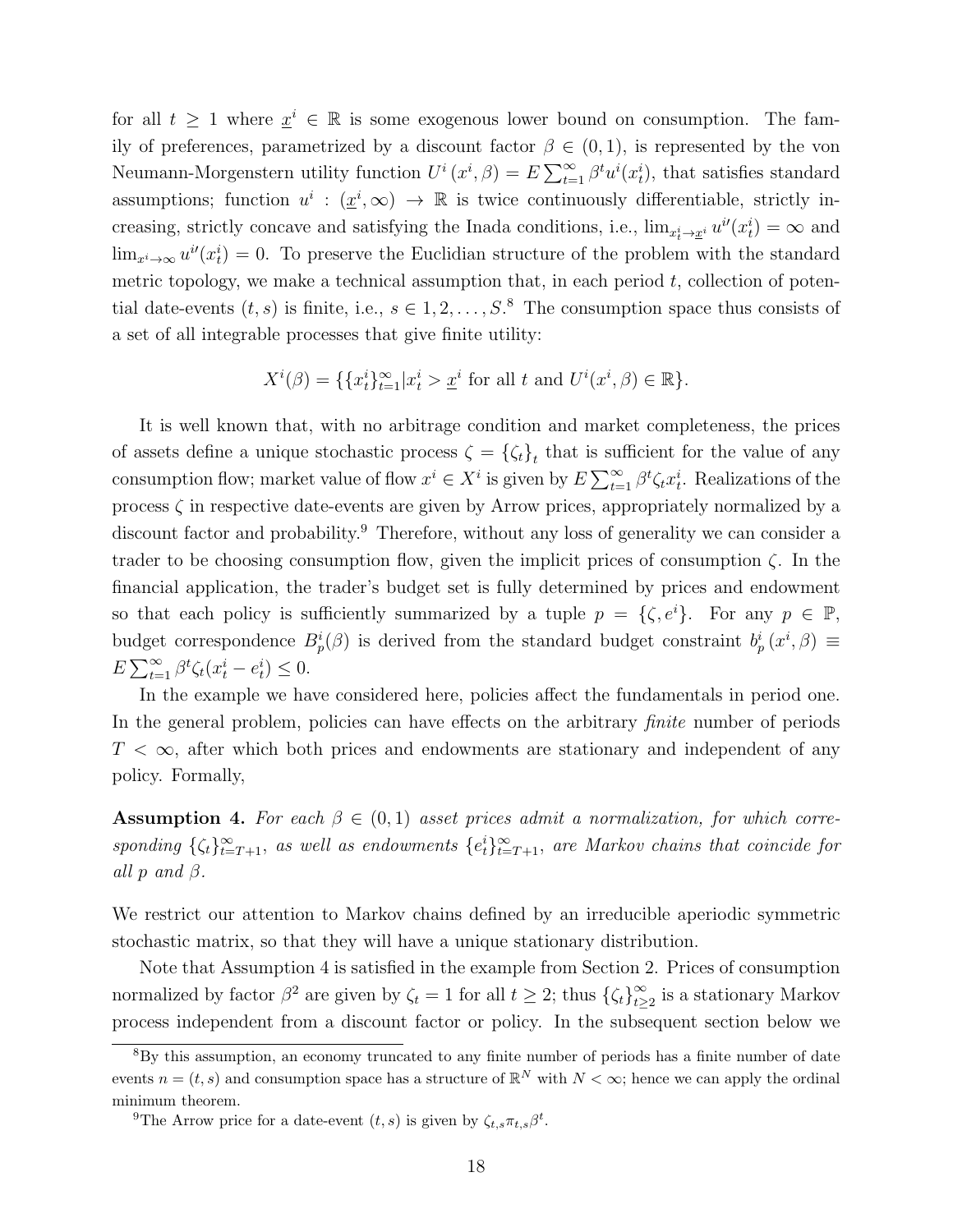for all  $t \geq 1$  where  $\underline{x}^i \in \mathbb{R}$  is some exogenous lower bound on consumption. The family of preferences, parametrized by a discount factor  $\beta \in (0,1)$ , is represented by the von Neumann-Morgenstern utility function  $U^i(x^i, \beta) = E \sum_{t=1}^{\infty} \beta^t u^i(x_t^i)$ , that satisfies standard assumptions; function  $u^i : (\underline{x}^i, \infty) \to \mathbb{R}$  is twice continuously differentiable, strictly increasing, strictly concave and satisfying the Inada conditions, i.e.,  $\lim_{x_t^i \to x^i} u^{i'}(x_t^i) = \infty$  and  $\lim_{x^i \to \infty} u^{i}(x_t^i) = 0$ . To preserve the Euclidian structure of the problem with the standard metric topology, we make a technical assumption that, in each period  $t$ , collection of potential date-events  $(t, s)$  is finite, i.e.,  $s \in 1, 2, \ldots, S$ .<sup>8</sup> The consumption space thus consists of a set of all integrable processes that give finite utility:

$$
X^{i}(\beta) = \{ \{x_t^i\}_{t=1}^{\infty} | x_t^i > \underline{x}^i \text{ for all } t \text{ and } U^{i}(x^i, \beta) \in \mathbb{R} \}.
$$

It is well known that, with no arbitrage condition and market completeness, the prices of assets define a unique stochastic process  $\zeta = {\zeta_t}_t$  that is sufficient for the value of any consumption flow; market value of flow  $x^i \in X^i$  is given by  $E \sum_{t=1}^{\infty} \beta^t \zeta_t x_t^i$ . Realizations of the process  $\zeta$  in respective date-events are given by Arrow prices, appropriately normalized by a discount factor and probability.<sup>9</sup> Therefore, without any loss of generality we can consider a trader to be choosing consumption flow, given the implicit prices of consumption  $\zeta$ . In the financial application, the trader's budget set is fully determined by prices and endowment so that each policy is sufficiently summarized by a tuple  $p = \{\zeta, e^i\}$ . For any  $p \in \mathbb{P}$ , budget correspondence  $B_p^i(\beta)$  is derived from the standard budget constraint  $b_p^i(x^i, \beta) \equiv$  $E \sum_{t=1}^{\infty} \beta^t \zeta_t (x_t^i - e_t^i) \leq 0.$ 

In the example we have considered here, policies affect the fundamentals in period one. In the general problem, policies can have effects on the arbitrary *finite* number of periods  $T < \infty$ , after which both prices and endowments are stationary and independent of any policy. Formally,

**Assumption 4.** For each  $\beta \in (0,1)$  asset prices admit a normalization, for which corresponding  $\{\zeta_t\}_{t=T+1}^{\infty}$ , as well as endowments  $\{e_t^i\}_{t=T+1}^{\infty}$ , are Markov chains that coincide for all  $p$  and  $\beta$ .

We restrict our attention to Markov chains defined by an irreducible aperiodic symmetric stochastic matrix, so that they will have a unique stationary distribution.

Note that Assumption 4 is satisfied in the example from Section 2. Prices of consumption normalized by factor  $\beta^2$  are given by  $\zeta_t = 1$  for all  $t \geq 2$ ; thus  $\{\zeta_t\}_{t>0}^{\infty}$  $\sum_{t\geq 2}^{\infty}$  is a stationary Markov process independent from a discount factor or policy. In the subsequent section below we

<sup>&</sup>lt;sup>8</sup>By this assumption, an economy truncated to any finite number of periods has a finite number of date events  $n = (t, s)$  and consumption space has a structure of  $\mathbb{R}^N$  with  $N < \infty$ ; hence we can apply the ordinal minimum theorem.

<sup>&</sup>lt;sup>9</sup>The Arrow price for a date-event  $(t, s)$  is given by  $\zeta_{t,s} \pi_{t,s} \beta^t$ .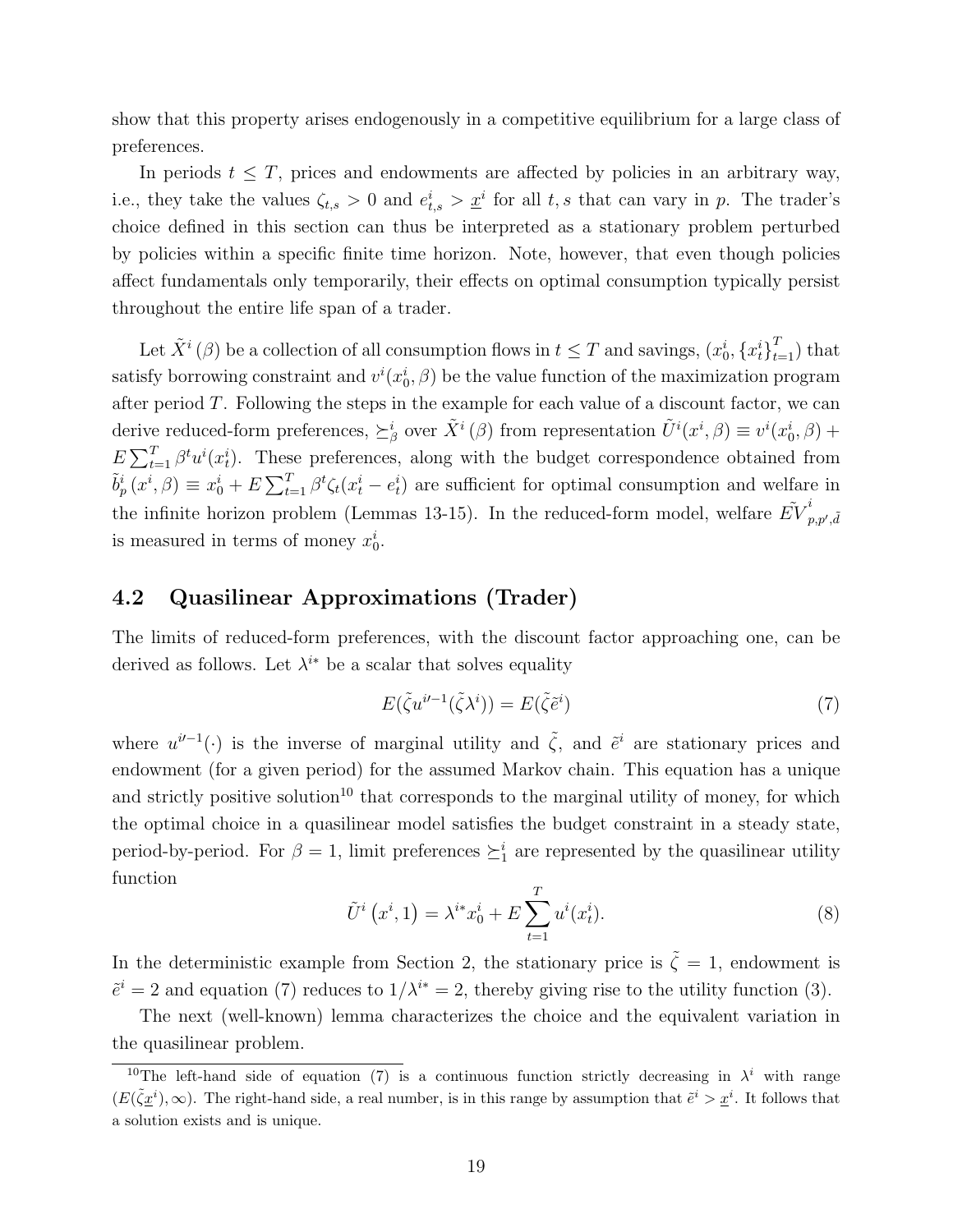show that this property arises endogenously in a competitive equilibrium for a large class of preferences.

In periods  $t \leq T$ , prices and endowments are affected by policies in an arbitrary way, i.e., they take the values  $\zeta_{t,s} > 0$  and  $e_{t,s}^i > \underline{x}^i$  for all t, s that can vary in p. The trader's choice defined in this section can thus be interpreted as a stationary problem perturbed by policies within a specific finite time horizon. Note, however, that even though policies affect fundamentals only temporarily, their effects on optimal consumption typically persist throughout the entire life span of a trader.

Let  $\tilde{X}^i(\beta)$  be a collection of all consumption flows in  $t \leq T$  and savings,  $(x_0^i, \{x_t^i\}_{t=1}^T)$  that satisfy borrowing constraint and  $v^i(x_0^i, \beta)$  be the value function of the maximization program after period T. Following the steps in the example for each value of a discount factor, we can derive reduced-form preferences,  $\succeq^i_{\beta}$  over  $\tilde{X}^i(\beta)$  from representation  $\tilde{U}^i(x^i, \beta) \equiv v^i(x^i_0, \beta) +$  $E\sum_{t=1}^{T} \beta^t u^i(x_t^i)$ . These preferences, along with the budget correspondence obtained from  $\tilde{b}_p^i(x^i, \beta) \equiv x_0^i + E \sum_{t=1}^T \beta^t \zeta_t(x_t^i - e_t^i)$  are sufficient for optimal consumption and welfare in the infinite horizon problem (Lemmas 13-15). In the reduced-form model, welfare  $\tilde{EV}_r^i$  $p,p',\tilde{d}$ is measured in terms of money  $x_0^i$ .

## 4.2 Quasilinear Approximations (Trader)

The limits of reduced-form preferences, with the discount factor approaching one, can be derived as follows. Let  $\lambda^{i*}$  be a scalar that solves equality

$$
E(\tilde{\zeta}u^{i-1}(\tilde{\zeta}\lambda^i)) = E(\tilde{\zeta}\tilde{e}^i)
$$
\n(7)

where  $u^{i-1}(\cdot)$  is the inverse of marginal utility and  $\tilde{\zeta}$ , and  $\tilde{e}^i$  are stationary prices and endowment (for a given period) for the assumed Markov chain. This equation has a unique and strictly positive solution<sup>10</sup> that corresponds to the marginal utility of money, for which the optimal choice in a quasilinear model satisfies the budget constraint in a steady state, period-by-period. For  $\beta = 1$ , limit preferences  $\succeq_1^i$  are represented by the quasilinear utility function

$$
\tilde{U}^{i}(x^{i}, 1) = \lambda^{i*} x_{0}^{i} + E \sum_{t=1}^{T} u^{i}(x_{t}^{i}).
$$
\n(8)

In the deterministic example from Section 2, the stationary price is  $\tilde{\zeta} = 1$ , endowment is  $\tilde{e}^i = 2$  and equation (7) reduces to  $1/\lambda^{i*} = 2$ , thereby giving rise to the utility function (3).

The next (well-known) lemma characterizes the choice and the equivalent variation in the quasilinear problem.

<sup>&</sup>lt;sup>10</sup>The left-hand side of equation (7) is a continuous function strictly decreasing in  $\lambda^i$  with range  $(E(\tilde{\zeta}\underline{x}^i),\infty)$ . The right-hand side, a real number, is in this range by assumption that  $\tilde{e}^i > \underline{x}^i$ . It follows that a solution exists and is unique.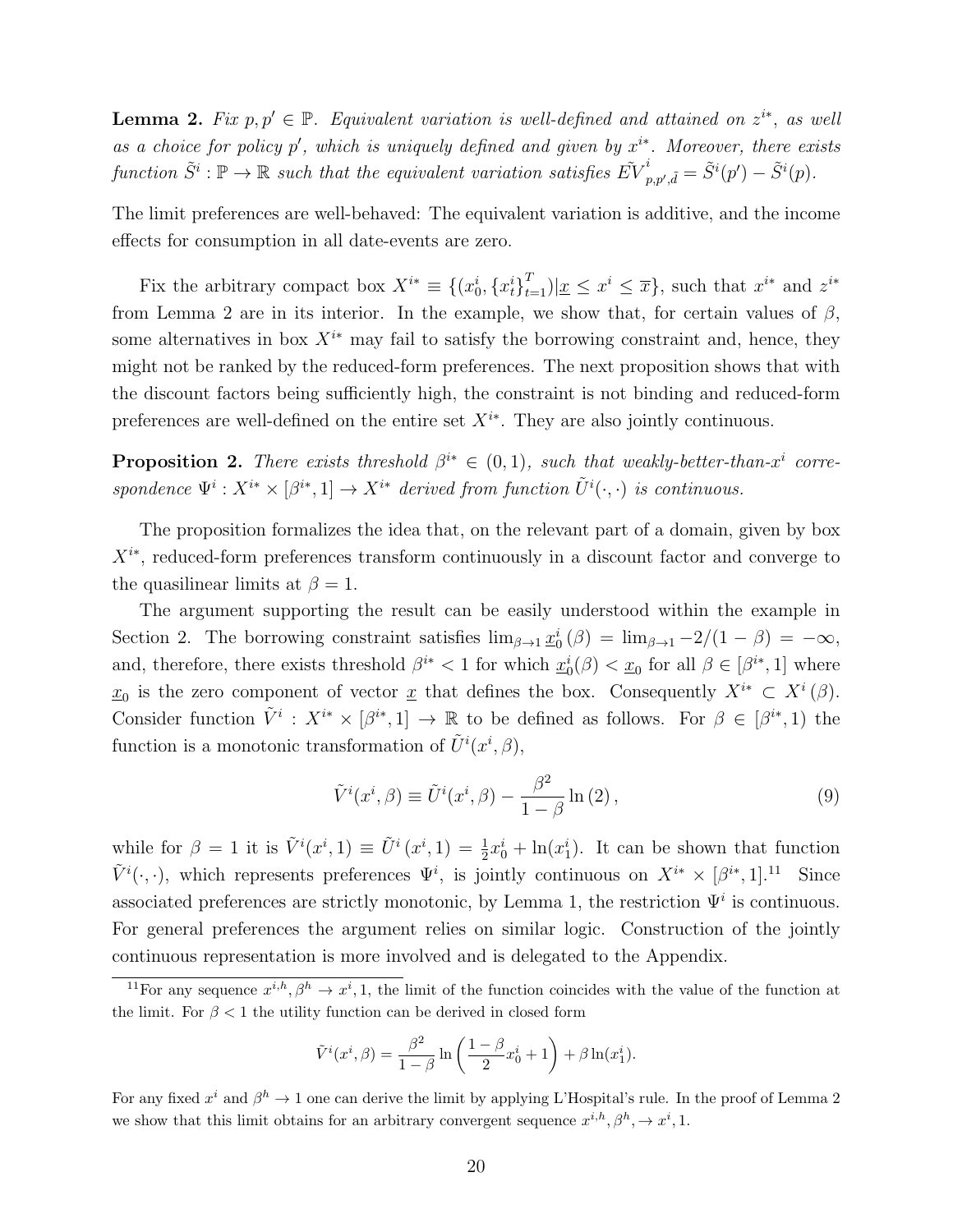**Lemma 2.** Fix  $p, p' \in \mathbb{P}$ . Equivalent variation is well-defined and attained on  $z^{i*}$ , as well as a choice for policy p', which is uniquely defined and given by  $x^{i*}$ . Moreover, there exists function  $\tilde{S}^i : \mathbb{P} \to \mathbb{R}$  such that the equivalent variation satisfies  $\tilde{EV}^i_r$  $\tilde{p}_{p,p',\tilde{d}}^i = \tilde{S}^i(p') - \tilde{S}^i(p).$ 

The limit preferences are well-behaved: The equivalent variation is additive, and the income effects for consumption in all date-events are zero.

Fix the arbitrary compact box  $X^{i*} \equiv \{(x_0^i, \{x_t^i\}_{t=1}^T) | \underline{x} \leq x^i \leq \overline{x}\}\)$ , such that  $x^{i*}$  and  $z^{i*}$ from Lemma 2 are in its interior. In the example, we show that, for certain values of  $\beta$ . some alternatives in box  $X^{i*}$  may fail to satisfy the borrowing constraint and, hence, they might not be ranked by the reduced-form preferences. The next proposition shows that with the discount factors being sufficiently high, the constraint is not binding and reduced-form preferences are well-defined on the entire set  $X^{i*}$ . They are also jointly continuous.

**Proposition 2.** There exists threshold  $\beta^{i*} \in (0,1)$ , such that weakly-better-than-x<sup>i</sup> correspondence  $\Psi^i: X^{i*} \times [\beta^{i*}, 1] \to X^{i*}$  derived from function  $\tilde{U}^i(\cdot, \cdot)$  is continuous.

The proposition formalizes the idea that, on the relevant part of a domain, given by box  $X^{i*}$ , reduced-form preferences transform continuously in a discount factor and converge to the quasilinear limits at  $\beta = 1$ .

The argument supporting the result can be easily understood within the example in Section 2. The borrowing constraint satisfies  $\lim_{\beta \to 1} \underline{x}_0^i(\beta) = \lim_{\beta \to 1} \frac{-2}{1-\beta} = -\infty$ , and, therefore, there exists threshold  $\beta^{i*} < 1$  for which  $\underline{x}_0^i(\beta) < \underline{x}_0$  for all  $\beta \in [\beta^{i*}, 1]$  where  $\underline{x}_0$  is the zero component of vector  $\underline{x}$  that defines the box. Consequently  $X^{i*} \subset X^i(\beta)$ . Consider function  $\tilde{V}^i: X^{i*} \times [\beta^{i*}, 1] \to \mathbb{R}$  to be defined as follows. For  $\beta \in [\beta^{i*}, 1]$  the function is a monotonic transformation of  $\tilde{U}^{i}(x^{i},\beta),$ 

$$
\tilde{V}^{i}(x^{i},\beta) \equiv \tilde{U}^{i}(x^{i},\beta) - \frac{\beta^{2}}{1-\beta} \ln(2), \qquad (9)
$$

while for  $\beta = 1$  it is  $\tilde{V}^i(x^i, 1) \equiv \tilde{U}^i(x^i, 1) = \frac{1}{2}x_0^i + \ln(x_1^i)$ . It can be shown that function  $\tilde{V}^i(\cdot,\cdot)$ , which represents preferences  $\Psi^i$ , is jointly continuous on  $X^{i*} \times [\beta^{i*},1]$ .<sup>11</sup> Since associated preferences are strictly monotonic, by Lemma 1, the restriction  $\Psi^i$  is continuous. For general preferences the argument relies on similar logic. Construction of the jointly continuous representation is more involved and is delegated to the Appendix.

$$
\tilde{V}^{i}(x^{i},\beta) = \frac{\beta^{2}}{1-\beta} \ln \left( \frac{1-\beta}{2} x_{0}^{i} + 1 \right) + \beta \ln(x_{1}^{i}).
$$

For any fixed  $x^i$  and  $\beta^h \to 1$  one can derive the limit by applying L'Hospital's rule. In the proof of Lemma 2 we show that this limit obtains for an arbitrary convergent sequence  $x^{i,h}, \beta^h, \rightarrow x^i, 1$ .

<sup>&</sup>lt;sup>11</sup>For any sequence  $x^{i,h}, \beta^h \to x^i, 1$ , the limit of the function coincides with the value of the function at the limit. For  $\beta < 1$  the utility function can be derived in closed form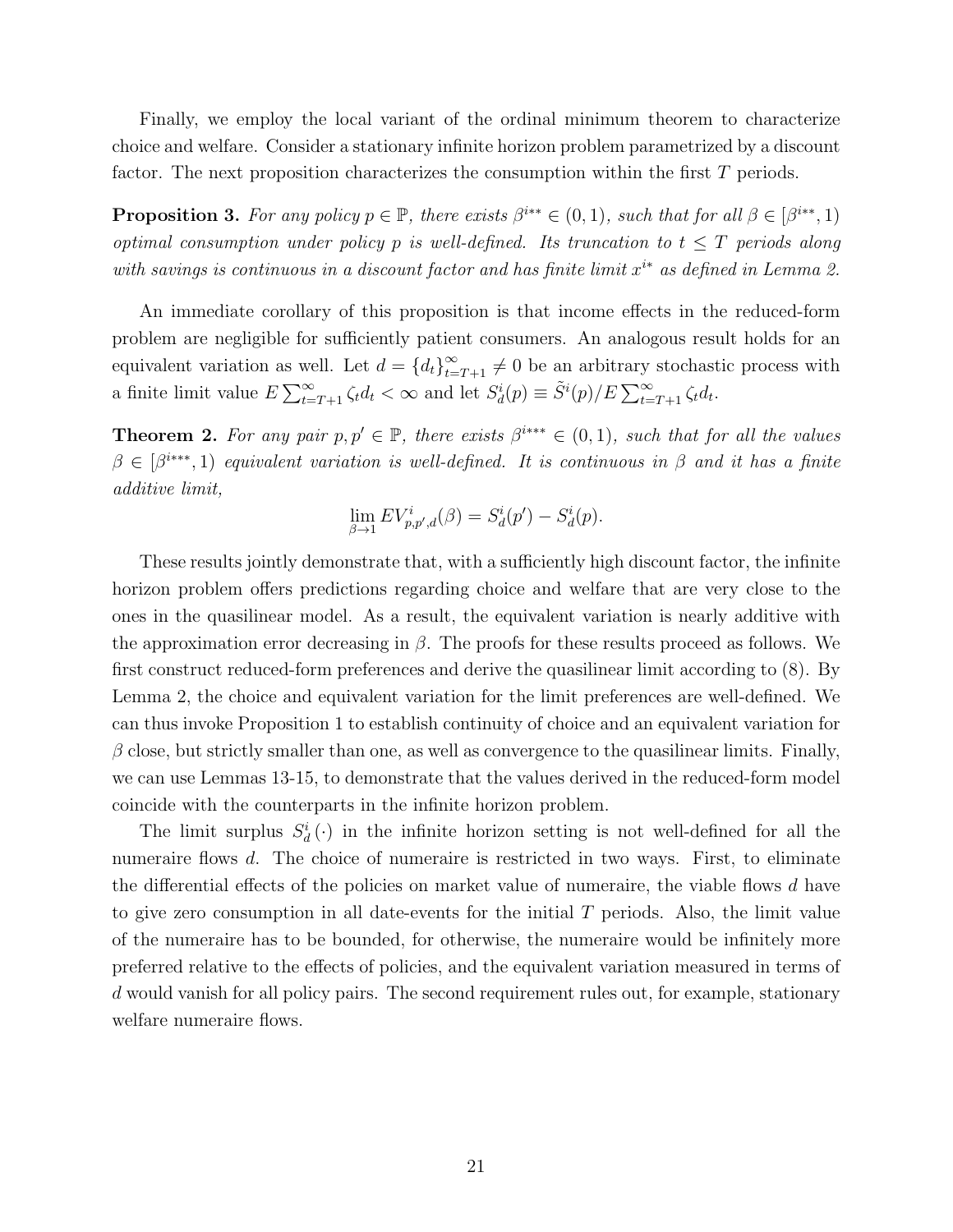Finally, we employ the local variant of the ordinal minimum theorem to characterize choice and welfare. Consider a stationary infinite horizon problem parametrized by a discount factor. The next proposition characterizes the consumption within the first T periods.

**Proposition 3.** For any policy  $p \in \mathbb{P}$ , there exists  $\beta^{i^{**}} \in (0,1)$ , such that for all  $\beta \in [\beta^{i^{**}},1)$ optimal consumption under policy p is well-defined. Its truncation to  $t \leq T$  periods along with savings is continuous in a discount factor and has finite limit  $x^{i*}$  as defined in Lemma 2.

An immediate corollary of this proposition is that income effects in the reduced-form problem are negligible for sufficiently patient consumers. An analogous result holds for an equivalent variation as well. Let  $d = \{d_t\}_{t=T+1}^{\infty} \neq 0$  be an arbitrary stochastic process with a finite limit value  $E \sum_{t=T+1}^{\infty} \zeta_t d_t < \infty$  and let  $S_d^i(p) \equiv \tilde{S}^i(p)/E \sum_{t=T+1}^{\infty} \zeta_t d_t$ .

**Theorem 2.** For any pair  $p, p' \in \mathbb{P}$ , there exists  $\beta^{i**} \in (0, 1)$ , such that for all the values  $\beta \in [\beta^{i**}, 1]$  equivalent variation is well-defined. It is continuous in  $\beta$  and it has a finite additive limit,

$$
\lim_{\beta \to 1} EV_{p,p',d}^i(\beta) = S_d^i(p') - S_d^i(p).
$$

These results jointly demonstrate that, with a sufficiently high discount factor, the infinite horizon problem offers predictions regarding choice and welfare that are very close to the ones in the quasilinear model. As a result, the equivalent variation is nearly additive with the approximation error decreasing in  $\beta$ . The proofs for these results proceed as follows. We first construct reduced-form preferences and derive the quasilinear limit according to (8). By Lemma 2, the choice and equivalent variation for the limit preferences are well-defined. We can thus invoke Proposition 1 to establish continuity of choice and an equivalent variation for  $\beta$  close, but strictly smaller than one, as well as convergence to the quasilinear limits. Finally, we can use Lemmas 13-15, to demonstrate that the values derived in the reduced-form model coincide with the counterparts in the infinite horizon problem.

The limit surplus  $S_d^i(\cdot)$  in the infinite horizon setting is not well-defined for all the numeraire flows d. The choice of numeraire is restricted in two ways. First, to eliminate the differential effects of the policies on market value of numeraire, the viable flows d have to give zero consumption in all date-events for the initial  $T$  periods. Also, the limit value of the numeraire has to be bounded, for otherwise, the numeraire would be infinitely more preferred relative to the effects of policies, and the equivalent variation measured in terms of d would vanish for all policy pairs. The second requirement rules out, for example, stationary welfare numeraire flows.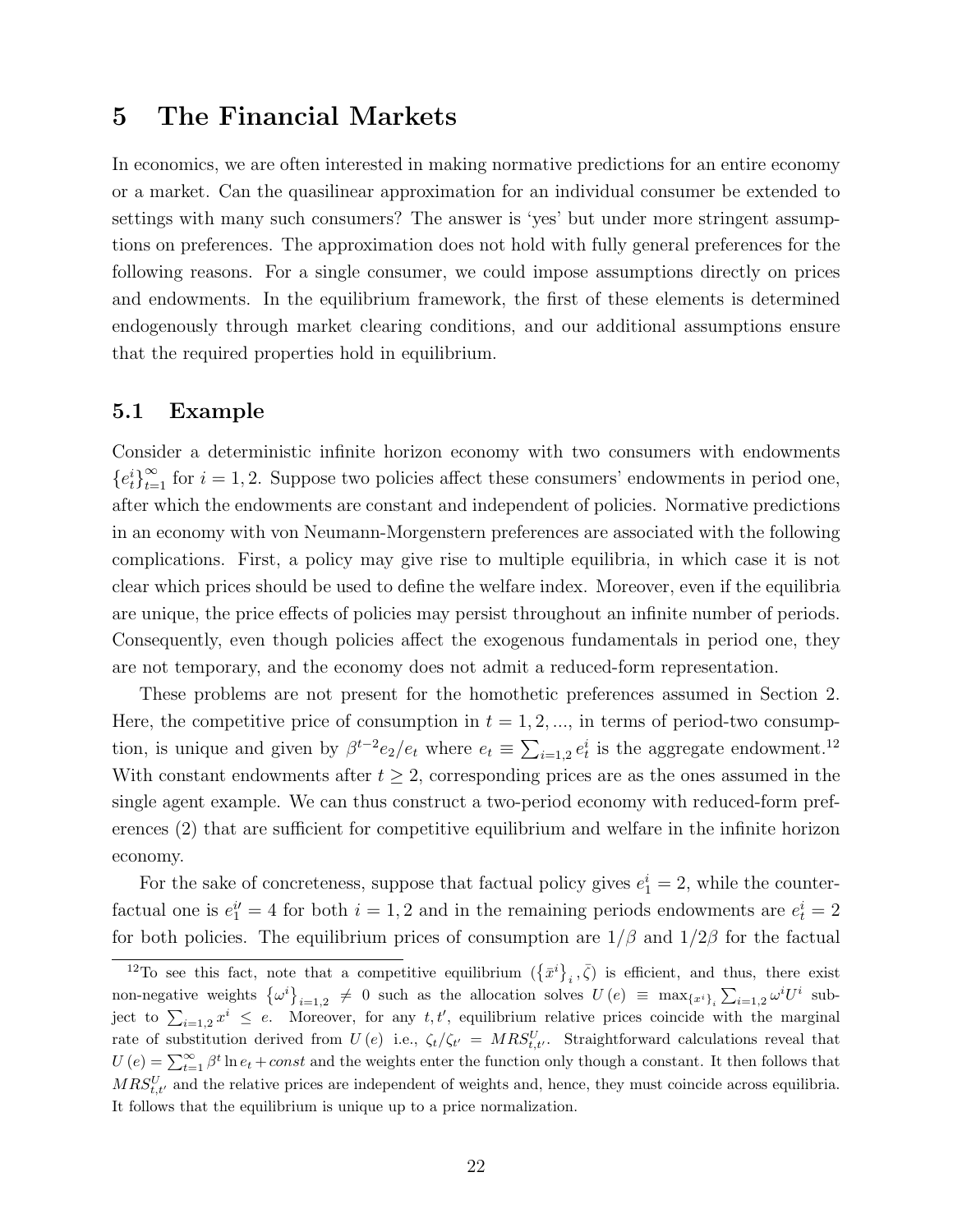# 5 The Financial Markets

In economics, we are often interested in making normative predictions for an entire economy or a market. Can the quasilinear approximation for an individual consumer be extended to settings with many such consumers? The answer is 'yes' but under more stringent assumptions on preferences. The approximation does not hold with fully general preferences for the following reasons. For a single consumer, we could impose assumptions directly on prices and endowments. In the equilibrium framework, the first of these elements is determined endogenously through market clearing conditions, and our additional assumptions ensure that the required properties hold in equilibrium.

### 5.1 Example

Consider a deterministic infinite horizon economy with two consumers with endowments  ${e_t^i}_{i=1}^{\infty}$  for  $i = 1, 2$ . Suppose two policies affect these consumers' endowments in period one, after which the endowments are constant and independent of policies. Normative predictions in an economy with von Neumann-Morgenstern preferences are associated with the following complications. First, a policy may give rise to multiple equilibria, in which case it is not clear which prices should be used to define the welfare index. Moreover, even if the equilibria are unique, the price effects of policies may persist throughout an infinite number of periods. Consequently, even though policies affect the exogenous fundamentals in period one, they are not temporary, and the economy does not admit a reduced-form representation.

These problems are not present for the homothetic preferences assumed in Section 2. Here, the competitive price of consumption in  $t = 1, 2, \dots$ , in terms of period-two consumption, is unique and given by  $\beta^{t-2}e_2/e_t$  where  $e_t \equiv \sum_{i=1,2} e_t^i$  is the aggregate endowment.<sup>12</sup> With constant endowments after  $t \geq 2$ , corresponding prices are as the ones assumed in the single agent example. We can thus construct a two-period economy with reduced-form preferences (2) that are sufficient for competitive equilibrium and welfare in the infinite horizon economy.

For the sake of concreteness, suppose that factual policy gives  $e_1^i = 2$ , while the counterfactual one is  $e_1^{i'} = 4$  for both  $i = 1, 2$  and in the remaining periods endowments are  $e_t^i = 2$ for both policies. The equilibrium prices of consumption are  $1/\beta$  and  $1/2\beta$  for the factual

<sup>&</sup>lt;sup>12</sup>To see this fact, note that a competitive equilibrium  $(\{\bar{x}^i\}_i, \bar{\zeta})$  is efficient, and thus, there exist non-negative weights  $\{\omega^i\}_{i=1,2} \neq 0$  such as the allocation solves  $U(e) \equiv \max_{\{x^i\}_i} \sum_{i=1,2} \omega^i U^i$  subject to  $\sum_{i=1,2} x^i \leq e$ . Moreover, for any t, t', equilibrium relative prices coincide with the marginal rate of substitution derived from  $U(e)$  i.e.,  $\zeta_t/\zeta_{t'} = MRS_{t,t'}^U$ . Straightforward calculations reveal that  $U(e) = \sum_{t=1}^{\infty} \beta^t \ln e_t + const$  and the weights enter the function only though a constant. It then follows that  $MRS_{t,t'}^U$  and the relative prices are independent of weights and, hence, they must coincide across equilibria. It follows that the equilibrium is unique up to a price normalization.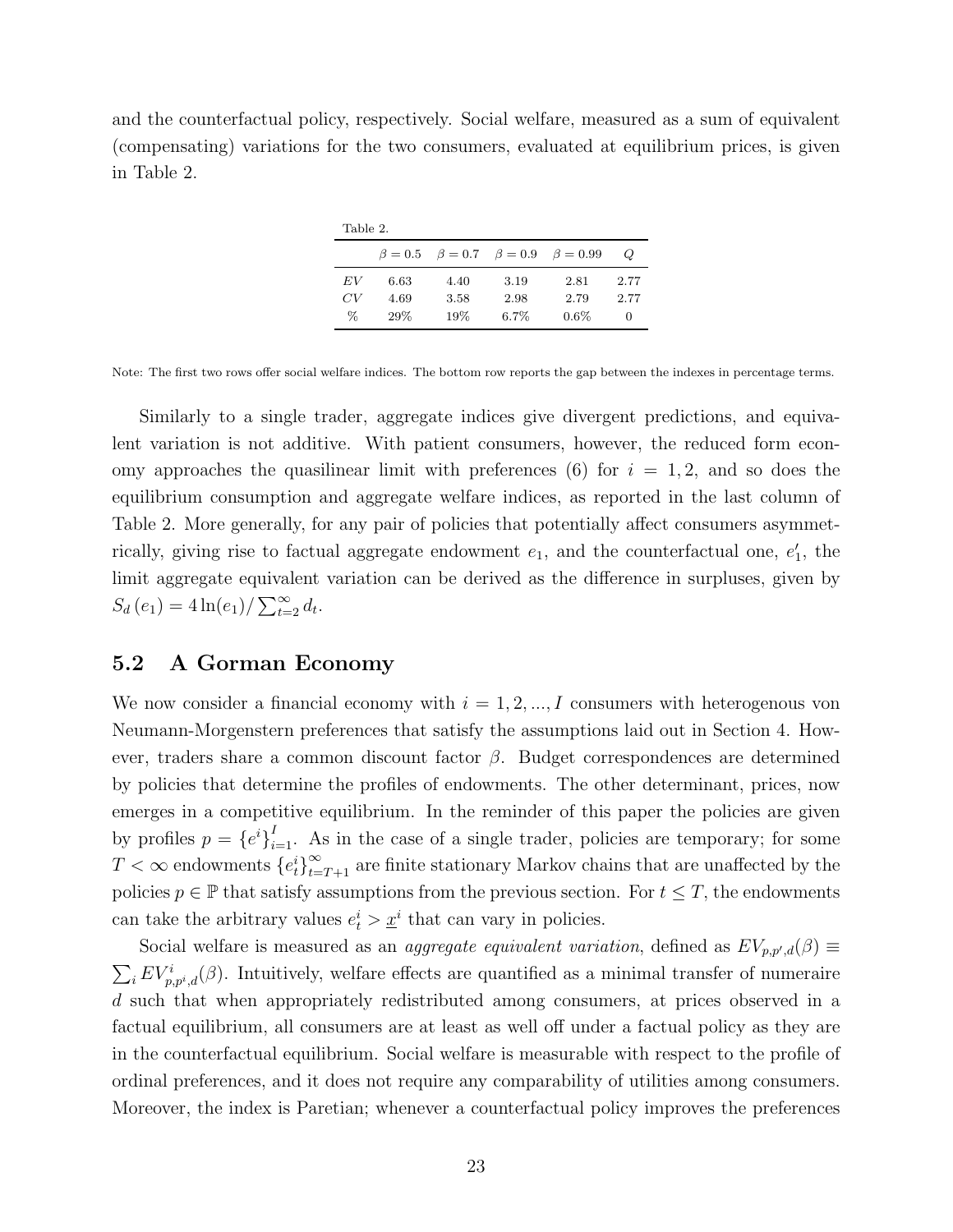and the counterfactual policy, respectively. Social welfare, measured as a sum of equivalent (compensating) variations for the two consumers, evaluated at equilibrium prices, is given in Table 2.

| $\sim$<br>$\sim$<br>$\sim$ |  |
|----------------------------|--|
|                            |  |

|          |              |              |              | $\beta = 0.5$ $\beta = 0.7$ $\beta = 0.9$ $\beta = 0.99$ | $\omega$     |
|----------|--------------|--------------|--------------|----------------------------------------------------------|--------------|
| EV<br>CV | 6.63<br>4.69 | 4.40<br>3.58 | 3.19<br>2.98 | 2.81<br>2.79                                             | 2.77<br>2.77 |
| $\%$     | 29%          | 19%          | $6.7\%$      | $0.6\%$                                                  | $\mathbf{0}$ |

Note: The first two rows offer social welfare indices. The bottom row reports the gap between the indexes in percentage terms.

Similarly to a single trader, aggregate indices give divergent predictions, and equivalent variation is not additive. With patient consumers, however, the reduced form economy approaches the quasilinear limit with preferences (6) for  $i = 1, 2$ , and so does the equilibrium consumption and aggregate welfare indices, as reported in the last column of Table 2. More generally, for any pair of policies that potentially affect consumers asymmetrically, giving rise to factual aggregate endowment  $e_1$ , and the counterfactual one,  $e'_1$ , the limit aggregate equivalent variation can be derived as the difference in surpluses, given by  $S_d(e_1) = 4 \ln(e_1) / \sum_{t=2}^{\infty} d_t.$ 

### 5.2 A Gorman Economy

We now consider a financial economy with  $i = 1, 2, ..., I$  consumers with heterogenous von Neumann-Morgenstern preferences that satisfy the assumptions laid out in Section 4. However, traders share a common discount factor  $\beta$ . Budget correspondences are determined by policies that determine the profiles of endowments. The other determinant, prices, now emerges in a competitive equilibrium. In the reminder of this paper the policies are given by profiles  $p = \{e^{i}\}_{i=1}^{I}$ . As in the case of a single trader, policies are temporary; for some  $T < \infty$  endowments  $\{e_t^i\}_{t=T+1}^{\infty}$  are finite stationary Markov chains that are unaffected by the policies  $p \in \mathbb{P}$  that satisfy assumptions from the previous section. For  $t \leq T$ , the endowments can take the arbitrary values  $e_t^i > \underline{x}^i$  that can vary in policies.

Social welfare is measured as an *aggregate equivalent variation*, defined as  $EV_{p,p',d}(\beta) \equiv$  $\sum_i EV_{p,p^i,d}^i(\beta)$ . Intuitively, welfare effects are quantified as a minimal transfer of numeraire d such that when appropriately redistributed among consumers, at prices observed in a factual equilibrium, all consumers are at least as well off under a factual policy as they are in the counterfactual equilibrium. Social welfare is measurable with respect to the profile of ordinal preferences, and it does not require any comparability of utilities among consumers. Moreover, the index is Paretian; whenever a counterfactual policy improves the preferences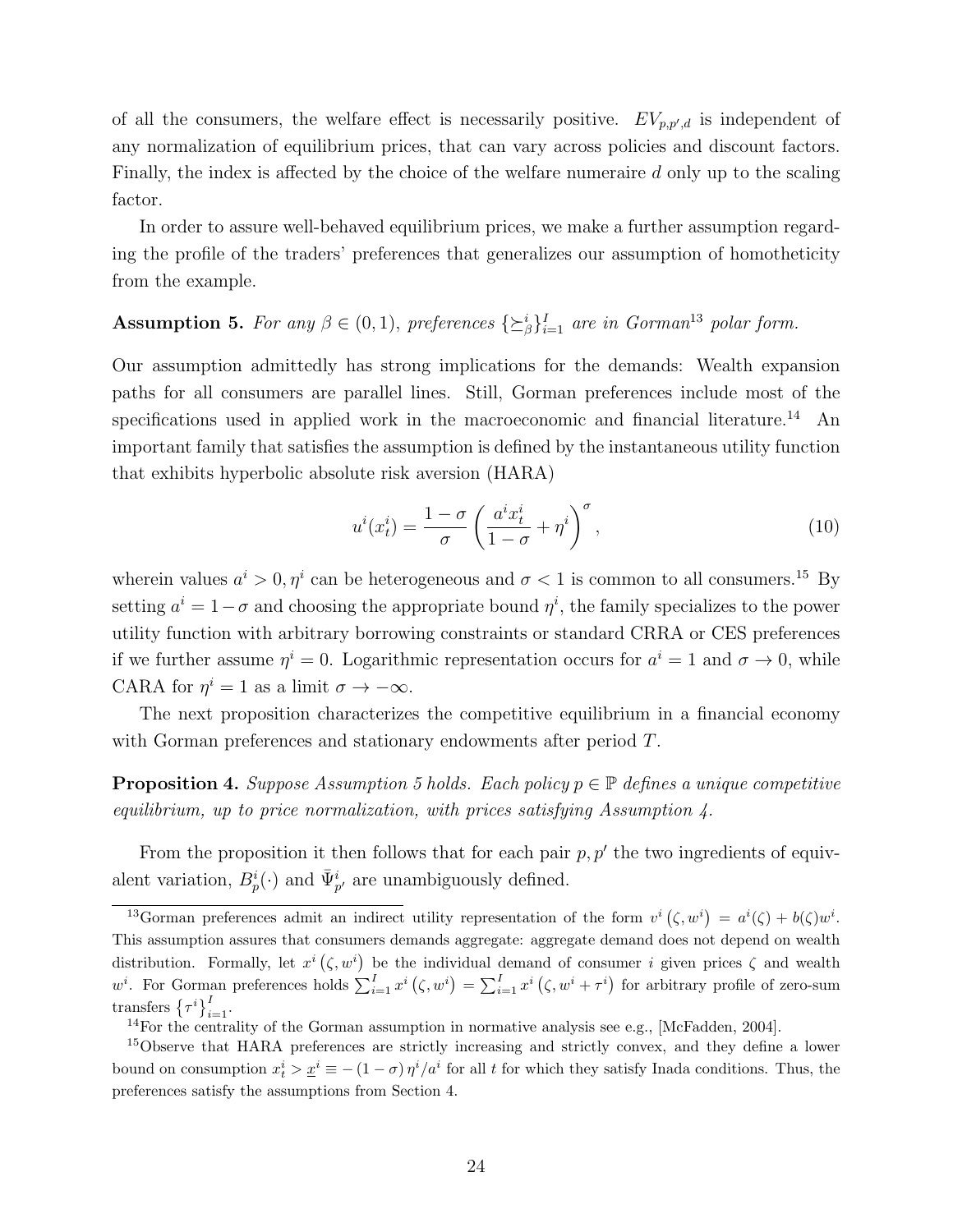of all the consumers, the welfare effect is necessarily positive.  $EV_{p,p',d}$  is independent of any normalization of equilibrium prices, that can vary across policies and discount factors. Finally, the index is affected by the choice of the welfare numeraire d only up to the scaling factor.

In order to assure well-behaved equilibrium prices, we make a further assumption regarding the profile of the traders' preferences that generalizes our assumption of homotheticity from the example.

# **Assumption 5.** For any  $\beta \in (0,1)$ , preferences  $\{\geq^i_\beta\}_{i=1}^I$  are in Gorman<sup>13</sup> polar form.

Our assumption admittedly has strong implications for the demands: Wealth expansion paths for all consumers are parallel lines. Still, Gorman preferences include most of the specifications used in applied work in the macroeconomic and financial literature.<sup>14</sup> An important family that satisfies the assumption is defined by the instantaneous utility function that exhibits hyperbolic absolute risk aversion (HARA)

$$
u^{i}(x_{t}^{i}) = \frac{1-\sigma}{\sigma} \left(\frac{a^{i}x_{t}^{i}}{1-\sigma} + \eta^{i}\right)^{\sigma}, \qquad (10)
$$

wherein values  $a^i > 0, \eta^i$  can be heterogeneous and  $\sigma < 1$  is common to all consumers.<sup>15</sup> By setting  $a^i = 1 - \sigma$  and choosing the appropriate bound  $\eta^i$ , the family specializes to the power utility function with arbitrary borrowing constraints or standard CRRA or CES preferences if we further assume  $\eta^i = 0$ . Logarithmic representation occurs for  $a^i = 1$  and  $\sigma \to 0$ , while CARA for  $\eta^i = 1$  as a limit  $\sigma \to -\infty$ .

The next proposition characterizes the competitive equilibrium in a financial economy with Gorman preferences and stationary endowments after period T.

**Proposition 4.** Suppose Assumption 5 holds. Each policy  $p \in \mathbb{P}$  defines a unique competitive equilibrium, up to price normalization, with prices satisfying Assumption 4.

From the proposition it then follows that for each pair  $p, p'$  the two ingredients of equivalent variation,  $B_p^i(\cdot)$  and  $\bar{\Psi}_{p'}^i$  are unambiguously defined.

<sup>&</sup>lt;sup>13</sup>Gorman preferences admit an indirect utility representation of the form  $v^i(\zeta, w^i) = a^i(\zeta) + b(\zeta)w^i$ . This assumption assures that consumers demands aggregate: aggregate demand does not depend on wealth distribution. Formally, let  $x^i(\zeta, w^i)$  be the individual demand of consumer i given prices  $\zeta$  and wealth  $w^{i}$ . For Gorman preferences holds  $\sum_{i=1}^{I} x^{i} (\zeta, w^{i}) = \sum_{i=1}^{I} x^{i} (\zeta, w^{i} + \tau^{i})$  for arbitrary profile of zero-sum transfers  $\{\tau^i\}_{i=1}^I$ .

<sup>&</sup>lt;sup>14</sup>For the centrality of the Gorman assumption in normative analysis see e.g., [McFadden, 2004].

<sup>&</sup>lt;sup>15</sup>Observe that HARA preferences are strictly increasing and strictly convex, and they define a lower bound on consumption  $x_t^i > \underline{x}^i \equiv -(1-\sigma)\eta^i/a^i$  for all t for which they satisfy Inada conditions. Thus, the preferences satisfy the assumptions from Section 4.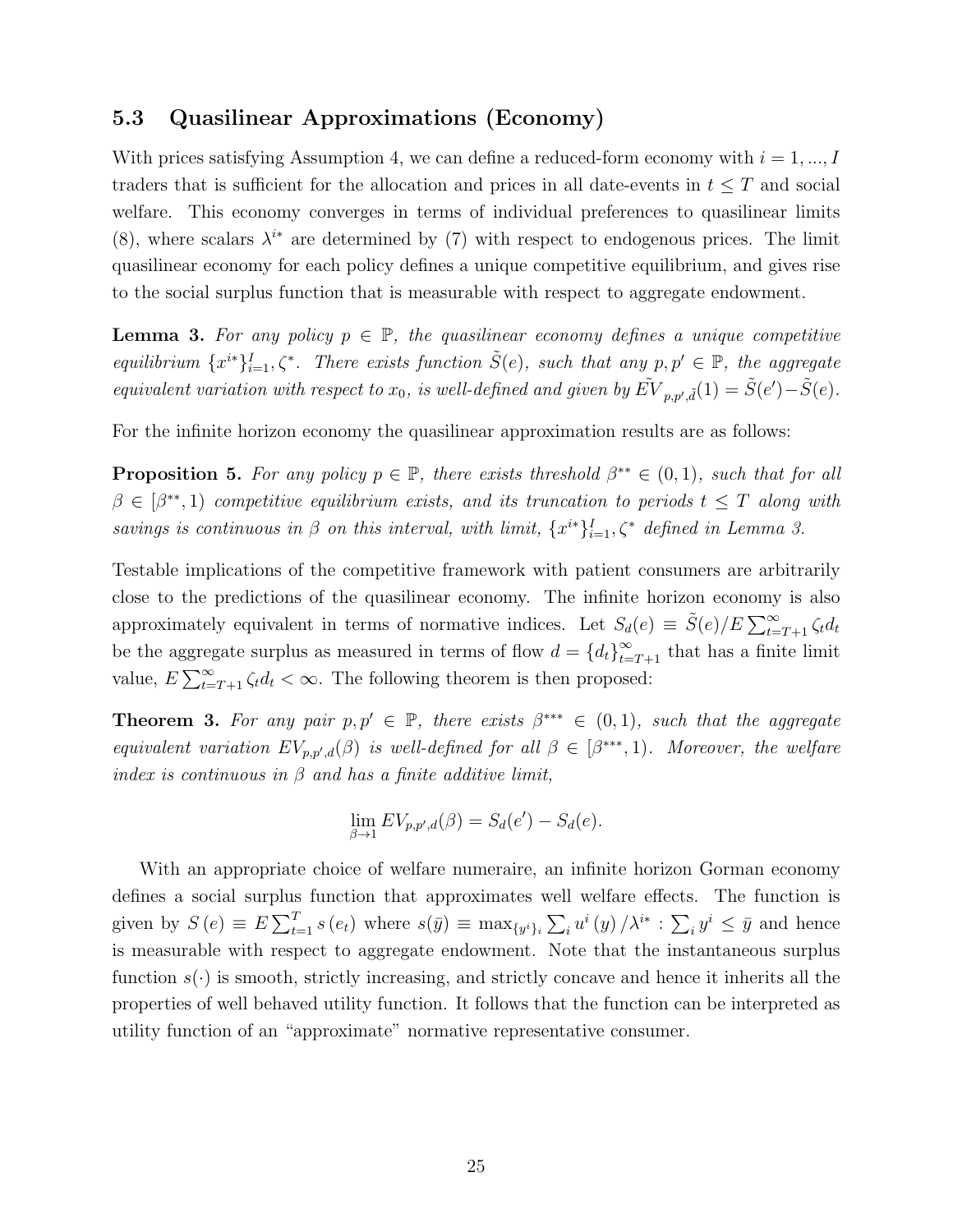## 5.3 Quasilinear Approximations (Economy)

With prices satisfying Assumption 4, we can define a reduced-form economy with  $i = 1, ..., I$ traders that is sufficient for the allocation and prices in all date-events in  $t \leq T$  and social welfare. This economy converges in terms of individual preferences to quasilinear limits (8), where scalars  $\lambda^{i*}$  are determined by (7) with respect to endogenous prices. The limit quasilinear economy for each policy defines a unique competitive equilibrium, and gives rise to the social surplus function that is measurable with respect to aggregate endowment.

**Lemma 3.** For any policy  $p \in \mathbb{P}$ , the quasilinear economy defines a unique competitive equilibrium  $\{x^{i*}\}_{i=1}^I$ ,  $\zeta^*$ . There exists function  $\tilde{S}(e)$ , such that any  $p, p' \in \mathbb{P}$ , the aggregate equivalent variation with respect to  $x_0$ , is well-defined and given by  $\tilde{EV}_{p,p',\tilde{d}}(1) = \tilde{S}(e') - \tilde{S}(e)$ .

For the infinite horizon economy the quasilinear approximation results are as follows:

**Proposition 5.** For any policy  $p \in \mathbb{P}$ , there exists threshold  $\beta^{**} \in (0,1)$ , such that for all  $\beta \in [\beta^{**}, 1]$  competitive equilibrium exists, and its truncation to periods  $t \leq T$  along with savings is continuous in  $\beta$  on this interval, with limit,  $\{x^{i*}\}_{i=1}^I$ ,  $\zeta^*$  defined in Lemma 3.

Testable implications of the competitive framework with patient consumers are arbitrarily close to the predictions of the quasilinear economy. The infinite horizon economy is also approximately equivalent in terms of normative indices. Let  $S_d(e) \equiv \tilde{S}(e)/E \sum_{t=T+1}^{\infty} \zeta_t d_t$ be the aggregate surplus as measured in terms of flow  $d = \{d_t\}_{t=T+1}^{\infty}$  that has a finite limit value,  $E \sum_{t=T+1}^{\infty} \zeta_t d_t < \infty$ . The following theorem is then proposed:

**Theorem 3.** For any pair  $p, p' \in \mathbb{P}$ , there exists  $\beta^{**} \in (0, 1)$ , such that the aggregate equivalent variation  $EV_{p,p',d}(\beta)$  is well-defined for all  $\beta \in [\beta^{***},1)$ . Moreover, the welfare index is continuous in  $\beta$  and has a finite additive limit,

$$
\lim_{\beta \to 1} EV_{p,p',d}(\beta) = S_d(e') - S_d(e).
$$

With an appropriate choice of welfare numeraire, an infinite horizon Gorman economy defines a social surplus function that approximates well welfare effects. The function is given by  $S(e) \equiv E \sum_{t=1}^{T} s(e_t)$  where  $s(\bar{y}) \equiv \max_{\{y^i\}_i} \sum_i u^i(y) / \lambda^{i*} : \sum_i y^i \leq \bar{y}$  and hence is measurable with respect to aggregate endowment. Note that the instantaneous surplus function  $s(\cdot)$  is smooth, strictly increasing, and strictly concave and hence it inherits all the properties of well behaved utility function. It follows that the function can be interpreted as utility function of an "approximate" normative representative consumer.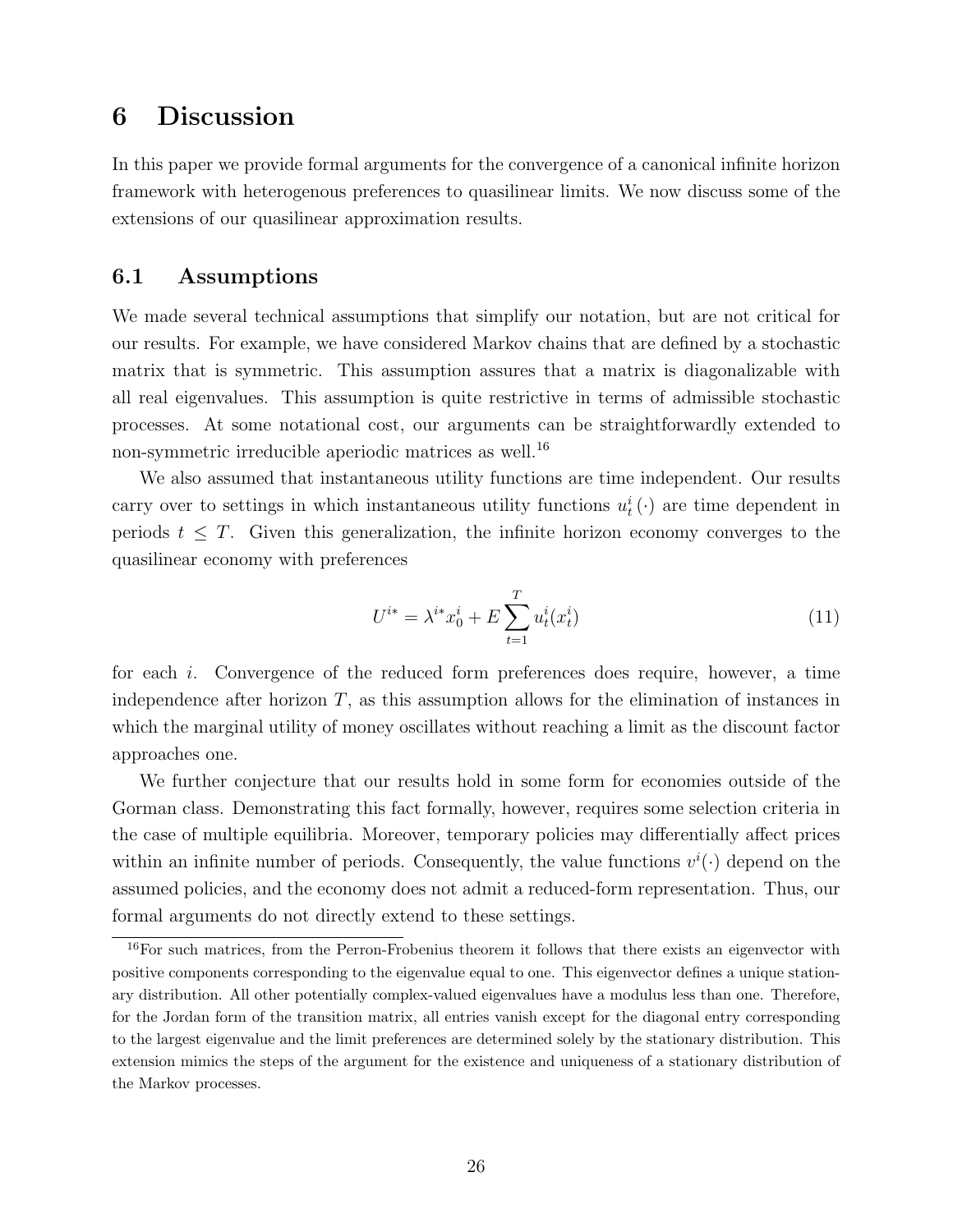# 6 Discussion

In this paper we provide formal arguments for the convergence of a canonical infinite horizon framework with heterogenous preferences to quasilinear limits. We now discuss some of the extensions of our quasilinear approximation results.

## 6.1 Assumptions

We made several technical assumptions that simplify our notation, but are not critical for our results. For example, we have considered Markov chains that are defined by a stochastic matrix that is symmetric. This assumption assures that a matrix is diagonalizable with all real eigenvalues. This assumption is quite restrictive in terms of admissible stochastic processes. At some notational cost, our arguments can be straightforwardly extended to non-symmetric irreducible aperiodic matrices as well.<sup>16</sup>

We also assumed that instantaneous utility functions are time independent. Our results carry over to settings in which instantaneous utility functions  $u_t^i(\cdot)$  are time dependent in periods  $t \leq T$ . Given this generalization, the infinite horizon economy converges to the quasilinear economy with preferences

$$
U^{i*} = \lambda^{i*} x_0^i + E \sum_{t=1}^T u_t^i(x_t^i)
$$
\n(11)

for each i. Convergence of the reduced form preferences does require, however, a time independence after horizon  $T$ , as this assumption allows for the elimination of instances in which the marginal utility of money oscillates without reaching a limit as the discount factor approaches one.

We further conjecture that our results hold in some form for economies outside of the Gorman class. Demonstrating this fact formally, however, requires some selection criteria in the case of multiple equilibria. Moreover, temporary policies may differentially affect prices within an infinite number of periods. Consequently, the value functions  $v^i(\cdot)$  depend on the assumed policies, and the economy does not admit a reduced-form representation. Thus, our formal arguments do not directly extend to these settings.

<sup>16</sup>For such matrices, from the Perron-Frobenius theorem it follows that there exists an eigenvector with positive components corresponding to the eigenvalue equal to one. This eigenvector defines a unique stationary distribution. All other potentially complex-valued eigenvalues have a modulus less than one. Therefore, for the Jordan form of the transition matrix, all entries vanish except for the diagonal entry corresponding to the largest eigenvalue and the limit preferences are determined solely by the stationary distribution. This extension mimics the steps of the argument for the existence and uniqueness of a stationary distribution of the Markov processes.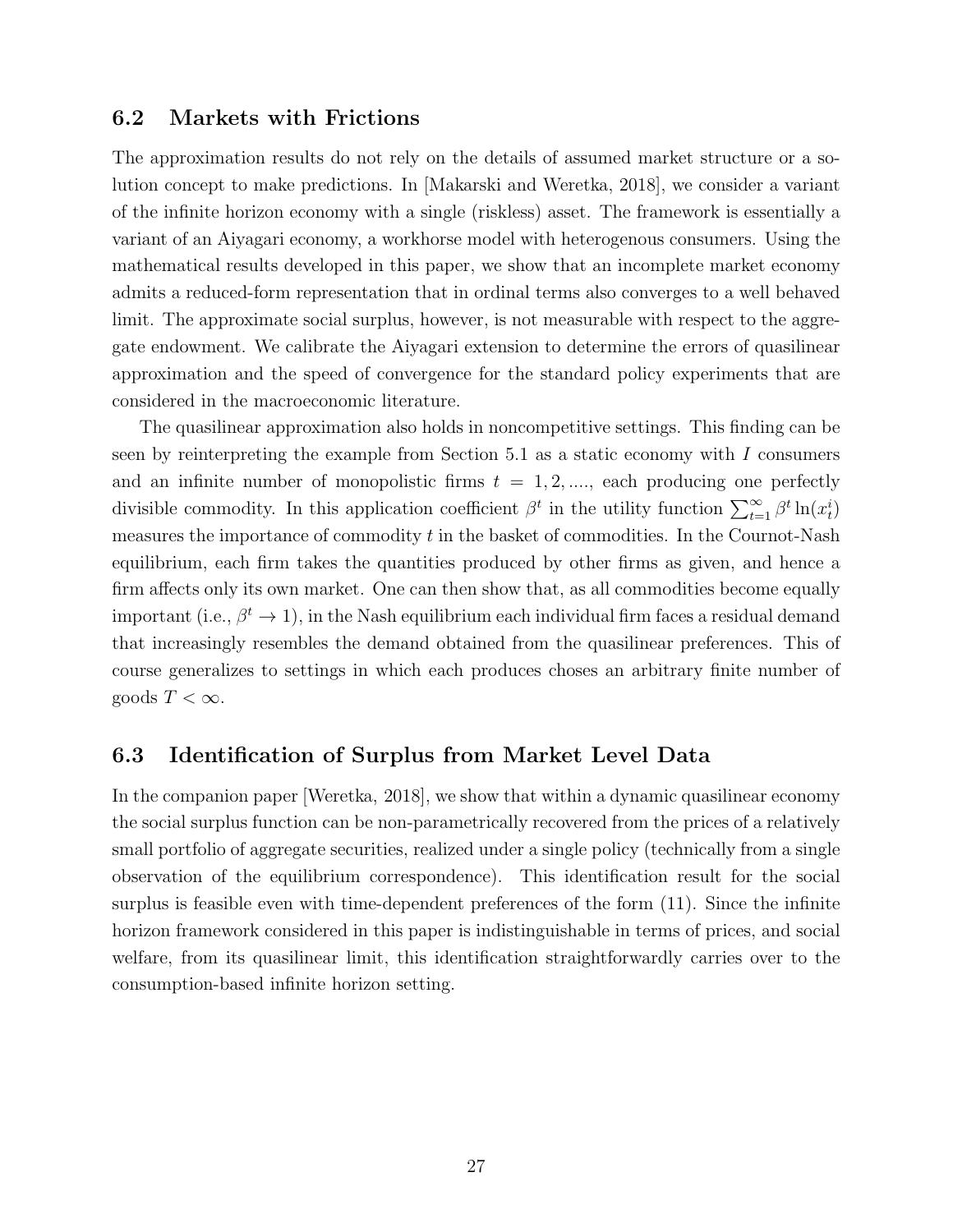## 6.2 Markets with Frictions

The approximation results do not rely on the details of assumed market structure or a solution concept to make predictions. In [Makarski and Weretka, 2018], we consider a variant of the infinite horizon economy with a single (riskless) asset. The framework is essentially a variant of an Aiyagari economy, a workhorse model with heterogenous consumers. Using the mathematical results developed in this paper, we show that an incomplete market economy admits a reduced-form representation that in ordinal terms also converges to a well behaved limit. The approximate social surplus, however, is not measurable with respect to the aggregate endowment. We calibrate the Aiyagari extension to determine the errors of quasilinear approximation and the speed of convergence for the standard policy experiments that are considered in the macroeconomic literature.

The quasilinear approximation also holds in noncompetitive settings. This finding can be seen by reinterpreting the example from Section 5.1 as a static economy with  $I$  consumers and an infinite number of monopolistic firms  $t = 1, 2, \dots$ , each producing one perfectly divisible commodity. In this application coefficient  $\beta^t$  in the utility function  $\sum_{t=1}^{\infty} \beta^t \ln(x_t^i)$ measures the importance of commodity  $t$  in the basket of commodities. In the Cournot-Nash equilibrium, each firm takes the quantities produced by other firms as given, and hence a firm affects only its own market. One can then show that, as all commodities become equally important (i.e.,  $\beta^t \to 1$ ), in the Nash equilibrium each individual firm faces a residual demand that increasingly resembles the demand obtained from the quasilinear preferences. This of course generalizes to settings in which each produces choses an arbitrary finite number of goods  $T < \infty$ .

## 6.3 Identification of Surplus from Market Level Data

In the companion paper [Weretka, 2018], we show that within a dynamic quasilinear economy the social surplus function can be non-parametrically recovered from the prices of a relatively small portfolio of aggregate securities, realized under a single policy (technically from a single observation of the equilibrium correspondence). This identification result for the social surplus is feasible even with time-dependent preferences of the form (11). Since the infinite horizon framework considered in this paper is indistinguishable in terms of prices, and social welfare, from its quasilinear limit, this identification straightforwardly carries over to the consumption-based infinite horizon setting.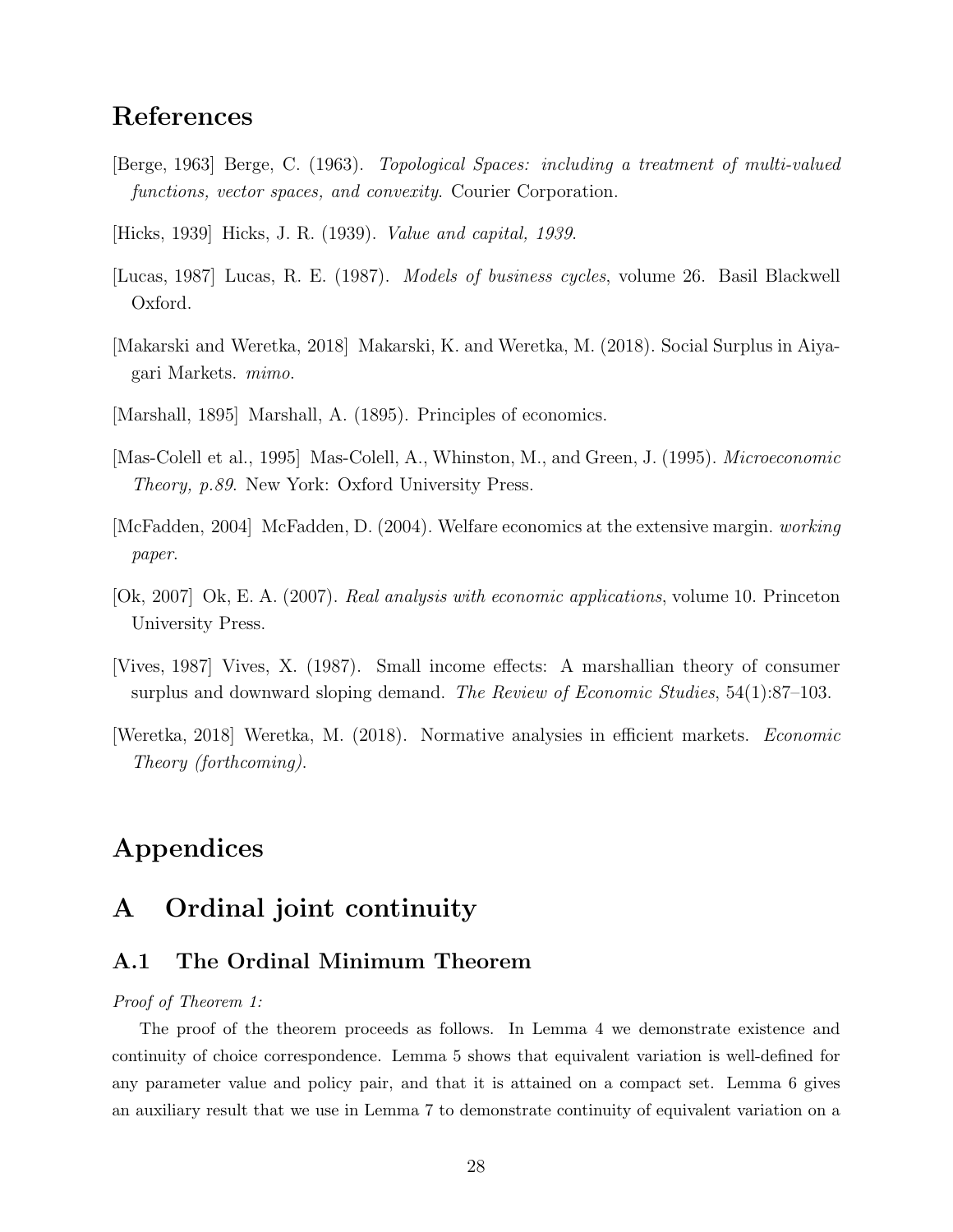# References

- [Berge, 1963] Berge, C. (1963). Topological Spaces: including a treatment of multi-valued functions, vector spaces, and convexity. Courier Corporation.
- [Hicks, 1939] Hicks, J. R. (1939). Value and capital, 1939.
- [Lucas, 1987] Lucas, R. E. (1987). Models of business cycles, volume 26. Basil Blackwell Oxford.
- [Makarski and Weretka, 2018] Makarski, K. and Weretka, M. (2018). Social Surplus in Aiyagari Markets. mimo.
- [Marshall, 1895] Marshall, A. (1895). Principles of economics.
- [Mas-Colell et al., 1995] Mas-Colell, A., Whinston, M., and Green, J. (1995). Microeconomic Theory, p.89. New York: Oxford University Press.
- [McFadden, 2004] McFadden, D. (2004). Welfare economics at the extensive margin. working paper.
- [Ok, 2007] Ok, E. A. (2007). Real analysis with economic applications, volume 10. Princeton University Press.
- [Vives, 1987] Vives, X. (1987). Small income effects: A marshallian theory of consumer surplus and downward sloping demand. The Review of Economic Studies, 54(1):87–103.
- [Weretka, 2018] Weretka, M. (2018). Normative analysies in efficient markets. Economic Theory (forthcoming).

# Appendices

# A Ordinal joint continuity

## A.1 The Ordinal Minimum Theorem

#### Proof of Theorem 1:

The proof of the theorem proceeds as follows. In Lemma 4 we demonstrate existence and continuity of choice correspondence. Lemma 5 shows that equivalent variation is well-defined for any parameter value and policy pair, and that it is attained on a compact set. Lemma 6 gives an auxiliary result that we use in Lemma 7 to demonstrate continuity of equivalent variation on a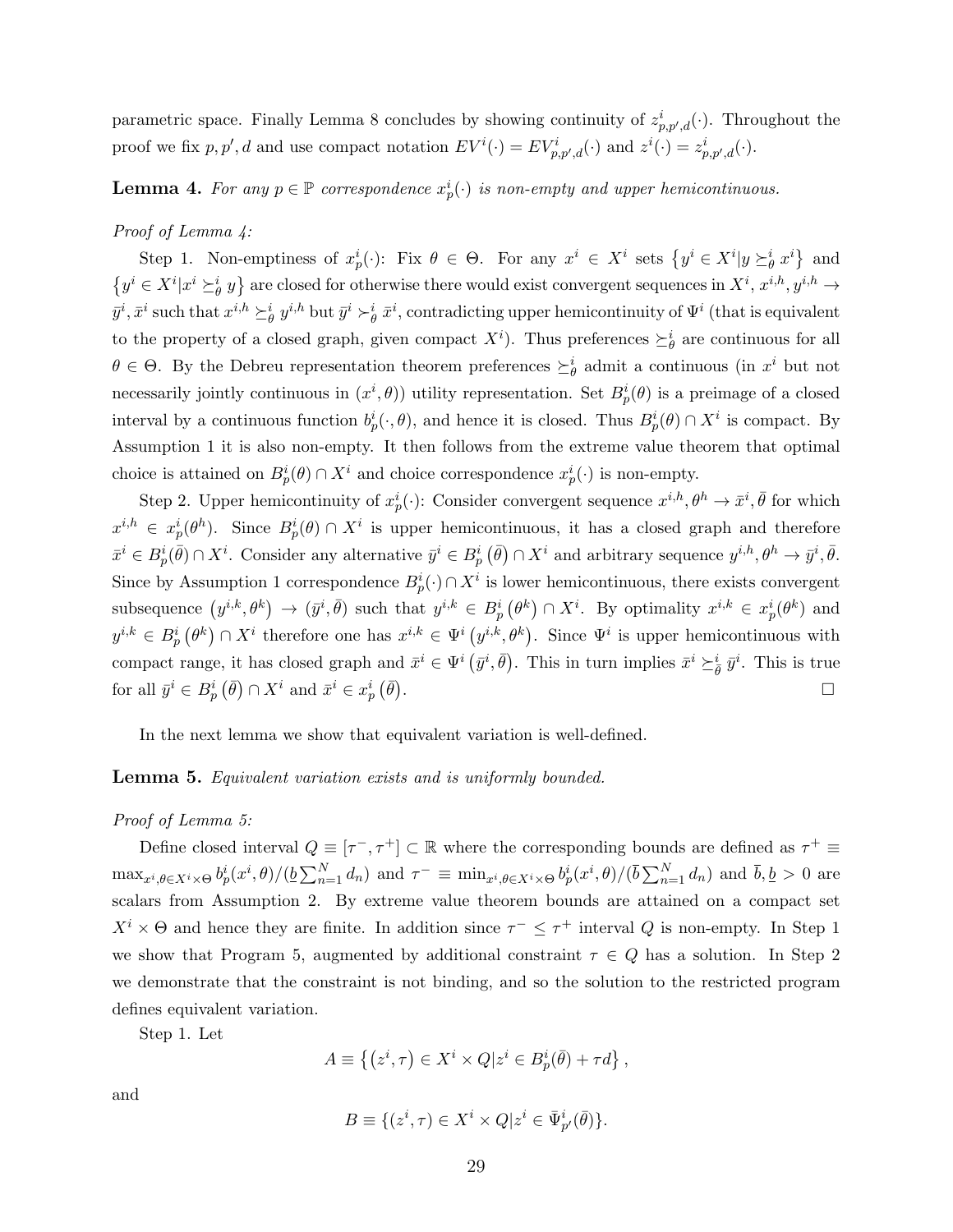parametric space. Finally Lemma 8 concludes by showing continuity of  $z_{p,p',d}^i(\cdot)$ . Throughout the proof we fix  $p, p', d$  and use compact notation  $EV^{i}(\cdot) = EV^{i}_{p, p', d}(\cdot)$  and  $z^{i}(\cdot) = z^{i}_{p, p', d}(\cdot)$ .

# **Lemma 4.** For any  $p \in \mathbb{P}$  correspondence  $x_p^i(\cdot)$  is non-empty and upper hemicontinuous.

#### Proof of Lemma  $\frac{1}{4}$ :

Step 1. Non-emptiness of  $x_p^i(\cdot)$ : Fix  $\theta \in \Theta$ . For any  $x^i \in X^i$  sets  $\{y^i \in X^i | y \succeq^i_{\theta} x^i\}$  and  $\{y^i \in X^i | x^i \succeq^i_{\theta} y\}$  are closed for otherwise there would exist convergent sequences in  $X^i, x^{i,h}, y^{i,h} \to$  $\bar{y}^i, \bar{x}^i$  such that  $x^{i,h} \succeq^i_{\theta} y^{i,h}$  but  $\bar{y}^i \succ^i_{\theta} \bar{x}^i$ , contradicting upper hemicontinuity of  $\Psi^i$  (that is equivalent to the property of a closed graph, given compact  $X^i$ ). Thus preferences  $\succeq_{\theta}^i$  are continuous for all  $\theta \in \Theta$ . By the Debreu representation theorem preferences  $\succeq_{\theta}^{i}$  admit a continuous (in  $x^{i}$  but not necessarily jointly continuous in  $(x^i, \theta)$  utility representation. Set  $B_p^i(\theta)$  is a preimage of a closed interval by a continuous function  $b_p^i(\cdot, \theta)$ , and hence it is closed. Thus  $B_p^i(\theta) \cap X^i$  is compact. By Assumption 1 it is also non-empty. It then follows from the extreme value theorem that optimal choice is attained on  $B_p^i(\theta) \cap X^i$  and choice correspondence  $x_p^i(\cdot)$  is non-empty.

Step 2. Upper hemicontinuity of  $x_p^i(\cdot)$ : Consider convergent sequence  $x^{i,h}, \theta^h \to \bar{x}^i, \bar{\theta}$  for which  $x^{i,h} \in x^i_p(\theta^h)$ . Since  $B^i_p(\theta) \cap X^i$  is upper hemicontinuous, it has a closed graph and therefore  $\bar{x}^i \in B_p^i(\bar{\theta}) \cap X^i$ . Consider any alternative  $\bar{y}^i \in B_p^i(\bar{\theta}) \cap X^i$  and arbitrary sequence  $y^{i,h}, \theta^h \to \bar{y}^i, \bar{\theta}$ . Since by Assumption 1 correspondence  $B_p^i(·) \cap X^i$  is lower hemicontinuous, there exists convergent subsequence  $(y^{i,k}, \theta^k) \to (\bar{y}^i, \bar{\theta})$  such that  $y^{i,k} \in B_p^i(\theta^k) \cap X^i$ . By optimality  $x^{i,k} \in x_p^i(\theta^k)$  and  $y^{i,k} \in B_p^i(\theta^k) \cap X^i$  therefore one has  $x^{i,k} \in \Psi^i(y^{i,k},\theta^k)$ . Since  $\Psi^i$  is upper hemicontinuous with compact range, it has closed graph and  $\bar{x}^i \in \Psi^i(\bar{y}^i, \bar{\theta})$ . This in turn implies  $\bar{x}^i \succeq_{\bar{\theta}}^i \bar{y}^i$ . This is true for all  $\bar{y}^i \in B_p^i(\bar{\theta}) \cap X^i$  and  $\bar{x}^i \in x_p^i(\bar{\theta})$ . В последните поставите на селото на селото на селото на селото на селото на селото на селото на селото на се<br>Селото на селото на селото на селото на селото на селото на селото на селото на селото на селото на селото на

In the next lemma we show that equivalent variation is well-defined.

#### Lemma 5. Equivalent variation exists and is uniformly bounded.

#### Proof of Lemma 5:

Define closed interval  $Q \equiv [\tau^-, \tau^+] \subset \mathbb{R}$  where the corresponding bounds are defined as  $\tau^+ \equiv$  $\max_{x^i,\theta\in X^i\times\Theta} b_p^i(x^i,\theta)/(\underline{b}\sum_{n=1}^N d_n)$  and  $\tau^- \equiv \min_{x^i,\theta\in X^i\times\Theta} b_p^i(x^i,\theta)/(\overline{b}\sum_{n=1}^N d_n)$  and  $\overline{b},\underline{b} > 0$  are scalars from Assumption 2. By extreme value theorem bounds are attained on a compact set  $X^i \times \Theta$  and hence they are finite. In addition since  $\tau^- \leq \tau^+$  interval Q is non-empty. In Step 1 we show that Program 5, augmented by additional constraint  $\tau \in Q$  has a solution. In Step 2 we demonstrate that the constraint is not binding, and so the solution to the restricted program defines equivalent variation.

Step 1. Let

$$
A \equiv \left\{ \left( z^i, \tau \right) \in X^i \times Q | z^i \in B_p^i(\bar{\theta}) + \tau d \right\},\,
$$

and

$$
B \equiv \{ (z^i, \tau) \in X^i \times Q | z^i \in \bar{\Psi}_{p'}^i(\bar{\theta}) \}.
$$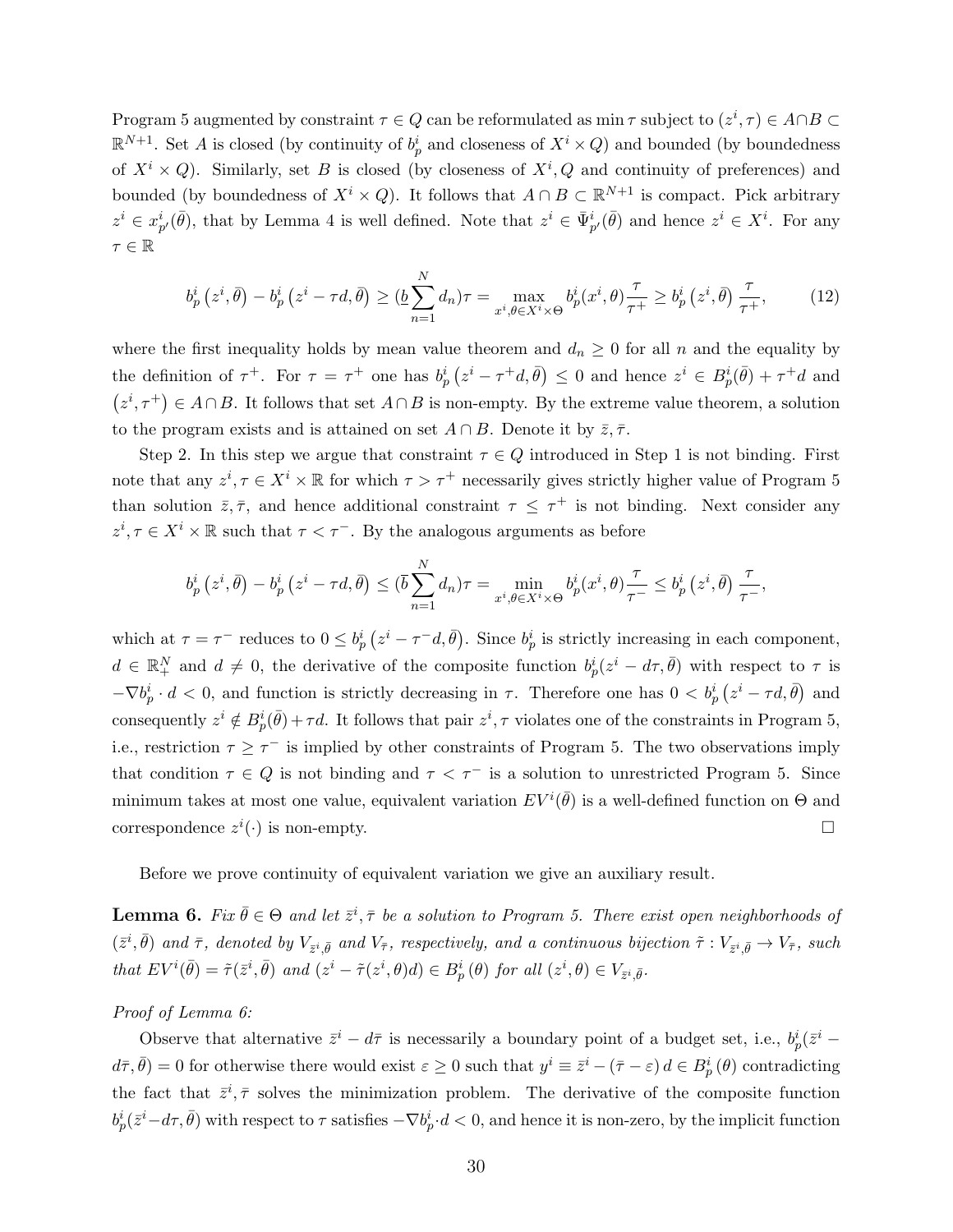Program 5 augmented by constraint  $\tau \in Q$  can be reformulated as min  $\tau$  subject to  $(z^i, \tau) \in A \cap B$   $\subset$  $\mathbb{R}^{N+1}$ . Set A is closed (by continuity of  $b_p^i$  and closeness of  $X^i \times Q$ ) and bounded (by boundedness of  $X^i \times Q$ ). Similarly, set B is closed (by closeness of  $X^i$ , Q and continuity of preferences) and bounded (by boundedness of  $X^i \times Q$ ). It follows that  $A \cap B \subset \mathbb{R}^{N+1}$  is compact. Pick arbitrary  $z^i \in x_{p'}^i(\bar{\theta})$ , that by Lemma 4 is well defined. Note that  $z^i \in \bar{\Psi}_{p'}^i(\bar{\theta})$  and hence  $z^i \in X^i$ . For any  $\tau \in \mathbb{R}$ 

$$
b_p^i(z^i, \bar{\theta}) - b_p^i(z^i - \tau d, \bar{\theta}) \ge (\underline{b} \sum_{n=1}^N d_n) \tau = \max_{x^i, \theta \in X^i \times \Theta} b_p^i(x^i, \theta) \frac{\tau}{\tau^+} \ge b_p^i(z^i, \bar{\theta}) \frac{\tau}{\tau^+},
$$
(12)

where the first inequality holds by mean value theorem and  $d_n \geq 0$  for all n and the equality by the definition of  $\tau^+$ . For  $\tau = \tau^+$  one has  $b_p^i(z^i - \tau^+ d, \bar{\theta}) \leq 0$  and hence  $z^i \in B_p^i(\bar{\theta}) + \tau^+ d$  and  $(z^i, \tau^+) \in A \cap B$ . It follows that set  $A \cap B$  is non-empty. By the extreme value theorem, a solution to the program exists and is attained on set  $A \cap B$ . Denote it by  $\overline{z}, \overline{\tau}$ .

Step 2. In this step we argue that constraint  $\tau \in Q$  introduced in Step 1 is not binding. First note that any  $z^i, \tau \in X^i \times \mathbb{R}$  for which  $\tau > \tau^+$  necessarily gives strictly higher value of Program 5 than solution  $\bar{z}, \bar{\tau}$ , and hence additional constraint  $\tau \leq \tau^+$  is not binding. Next consider any  $z^i, \tau \in X^i \times \mathbb{R}$  such that  $\tau < \tau^-$ . By the analogous arguments as before

$$
b_p^i(z^i, \bar{\theta}) - b_p^i(z^i - \tau d, \bar{\theta}) \le (\bar{b} \sum_{n=1}^N d_n)\tau = \min_{x^i, \theta \in X^i \times \Theta} b_p^i(x^i, \theta) \frac{\tau}{\tau} \le b_p^i(z^i, \bar{\theta}) \frac{\tau}{\tau},
$$

which at  $\tau = \tau^-$  reduces to  $0 \leq b_p^i (z^i - \tau^- d, \bar{\theta})$ . Since  $b_p^i$  is strictly increasing in each component,  $d \in \mathbb{R}^N_+$  and  $d \neq 0$ , the derivative of the composite function  $b_p^i(z^i - d\tau, \bar{\theta})$  with respect to  $\tau$  is  $-\nabla b_p^i \cdot d < 0$ , and function is strictly decreasing in  $\tau$ . Therefore one has  $0 < b_p^i (z^i - \tau d, \bar{\theta})$  and consequently  $z^i \notin B_p^i(\bar{\theta}) + \tau d$ . It follows that pair  $z^i, \tau$  violates one of the constraints in Program 5, i.e., restriction  $\tau \geq \tau^{-}$  is implied by other constraints of Program 5. The two observations imply that condition  $\tau \in Q$  is not binding and  $\tau < \tau^-$  is a solution to unrestricted Program 5. Since minimum takes at most one value, equivalent variation  $EV^{i}(\bar{\theta})$  is a well-defined function on  $\Theta$  and correspondence  $z^i(\cdot)$  is non-empty.

Before we prove continuity of equivalent variation we give an auxiliary result.

**Lemma 6.** Fix  $\bar{\theta} \in \Theta$  and let  $\bar{z}^i$ ,  $\bar{\tau}$  be a solution to Program 5. There exist open neighborhoods of  $(\bar{z}^i, \bar{\theta})$  and  $\bar{\tau}$ , denoted by  $V_{\bar{z}^i, \bar{\theta}}$  and  $V_{\bar{\tau}}$ , respectively, and a continuous bijection  $\tilde{\tau}: V_{\bar{z}^i, \bar{\theta}} \to V_{\bar{\tau}}$ , such that  $EV^i(\bar{\theta}) = \tilde{\tau}(\bar{z}^i, \bar{\theta})$  and  $(z^i - \tilde{\tau}(z^i, \theta)) \in B_p^i(\theta)$  for all  $(z^i, \theta) \in V_{\bar{z}^i, \bar{\theta}}$ .

#### Proof of Lemma 6:

Observe that alternative  $\bar{z}^i - d\bar{\tau}$  is necessarily a boundary point of a budget set, i.e.,  $b_p^i(\bar{z}^i$  $d\bar{\tau}, \bar{\theta}$  = 0 for otherwise there would exist  $\varepsilon \geq 0$  such that  $y^i \equiv \bar{z}^i - (\bar{\tau} - \varepsilon) d \in B_p^i(\theta)$  contradicting the fact that  $\bar{z}^i$ ,  $\bar{\tau}$  solves the minimization problem. The derivative of the composite function  $b_p^i(\bar{z}^i-d\tau,\bar{\theta})$  with respect to  $\tau$  satisfies  $-\nabla b_p^i\cdot d < 0$ , and hence it is non-zero, by the implicit function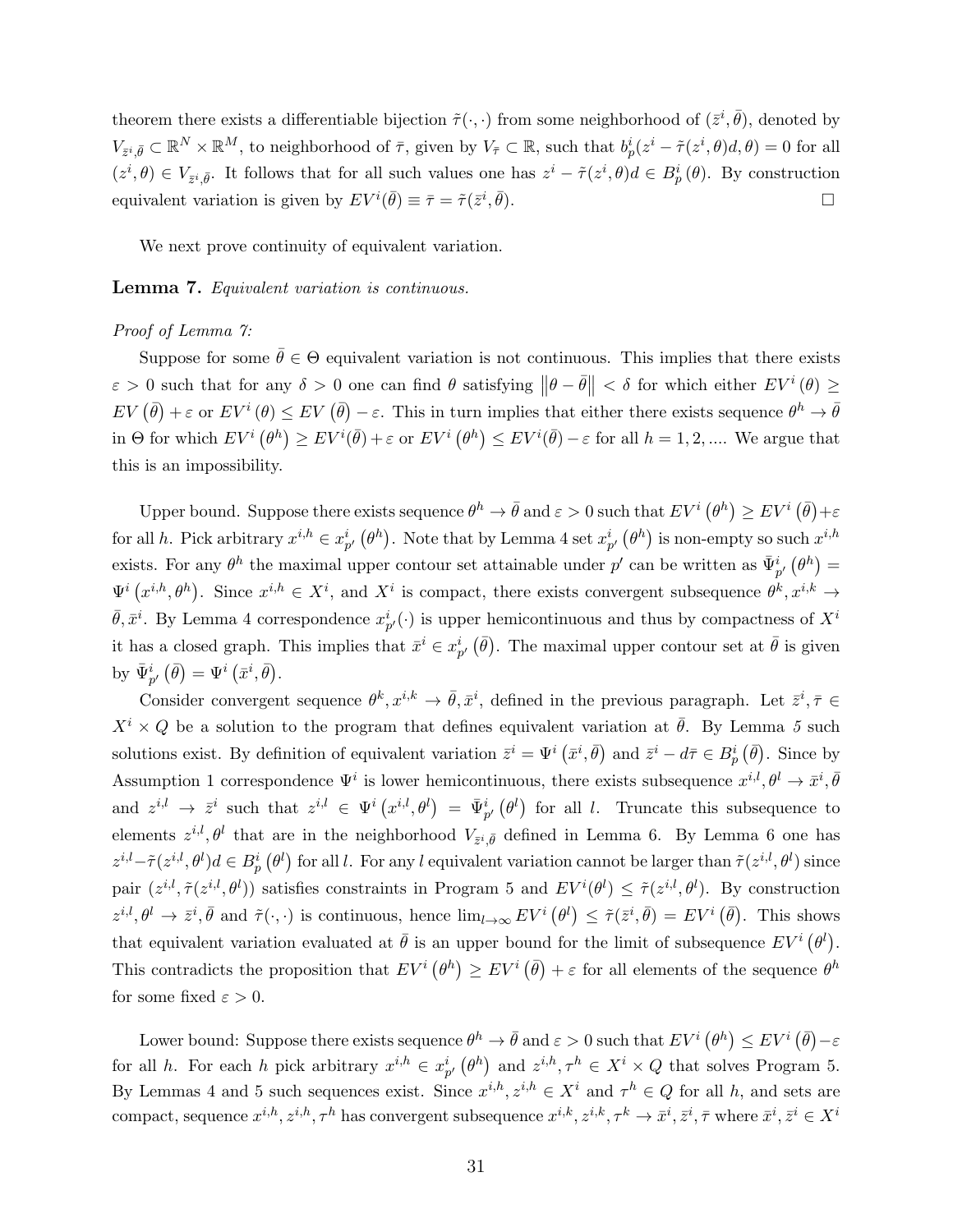theorem there exists a differentiable bijection  $\tilde{\tau}(\cdot,\cdot)$  from some neighborhood of  $(\bar{z}^i, \bar{\theta})$ , denoted by  $V_{\bar{z}^i,\bar{\theta}} \subset \mathbb{R}^N \times \mathbb{R}^M$ , to neighborhood of  $\bar{\tau}$ , given by  $V_{\bar{\tau}} \subset \mathbb{R}$ , such that  $b_p^i(z^i - \tilde{\tau}(z^i, \theta)d, \theta) = 0$  for all  $(z^i, \theta) \in V_{\bar{z}^i, \bar{\theta}}$ . It follows that for all such values one has  $z^i - \tilde{\tau}(z^i, \theta)d \in B_p^i(\theta)$ . By construction equivalent variation is given by  $EV^{i}(\bar{\theta}) \equiv \bar{\tau} = \tilde{\tau}(\bar{z}^{i},$  $\bar{\theta}$ ).

We next prove continuity of equivalent variation.

#### Lemma 7. Equivalent variation is continuous.

#### Proof of Lemma 7:

Suppose for some  $\bar{\theta} \in \Theta$  equivalent variation is not continuous. This implies that there exists  $\varepsilon > 0$  such that for any  $\delta > 0$  one can find  $\theta$  satisfying  $\|\theta - \bar{\theta}\| < \delta$  for which either  $EV^{i}(\theta) \ge$  $EV(\bar{\theta}) + \varepsilon$  or  $EV^{i}(\theta) \leq EV(\bar{\theta}) - \varepsilon$ . This in turn implies that either there exists sequence  $\theta^{h} \to \bar{\theta}$ in  $\Theta$  for which  $EV^i(\theta^h) \geq EV^i(\bar{\theta}) + \varepsilon$  or  $EV^i(\theta^h) \leq EV^i(\bar{\theta}) - \varepsilon$  for all  $h = 1, 2, ...$  We argue that this is an impossibility.

Upper bound. Suppose there exists sequence  $\theta^h \to \bar{\theta}$  and  $\varepsilon > 0$  such that  $EV^i(\theta^h) \geq EV^i(\bar{\theta}) + \varepsilon$ for all h. Pick arbitrary  $x^{i,h} \in x_{p'}^i(\theta^h)$ . Note that by Lemma 4 set  $x_{p'}^i(\theta^h)$  is non-empty so such  $x^{i,h}$ exists. For any  $\theta^h$  the maximal upper contour set attainable under  $p'$  can be written as  $\bar{\Psi}_{p'}^i(\theta^h)$  =  $\Psi^i(x^{i,h},\theta^h)$ . Since  $x^{i,h} \in X^i$ , and  $X^i$  is compact, there exists convergent subsequence  $\theta^k, x^{i,k} \to$  $\bar{\theta}, \bar{x}^i$ . By Lemma 4 correspondence  $x^i_{p'}(\cdot)$  is upper hemicontinuous and thus by compactness of  $X^i$ it has a closed graph. This implies that  $\bar{x}^i \in x_{p'}^i$   $(\bar{\theta})$ . The maximal upper contour set at  $\bar{\theta}$  is given by  $\bar{\Psi}_{p'}^{i}(\bar{\theta}) = \Psi^{i}(\bar{x}^{i}, \bar{\theta}).$ 

Consider convergent sequence  $\theta^k, x^{i,k} \to \bar{\theta}, \bar{x}^i$ , defined in the previous paragraph. Let  $\bar{z}^i, \bar{\tau} \in$  $X^i \times Q$  be a solution to the program that defines equivalent variation at  $\bar{\theta}$ . By Lemma 5 such solutions exist. By definition of equivalent variation  $\bar{z}^i = \Psi^i(\bar{x}^i, \bar{\theta})$  and  $\bar{z}^i - d\bar{\tau} \in B_p^i(\bar{\theta})$ . Since by Assumption 1 correspondence  $\Psi^i$  is lower hemicontinuous, there exists subsequence  $x^{i,l}, \theta^l \to \bar{x}^i, \bar{\theta}^l$ and  $z^{i,l} \to \bar{z}^i$  such that  $z^{i,l} \in \Psi^i(x^{i,l},\theta^l) = \bar{\Psi}^i_{p'}(\theta^l)$  for all l. Truncate this subsequence to elements  $z^{i,l}, \theta^l$  that are in the neighborhood  $V_{\bar{z}^i,\bar{\theta}}$  defined in Lemma 6. By Lemma 6 one has  $z^{i,l} - \tilde{\tau}(z^{i,l}, \theta^l) d \in B_p^i(\theta^l)$  for all l. For any l equivalent variation cannot be larger than  $\tilde{\tau}(z^{i,l}, \theta^l)$  since pair  $(z^{i,l}, \tilde{\tau}(z^{i,l}, \theta^l))$  satisfies constraints in Program 5 and  $EV^i(\theta^l) \leq \tilde{\tau}(z^{i,l}, \theta^l)$ . By construction  $z^{i,l}, \theta^l \to \bar{z}^i, \bar{\theta}$  and  $\tilde{\tau}(\cdot, \cdot)$  is continuous, hence  $\lim_{l\to\infty} EV^i(\theta^l) \leq \tilde{\tau}(\bar{z}^i, \bar{\theta}) = EV^i(\bar{\theta})$ . This shows that equivalent variation evaluated at  $\bar{\theta}$  is an upper bound for the limit of subsequence  $EV^{i}(\theta^{l})$ . This contradicts the proposition that  $EV^i(\theta^h) \geq EV^i(\bar{\theta}) + \varepsilon$  for all elements of the sequence  $\theta^h$ for some fixed  $\varepsilon > 0$ .

Lower bound: Suppose there exists sequence  $\theta^h \to \bar{\theta}$  and  $\varepsilon > 0$  such that  $EV^i(\theta^h) \leq EV^i(\bar{\theta}) - \varepsilon$ for all h. For each h pick arbitrary  $x^{i,h} \in x_{p'}^i(\theta^h)$  and  $z^{i,h}, \tau^h \in X^i \times Q$  that solves Program 5. By Lemmas 4 and 5 such sequences exist. Since  $x^{i,h}, z^{i,h} \in X^i$  and  $\tau^h \in Q$  for all h, and sets are compact, sequence  $x^{i,h}, z^{i,h}, \tau^h$  has convergent subsequence  $x^{i,k}, z^{i,k}, \tau^k \to \bar{x}^i, \bar{z}^i, \bar{\tau}$  where  $\bar{x}^i, \bar{z}^i \in X^i$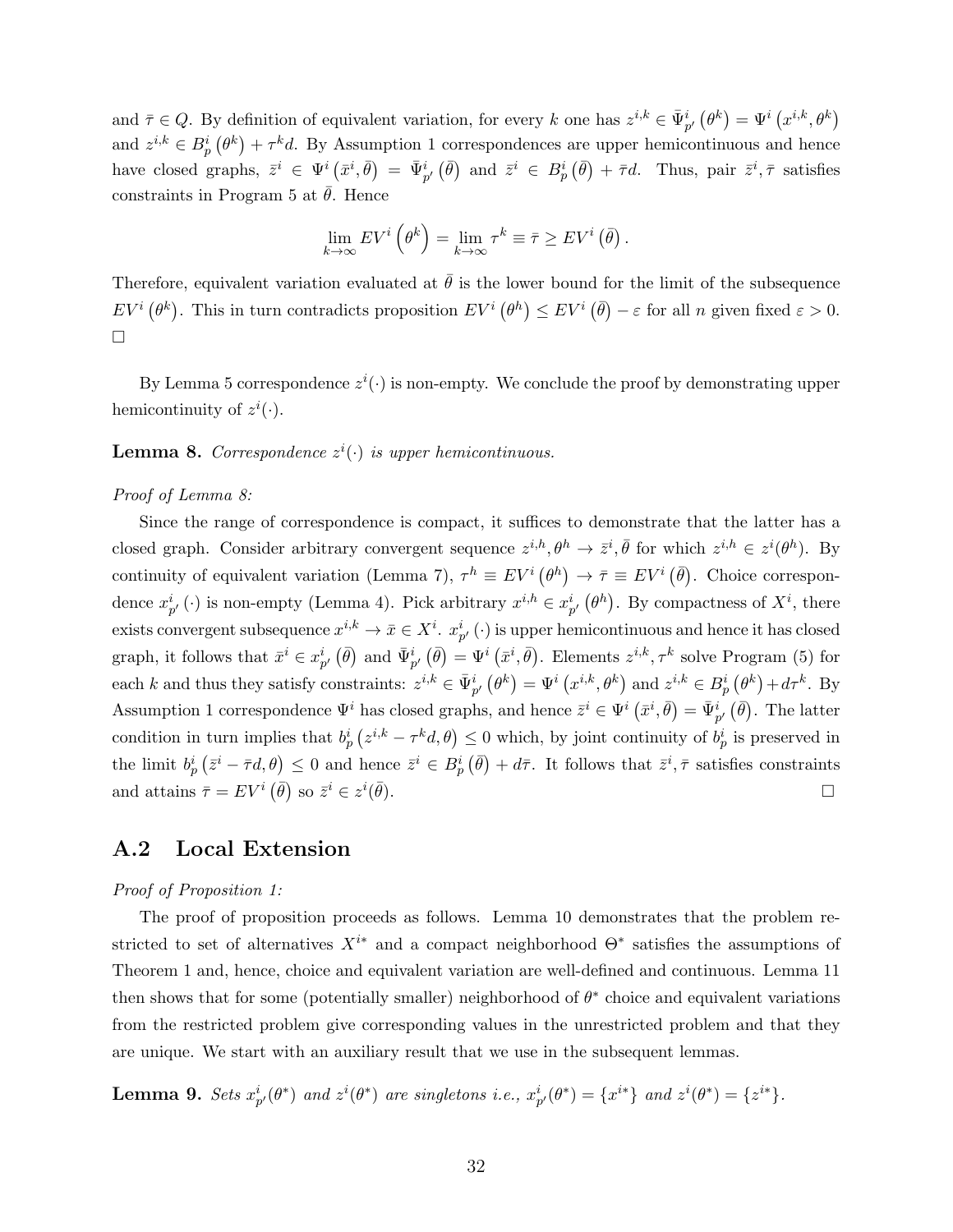and  $\bar{\tau} \in Q$ . By definition of equivalent variation, for every k one has  $z^{i,k} \in \bar{\Psi}_{p'}^{i}(\theta^{k}) = \Psi^{i}(x^{i,k},\theta^{k})$ and  $z^{i,k} \in B_p^i(\theta^k) + \tau^k d$ . By Assumption 1 correspondences are upper hemicontinuous and hence have closed graphs,  $\bar{z}^i \in \Psi^i(\bar{x}^i, \bar{\theta}) = \bar{\Psi}^i_{p'}(\bar{\theta})$  and  $\bar{z}^i \in B^i_p(\bar{\theta}) + \bar{\tau}d$ . Thus, pair  $\bar{z}^i, \bar{\tau}$  satisfies constraints in Program 5 at  $\bar{\theta}$ . Hence

$$
\lim_{k \to \infty} EV^i \left( \theta^k \right) = \lim_{k \to \infty} \tau^k \equiv \bar{\tau} \geq EV^i \left( \bar{\theta} \right).
$$

Therefore, equivalent variation evaluated at  $\bar{\theta}$  is the lower bound for the limit of the subsequence  $EV^{i}(\theta^{k})$ . This in turn contradicts proposition  $EV^{i}(\theta^{h}) \leq EV^{i}(\bar{\theta}) - \varepsilon$  for all n given fixed  $\varepsilon > 0$ .  $\Box$ 

By Lemma 5 correspondence  $z^{i}(\cdot)$  is non-empty. We conclude the proof by demonstrating upper hemicontinuity of  $z^i(\cdot)$ .

**Lemma 8.** Correspondence  $z^{i}(\cdot)$  is upper hemicontinuous.

#### Proof of Lemma 8:

Since the range of correspondence is compact, it suffices to demonstrate that the latter has a closed graph. Consider arbitrary convergent sequence  $z^{i,h}, \theta^h \to \bar{z}^i, \bar{\theta}$  for which  $z^{i,h} \in z^i(\theta^h)$ . By continuity of equivalent variation (Lemma 7),  $\tau^h \equiv EV^i(\theta^h) \to \bar{\tau} \equiv EV^i(\bar{\theta})$ . Choice correspondence  $x_{p'}^i(\cdot)$  is non-empty (Lemma 4). Pick arbitrary  $x^{i,h} \in x_{p'}^i(\theta^h)$ . By compactness of  $X^i$ , there exists convergent subsequence  $x^{i,k} \to \bar{x} \in X^i$ .  $x^i_{p'}$  ( $\cdot$ ) is upper hemicontinuous and hence it has closed graph, it follows that  $\bar{x}^i \in x_{p'}^i (\bar{\theta})$  and  $\bar{\Psi}_{p'}^i (\bar{\theta}) = \Psi^i (\bar{x}^i, \bar{\theta})$ . Elements  $z^{i,k}, \tau^k$  solve Program (5) for each k and thus they satisfy constraints:  $z^{i,k} \in \bar{\Psi}_{p'}^{i}(\theta^{k}) = \Psi^{i}(x^{i,k}, \theta^{k})$  and  $z^{i,k} \in B_{p}^{i}(\theta^{k}) + d\tau^{k}$ . By Assumption 1 correspondence  $\Psi^i$  has closed graphs, and hence  $\bar{z}^i \in \Psi^i(\bar{x}^i, \bar{\theta}) = \bar{\Psi}^i_{p'}(\bar{\theta})$ . The latter condition in turn implies that  $b_p^i(z^{i,k} - \tau^k d, \theta) \leq 0$  which, by joint continuity of  $b_p^i$  is preserved in the limit  $b_p^i(\bar{z}^i - \bar{\tau}d, \theta) \leq 0$  and hence  $\bar{z}^i \in B_p^i(\bar{\theta}) + d\bar{\tau}$ . It follows that  $\bar{z}^i, \bar{\tau}$  satisfies constraints and attains  $\bar{\tau} = EV^i (\bar{\theta})$  so  $\bar{z}^i \in z^i$  $\bar{\theta}$ ).

## A.2 Local Extension

#### Proof of Proposition 1:

The proof of proposition proceeds as follows. Lemma 10 demonstrates that the problem restricted to set of alternatives  $X^{i*}$  and a compact neighborhood  $\Theta^*$  satisfies the assumptions of Theorem 1 and, hence, choice and equivalent variation are well-defined and continuous. Lemma 11 then shows that for some (potentially smaller) neighborhood of  $\theta^*$  choice and equivalent variations from the restricted problem give corresponding values in the unrestricted problem and that they are unique. We start with an auxiliary result that we use in the subsequent lemmas.

**Lemma 9.** Sets  $x^i_{p'}(\theta^*)$  and  $z^i(\theta^*)$  are singletons i.e.,  $x^i_{p'}(\theta^*) = \{x^{i*}\}\$  and  $z^i(\theta^*) = \{z^{i*}\}.$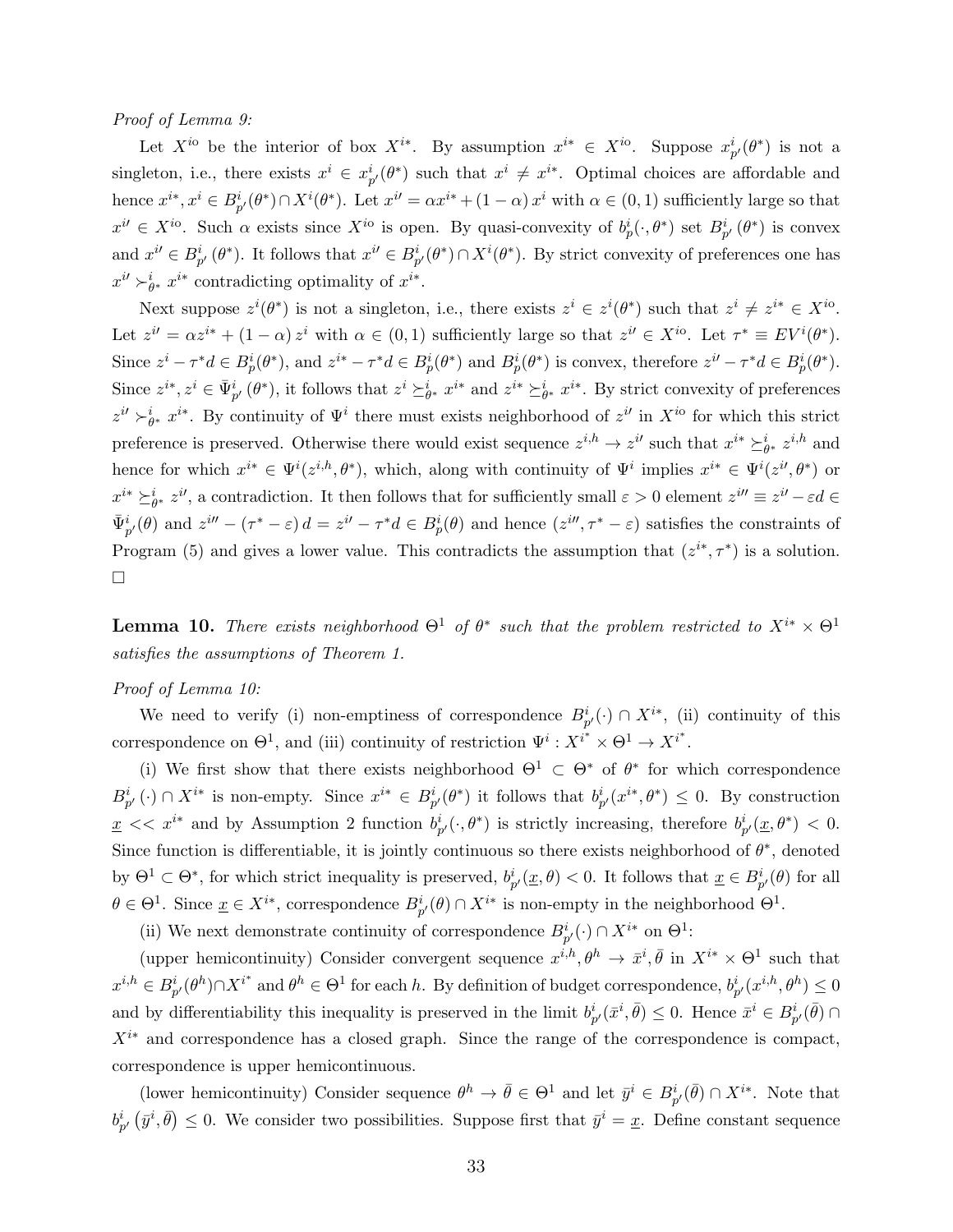#### Proof of Lemma 9:

Let  $X^{io}$  be the interior of box  $X^{i*}$ . By assumption  $x^{i*} \in X^{io}$ . Suppose  $x_{p'}^i(\theta^*)$  is not a singleton, i.e., there exists  $x^i \in x_{p'}^i(\theta^*)$  such that  $x^i \neq x^{i*}$ . Optimal choices are affordable and hence  $x^{i*}, x^{i} \in B_{p'}^{i}(\theta^{*}) \cap X^{i}(\theta^{*})$ . Let  $x^{i'} = \alpha x^{i*} + (1 - \alpha) x^{i}$  with  $\alpha \in (0, 1)$  sufficiently large so that  $x^{i'} \in X^{i}$ . Such  $\alpha$  exists since  $X^{i\alpha}$  is open. By quasi-convexity of  $b_p^i(\cdot, \theta^*)$  set  $B_{p'}^i(\theta^*)$  is convex and  $x^{i'} \in B_{p'}^{i}(\theta^*)$ . It follows that  $x^{i'} \in B_{p'}^{i}(\theta^*) \cap X^{i}(\theta^*)$ . By strict convexity of preferences one has  $x^{i'} \succ_{\theta^*}^i x^{i*}$  contradicting optimality of  $x^{i*}$ .

Next suppose  $z^{i}(\theta^*)$  is not a singleton, i.e., there exists  $z^{i} \in z^{i}(\theta^*)$  such that  $z^{i} \neq z^{i*} \in X^{io}$ . Let  $z^{i'} = \alpha z^{i*} + (1 - \alpha) z^i$  with  $\alpha \in (0, 1)$  sufficiently large so that  $z^{i'} \in X^{i_0}$ . Let  $\tau^* \equiv EV^i(\theta^*)$ . Since  $z^i - \tau^* d \in B_p^i(\theta^*)$ , and  $z^{i*} - \tau^* d \in B_p^i(\theta^*)$  and  $B_p^i(\theta^*)$  is convex, therefore  $z^{i'} - \tau^* d \in B_p^i(\theta^*)$ . Since  $z^{i*}, z^i \in \bar{\Psi}_{p'}^{i}(\theta^*)$ , it follows that  $z^i \succeq_{\theta^*}^i x^{i*}$  and  $z^{i*} \succeq_{\theta^*}^i x^{i*}$ . By strict convexity of preferences  $z^{i'} \succ_{\theta^*}^i x^{i*}$ . By continuity of  $\Psi^i$  there must exists neighborhood of  $z^{i'}$  in  $X^{i\circ}$  for which this strict preference is preserved. Otherwise there would exist sequence  $z^{i,h} \to z^{i}$  such that  $x^{i*} \succeq_{\theta^*}^i z^{i,h}$  and hence for which  $x^{i*} \in \Psi^i(z^{i,h},\theta^*)$ , which, along with continuity of  $\Psi^i$  implies  $x^{i*} \in \Psi^i(z^{i'},\theta^*)$  or  $x^{i*} \succeq_{\theta^*}^{i} z^{i'}$ , a contradiction. It then follows that for sufficiently small  $\varepsilon > 0$  element  $z^{i''} \equiv z^{i'} - \varepsilon d \in$  $\bar{\Psi}_{p'}^{i}(\theta)$  and  $z^{i\prime\prime} - (\tau^* - \varepsilon) d = z^{i\prime} - \tau^* d \in B_p^i(\theta)$  and hence  $(z^{i\prime\prime}, \tau^* - \varepsilon)$  satisfies the constraints of Program (5) and gives a lower value. This contradicts the assumption that  $(z^{i*}, \tau^*)$  is a solution.  $\Box$ 

**Lemma 10.** There exists neighborhood  $\Theta^1$  of  $\theta^*$  such that the problem restricted to  $X^{i*} \times \Theta^1$ satisfies the assumptions of Theorem 1.

#### Proof of Lemma 10:

We need to verify (i) non-emptiness of correspondence  $B_{p'}^i(\cdot) \cap X^{i*}$ , (ii) continuity of this correspondence on  $\Theta^1$ , and (iii) continuity of restriction  $\Psi^i: X^{i^*} \times \Theta^1 \to X^{i^*}$ .

(i) We first show that there exists neighborhood  $\Theta^1 \subset \Theta^*$  of  $\theta^*$  for which correspondence  $B_{p'}^i(\cdot) \cap X^{i*}$  is non-empty. Since  $x^{i*} \in B_{p'}^i(\theta^*)$  it follows that  $b_{p'}^i(x^{i*}, \theta^*) \leq 0$ . By construction  $\underline{x} \ll x^{i*}$  and by Assumption 2 function  $b^i_{p'}(\cdot,\theta^*)$  is strictly increasing, therefore  $b^i_{p'}(\underline{x},\theta^*) \ll 0$ . Since function is differentiable, it is jointly continuous so there exists neighborhood of  $\theta^*$ , denoted by  $\Theta^1 \subset \Theta^*$ , for which strict inequality is preserved,  $b_{p'}^i(\underline{x}, \theta) < 0$ . It follows that  $\underline{x} \in B_{p'}^i(\theta)$  for all  $\theta \in \Theta^1$ . Since  $\underline{x} \in X^{i*}$ , correspondence  $B_{p'}^i(\theta) \cap X^{i*}$  is non-empty in the neighborhood  $\Theta^1$ .

(ii) We next demonstrate continuity of correspondence  $B_{p'}^i(\cdot) \cap X^{i*}$  on  $\Theta^1$ :

(upper hemicontinuity) Consider convergent sequence  $x^{i,h}, \theta^h \to \bar{x}^i, \bar{\theta}$  in  $X^{i*} \times \Theta^1$  such that  $x^{i,h} \in B_{p'}^i(\theta^h) \cap X^{i^*}$  and  $\theta^h \in \Theta^1$  for each h. By definition of budget correspondence,  $b_{p'}^i(x^{i,h}, \theta^h) \leq 0$ and by differentiability this inequality is preserved in the limit  $b_{p'}^i(\bar{x}^i, \bar{\theta}) \leq 0$ . Hence  $\bar{x}^i \in B_{p'}^i(\bar{\theta}) \cap$  $X^{i*}$  and correspondence has a closed graph. Since the range of the correspondence is compact, correspondence is upper hemicontinuous.

(lower hemicontinuity) Consider sequence  $\theta^h \to \bar{\theta} \in \Theta^1$  and let  $\bar{y}^i \in B_{p'}^i(\bar{\theta}) \cap X^{i*}$ . Note that  $b_{p'}^i(\bar{y}^i, \bar{\theta}) \leq 0$ . We consider two possibilities. Suppose first that  $\bar{y}^i = \underline{x}$ . Define constant sequence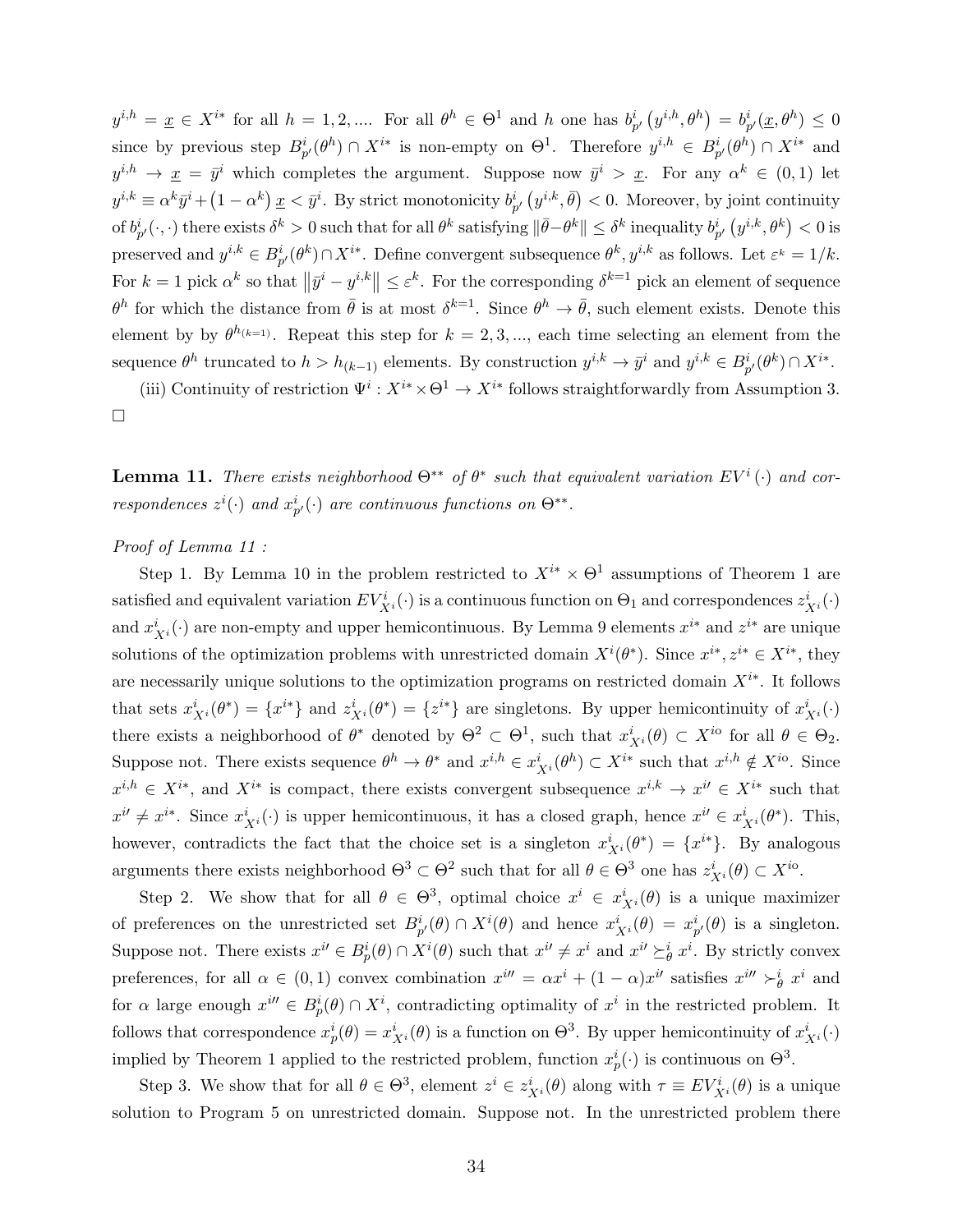$y^{i,h} = \underline{x} \in X^{i*}$  for all  $h = 1, 2, \dots$  For all  $\theta^h \in \Theta^1$  and h one has  $b_{p'}^i(y^{i,h}, \theta^h) = b_{p'}^i(\underline{x}, \theta^h) \leq 0$ since by previous step  $B_{p'}^i(\theta^h) \cap X^{i*}$  is non-empty on  $\Theta^1$ . Therefore  $y^{i,h} \in B_{p'}^i(\theta^h) \cap X^{i*}$  and  $y^{i,h} \to \underline{x} = \overline{y}^i$  which completes the argument. Suppose now  $\overline{y}^i > \underline{x}$ . For any  $\alpha^k \in (0,1)$  let  $y^{i,k} \equiv \alpha^k \bar{y}^i + (1 - \alpha^k) \underline{x} < \bar{y}^i$ . By strict monotonicity  $b_{p'}^i(y^{i,k}, \bar{\theta}) < 0$ . Moreover, by joint continuity of  $b^i_{p'}(\cdot, \cdot)$  there exists  $\delta^k > 0$  such that for all  $\theta^k$  satisfying  $\|\bar{\theta}-\theta^k\| \leq \delta^k$  inequality  $b^i_{p'}(y^{i,k}, \theta^k) < 0$  is preserved and  $y^{i,k} \in B_{p'}^i(\theta^k) \cap X^{i*}$ . Define convergent subsequence  $\theta^k, y^{i,k}$  as follows. Let  $\varepsilon^k = 1/k$ . For  $k = 1$  pick  $\alpha^k$  so that  $\left\|\bar{y}^i - y^{i,k}\right\| \le \varepsilon^k$ . For the corresponding  $\delta^{k=1}$  pick an element of sequence  $\theta^h$  for which the distance from  $\bar{\theta}$  is at most  $\delta^{k=1}$ . Since  $\theta^h \to \bar{\theta}$ , such element exists. Denote this element by by  $\theta^{h_{(k-1)}}$ . Repeat this step for  $k = 2, 3, ...$ , each time selecting an element from the sequence  $\theta^h$  truncated to  $h > h_{(k-1)}$  elements. By construction  $y^{i,k} \to \bar{y}^i$  and  $y^{i,k} \in B_{p'}^i(\theta^k) \cap X^{i*}$ .

(iii) Continuity of restriction  $\Psi^i: X^{i*} \times \Theta^1 \to X^{i*}$  follows straightforwardly from Assumption 3.  $\Box$ 

**Lemma 11.** There exists neighborhood  $\Theta^{**}$  of  $\theta^*$  such that equivalent variation  $EV^i(\cdot)$  and correspondences  $z^i(\cdot)$  and  $x^i_{p'}(\cdot)$  are continuous functions on  $\Theta^{**}$ .

#### Proof of Lemma 11 :

Step 1. By Lemma 10 in the problem restricted to  $X^{i*} \times \Theta^1$  assumptions of Theorem 1 are satisfied and equivalent variation  $EV^i_{X^i}(\cdot)$  is a continuous function on  $\Theta_1$  and correspondences  $z^i_{X^i}(\cdot)$ and  $x_{X^i}^i(\cdot)$  are non-empty and upper hemicontinuous. By Lemma 9 elements  $x^{i*}$  and  $z^{i*}$  are unique solutions of the optimization problems with unrestricted domain  $X^{i}(\theta^*)$ . Since  $x^{i*}, z^{i*} \in X^{i*}$ , they are necessarily unique solutions to the optimization programs on restricted domain  $X^{i*}$ . It follows that sets  $x_{X^i}^i(\theta^*) = \{x^{i*}\}\$ and  $z_{X^i}^i(\theta^*) = \{z^{i*}\}\$ are singletons. By upper hemicontinuity of  $x_{X^i}^i(\cdot)$ there exists a neighborhood of  $\theta^*$  denoted by  $\Theta^2 \subset \Theta^1$ , such that  $x_{X^i}^i(\theta) \subset X^{i\circ}$  for all  $\theta \in \Theta_2$ . Suppose not. There exists sequence  $\theta^h \to \theta^*$  and  $x^{i,h} \in x_{X^i}^i(\theta^h) \subset X^{i*}$  such that  $x^{i,h} \notin X^{io}$ . Since  $x^{i,h} \in X^{i*}$ , and  $X^{i*}$  is compact, there exists convergent subsequence  $x^{i,k} \to x^{i'} \in X^{i*}$  such that  $x^{i'} \neq x^{i*}$ . Since  $x_{X^{i}}^{i}(\cdot)$  is upper hemicontinuous, it has a closed graph, hence  $x^{i'} \in x_{X^{i}}^{i}(\theta^{*})$ . This, however, contradicts the fact that the choice set is a singleton  $x_{X_i}^i(\theta^*) = \{x^{i*}\}\$ . By analogous arguments there exists neighborhood  $\Theta^3 \subset \Theta^2$  such that for all  $\theta \in \Theta^3$  one has  $z^i_{X^i}(\theta) \subset X^{io}$ .

Step 2. We show that for all  $\theta \in \Theta^3$ , optimal choice  $x^i \in x^i_{X^i}(\theta)$  is a unique maximizer of preferences on the unrestricted set  $B_{p'}^i(\theta) \cap X^i(\theta)$  and hence  $x^i_{X^i}(\theta) = x^i_{p'}(\theta)$  is a singleton. Suppose not. There exists  $x^{i'} \in B_p^i(\theta) \cap X^i(\theta)$  such that  $x^{i'} \neq x^i$  and  $x^{i'} \geq_{\theta}^i x^i$ . By strictly convex preferences, for all  $\alpha \in (0,1)$  convex combination  $x^{i\prime\prime} = \alpha x^i + (1-\alpha)x^{i\prime}$  satisfies  $x^{i\prime\prime} \succ^i_{\theta} x^i$  and for  $\alpha$  large enough  $x^{i\prime} \in B_p^i(\theta) \cap X^i$ , contradicting optimality of  $x^i$  in the restricted problem. It follows that correspondence  $x_p^i(\theta) = x_{X^i}^i(\theta)$  is a function on  $\Theta^3$ . By upper hemicontinuity of  $x_{X^i}^i(\cdot)$ implied by Theorem 1 applied to the restricted problem, function  $x_p^i(\cdot)$  is continuous on  $\Theta^3$ .

Step 3. We show that for all  $\theta \in \Theta^3$ , element  $z^i \in z^i_{X^i}(\theta)$  along with  $\tau \equiv EV^i_{X^i}(\theta)$  is a unique solution to Program 5 on unrestricted domain. Suppose not. In the unrestricted problem there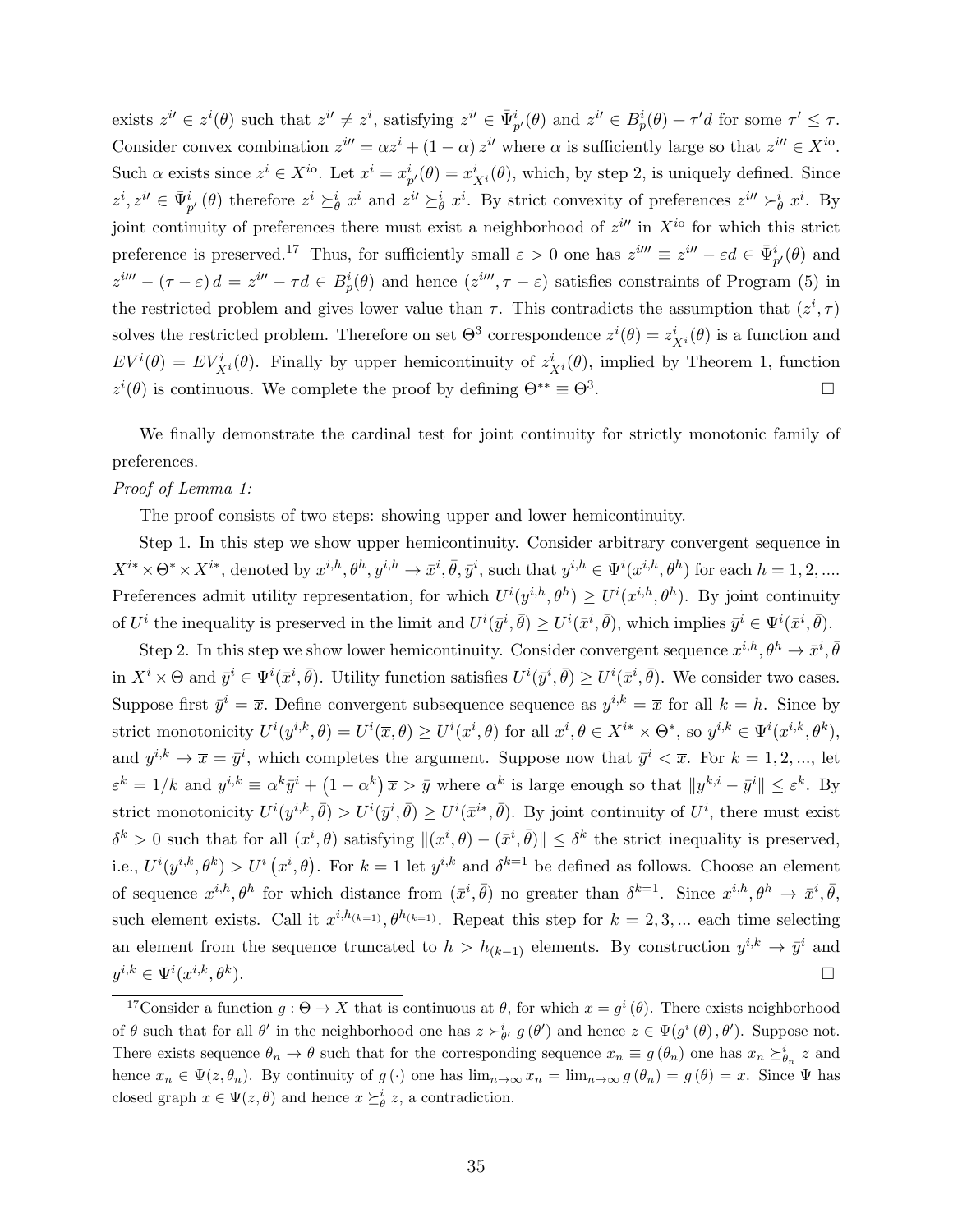exists  $z^{i'} \in z^i(\theta)$  such that  $z^{i'} \neq z^i$ , satisfying  $z^{i'} \in \bar{\Psi}_{p'}^i(\theta)$  and  $z^{i'} \in B_p^i(\theta) + \tau'd$  for some  $\tau' \leq \tau$ . Consider convex combination  $z^{i\prime\prime} = \alpha z^i + (1 - \alpha) z^{i\prime}$  where  $\alpha$  is sufficiently large so that  $z^{i\prime\prime} \in X^{i\circ}$ . Such  $\alpha$  exists since  $z^i \in X^{io}$ . Let  $x^i = x^i_{p'}(\theta) = x^i_{X^i}(\theta)$ , which, by step 2, is uniquely defined. Since  $z^i, z^{i'} \in \bar{\Psi}_{p'}^i(\theta)$  therefore  $z^i \succeq_{\theta}^i x^i$  and  $z^{i'} \succeq_{\theta}^i x^i$ . By strict convexity of preferences  $z^{i''} \succ_{\theta}^i x^i$ . By joint continuity of preferences there must exist a neighborhood of  $z<sup>i</sup>$  in  $X<sup>i</sup>$  for which this strict preference is preserved.<sup>17</sup> Thus, for sufficiently small  $\varepsilon > 0$  one has  $z^{im} \equiv z^{in} - \varepsilon d \in \bar{\Psi}_{p'}^i(\theta)$  and  $z^{im} - (\tau - \varepsilon) d = z^{in} - \tau d \in B_p^i(\theta)$  and hence  $(z^{im}, \tau - \varepsilon)$  satisfies constraints of Program (5) in the restricted problem and gives lower value than  $\tau$ . This contradicts the assumption that  $(z^i, \tau)$ solves the restricted problem. Therefore on set  $\Theta^3$  correspondence  $z^i(\theta) = z^i_{X^i}(\theta)$  is a function and  $EV^{i}(\theta) = EV^{i}_{X^{i}}(\theta)$ . Finally by upper hemicontinuity of  $z^{i}_{X^{i}}(\theta)$ , implied by Theorem 1, function  $z^{i}(\theta)$  is continuous. We complete the proof by defining  $\Theta^{**} \equiv \Theta^3$ .

We finally demonstrate the cardinal test for joint continuity for strictly monotonic family of preferences.

#### Proof of Lemma 1:

The proof consists of two steps: showing upper and lower hemicontinuity.

Step 1. In this step we show upper hemicontinuity. Consider arbitrary convergent sequence in  $X^{i*} \times \Theta^* \times X^{i*}$ , denoted by  $x^{i,h}, \theta^h, y^{i,h} \to \bar{x}^i, \bar{\theta}, \bar{y}^i$ , such that  $y^{i,h} \in \Psi^i(x^{i,h}, \theta^h)$  for each  $h = 1, 2, ...$ Preferences admit utility representation, for which  $U^{i}(y^{i,h},\theta^{h}) \geq U^{i}(x^{i,h},\theta^{h})$ . By joint continuity of  $U^i$  the inequality is preserved in the limit and  $U^i(\bar{y}^i, \bar{\theta}) \geq U^i(\bar{x}^i, \bar{\theta})$ , which implies  $\bar{y}^i \in \Psi^i(\bar{x}^i, \bar{\theta})$ .

Step 2. In this step we show lower hemicontinuity. Consider convergent sequence  $x^{i,h}, \theta^h \to \bar{x}^i, \bar{\theta}$ in  $X^i \times \Theta$  and  $\bar{y}^i \in \Psi^i(\bar{x}^i, \bar{\theta})$ . Utility function satisfies  $U^i(\bar{y}^i, \bar{\theta}) \geq U^i(\bar{x}^i, \bar{\theta})$ . We consider two cases. Suppose first  $\bar{y}^i = \bar{x}$ . Define convergent subsequence sequence as  $y^{i,k} = \bar{x}$  for all  $k = h$ . Since by strict monotonicity  $U^{i}(y^{i,k},\theta) = U^{i}(\overline{x},\theta) \geq U^{i}(x^{i},\theta)$  for all  $x^{i}, \theta \in X^{i*} \times \Theta^{*}$ , so  $y^{i,k} \in \Psi^{i}(x^{i,k},\theta^{k})$ , and  $y^{i,k} \to \overline{x} = \overline{y}^i$ , which completes the argument. Suppose now that  $\overline{y}^i < \overline{x}$ . For  $k = 1, 2, ...,$  let  $\varepsilon^k = 1/k$  and  $y^{i,k} \equiv \alpha^k \bar{y}^i + (1 - \alpha^k) \bar{x} > \bar{y}$  where  $\alpha^k$  is large enough so that  $||y^{k,i} - \bar{y}^i|| \leq \varepsilon^k$ . By strict monotonicity  $U^{i}(y^{i,k},\bar{\theta}) > U^{i}(\bar{y}^i,\bar{\theta}) \geq U^{i}(\bar{x}^{i*},\bar{\theta})$ . By joint continuity of  $U^{i}$ , there must exist  $\delta^k > 0$  such that for all  $(x^i, \theta)$  satisfying  $\|(x^i, \theta) - (\bar{x}^i, \bar{\theta})\| \leq \delta^k$  the strict inequality is preserved, i.e.,  $U^{i}(y^{i,k},\theta^{k}) > U^{i}(x^{i},\theta)$ . For  $k=1$  let  $y^{i,k}$  and  $\delta^{k=1}$  be defined as follows. Choose an element of sequence  $x^{i,h}, \theta^h$  for which distance from  $(\bar{x}^i, \bar{\theta})$  no greater than  $\delta^{k=1}$ . Since  $x^{i,h}, \theta^h \to \bar{x}^i, \bar{\theta}$ , such element exists. Call it  $x^{i,h_{(k=1)}}, \theta^{h_{(k=1)}}$ . Repeat this step for  $k = 2, 3, ...$  each time selecting an element from the sequence truncated to  $h > h_{(k-1)}$  elements. By construction  $y^{i,k} \to \bar{y}^i$  and  $y^{i,k} \in \Psi^i(x^{i,k},\theta^k)$  $\Box$ 

<sup>&</sup>lt;sup>17</sup>Consider a function  $g: \Theta \to X$  that is continuous at  $\theta$ , for which  $x = g^i(\theta)$ . There exists neighborhood of  $\theta$  such that for all  $\theta'$  in the neighborhood one has  $z \succ^i_{\theta'} g(\theta')$  and hence  $z \in \Psi(g^i(\theta), \theta')$ . Suppose not. There exists sequence  $\theta_n \to \theta$  such that for the corresponding sequence  $x_n \equiv g(\theta_n)$  one has  $x_n \succeq_{\theta_n}^i z$  and hence  $x_n \in \Psi(z, \theta_n)$ . By continuity of  $g(\cdot)$  one has  $\lim_{n\to\infty} x_n = \lim_{n\to\infty} g(\theta_n) = g(\theta) = x$ . Since  $\Psi$  has closed graph  $x \in \Psi(z, \theta)$  and hence  $x \succeq_{\theta}^{i} z$ , a contradiction.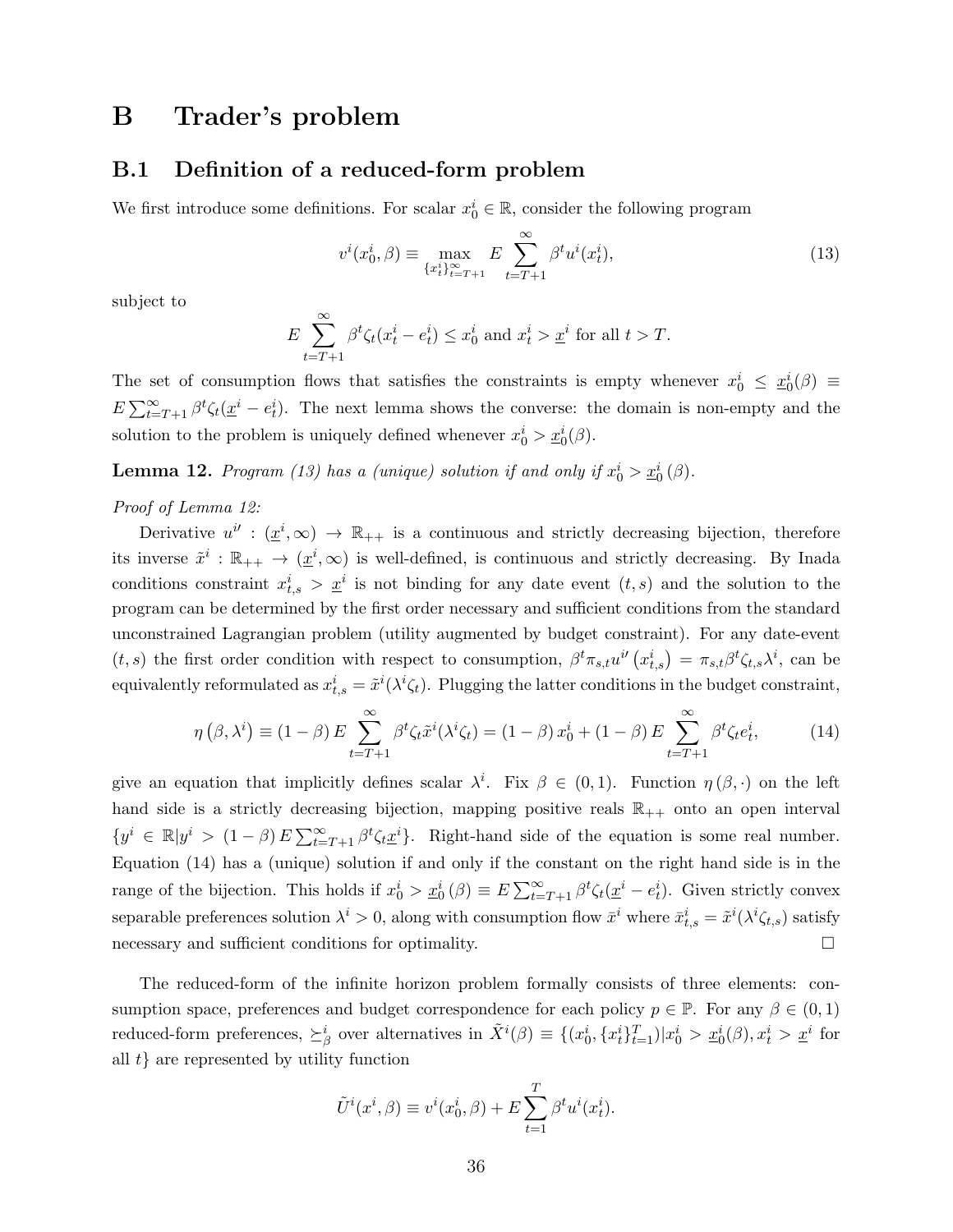# B Trader's problem

## B.1 Definition of a reduced-form problem

We first introduce some definitions. For scalar  $x_0^i \in \mathbb{R}$ , consider the following program

$$
v^{i}(x_{0}^{i}, \beta) \equiv \max_{\{x_{t}^{i}\}_{t=T+1}^{\infty}} E \sum_{t=T+1}^{\infty} \beta^{t} u^{i}(x_{t}^{i}),
$$
\n(13)

subject to

$$
E\sum_{t=T+1}^{\infty}\beta^t\zeta_t(x_t^i-e_t^i)\leq x_0^i \text{ and } x_t^i>\underline{x}^i \text{ for all } t>T.
$$

The set of consumption flows that satisfies the constraints is empty whenever  $x_0^i \leq x_0^i(\beta) \equiv$  $E\sum_{t=T+1}^{\infty} \beta^t \zeta_t(\underline{x}^i - e_t^i)$ . The next lemma shows the converse: the domain is non-empty and the solution to the problem is uniquely defined whenever  $x_0^i > \underline{x}_0^i(\beta)$ .

**Lemma 12.** Program (13) has a (unique) solution if and only if  $x_0^i > \underline{x_0^i}(\beta)$ .

#### Proof of Lemma 12:

Derivative  $u^{i'} : (\underline{x}^i, \infty) \to \mathbb{R}_{++}$  is a continuous and strictly decreasing bijection, therefore its inverse  $\tilde{x}^i : \mathbb{R}_{++} \to (\underline{x}^i, \infty)$  is well-defined, is continuous and strictly decreasing. By Inada conditions constraint  $x_{t,s}^i > \underline{x}^i$  is not binding for any date event  $(t,s)$  and the solution to the program can be determined by the first order necessary and sufficient conditions from the standard unconstrained Lagrangian problem (utility augmented by budget constraint). For any date-event  $(t, s)$  the first order condition with respect to consumption,  $\beta^t \pi_{s,t} u^{i'}(x_{t,s}^i) = \pi_{s,t} \beta^t \zeta_{t,s} \lambda^i$ , can be equivalently reformulated as  $x_{t,s}^i = \tilde{x}^i(\lambda^i \zeta_t)$ . Plugging the latter conditions in the budget constraint,

$$
\eta\left(\beta,\lambda^{i}\right) \equiv (1-\beta) E \sum_{t=T+1}^{\infty} \beta^{t} \zeta_{t} \tilde{x}^{i} (\lambda^{i} \zeta_{t}) = (1-\beta) x_{0}^{i} + (1-\beta) E \sum_{t=T+1}^{\infty} \beta^{t} \zeta_{t} e_{t}^{i}, \tag{14}
$$

give an equation that implicitly defines scalar  $\lambda^i$ . Fix  $\beta \in (0,1)$ . Function  $\eta(\beta, \cdot)$  on the left hand side is a strictly decreasing bijection, mapping positive reals  $\mathbb{R}_{++}$  onto an open interval  $\{y^i \in \mathbb{R} | y^i > (1-\beta) E \sum_{t=T+1}^{\infty} \beta^t \zeta_t \underline{x}^i\}.$  Right-hand side of the equation is some real number. Equation (14) has a (unique) solution if and only if the constant on the right hand side is in the range of the bijection. This holds if  $x_0^i > \underline{x}_0^i(\beta) \equiv E \sum_{t=T+1}^{\infty} \beta^t \zeta_t(\underline{x}^i - e_t^i)$ . Given strictly convex separable preferences solution  $\lambda^i > 0$ , along with consumption flow  $\bar{x}^i$  where  $\bar{x}^i_{t,s} = \tilde{x}^i(\lambda^i \zeta_{t,s})$  satisfy necessary and sufficient conditions for optimality.

The reduced-form of the infinite horizon problem formally consists of three elements: consumption space, preferences and budget correspondence for each policy  $p \in \mathbb{P}$ . For any  $\beta \in (0,1)$ reduced-form preferences,  $\succeq^i_{\beta}$  over alternatives in  $\tilde{X}^i(\beta) \equiv \{(x_0^i, \{x_t^i\}_{t=1}^T) | x_0^i > \underline{x}_0^i(\beta), x_t^i > \underline{x}^i \}$  for all  $t$ } are represented by utility function

$$
\tilde{U}^i(x^i, \beta) \equiv v^i(x_0^i, \beta) + E \sum_{t=1}^T \beta^t u^i(x_t^i).
$$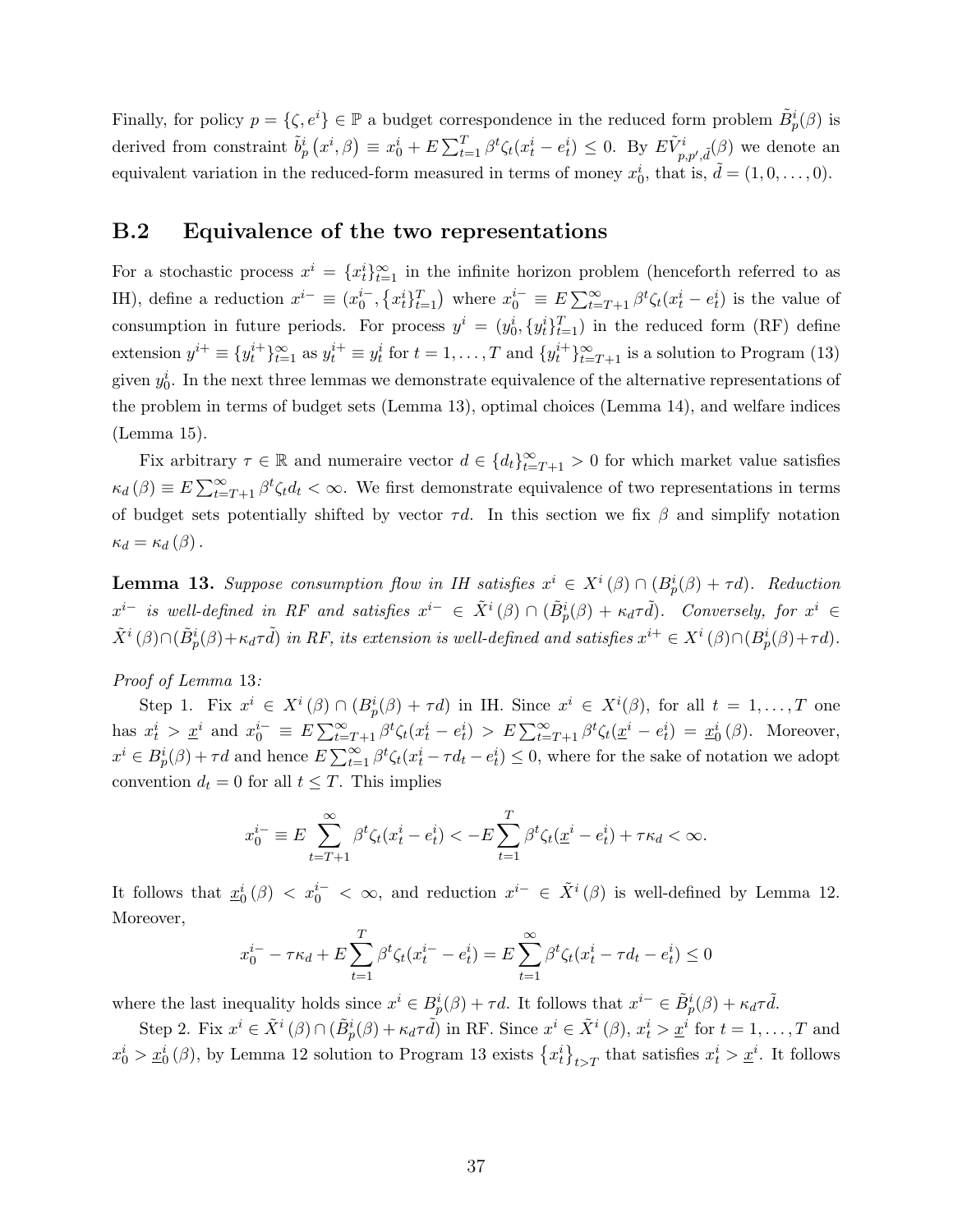Finally, for policy  $p = \{\zeta, e^i\} \in \mathbb{P}$  a budget correspondence in the reduced form problem  $\tilde{B}^i_p(\beta)$  is derived from constraint  $\tilde{b}_p^i(x^i, \beta) \equiv x_0^i + E \sum_{t=1}^T \beta^t \zeta_t(x_t^i - e_t^i) \leq 0$ . By  $E\tilde{V}^i_{p, p', \tilde{d}}(\beta)$  we denote an equivalent variation in the reduced-form measured in terms of money  $x_0^i$ , that is,  $\tilde{d} = (1, 0, \ldots, 0)$ .

## B.2 Equivalence of the two representations

For a stochastic process  $x^i = \{x_t^i\}_{t=1}^\infty$  in the infinite horizon problem (henceforth referred to as IH), define a reduction  $x^{i-} \equiv (x_0^{i-}, \{x_t^i\}_{t=1}^T)$  where  $x_0^{i-} \equiv E \sum_{t=T+1}^{\infty} \beta^t \zeta_t (x_t^i - e_t^i)$  is the value of consumption in future periods. For process  $y^i = (y_0^i, \{y_t^i\}_{t=1}^T)$  in the reduced form (RF) define extension  $y^{i+} \equiv \{y_t^{i+}\}_{t=1}^{\infty}$  as  $y_t^{i+} \equiv y_t^i$  for  $t = 1, \ldots, T$  and  $\{y_t^{i+}\}_{t=T+1}^{\infty}$  is a solution to Program (13) given  $y_0^i$ . In the next three lemmas we demonstrate equivalence of the alternative representations of the problem in terms of budget sets (Lemma 13), optimal choices (Lemma 14), and welfare indices (Lemma 15).

Fix arbitrary  $\tau \in \mathbb{R}$  and numeraire vector  $d \in \{d_t\}_{t=T+1}^{\infty} > 0$  for which market value satisfies  $\kappa_d(\beta) \equiv E \sum_{t=T+1}^{\infty} \beta^t \zeta_t d_t < \infty$ . We first demonstrate equivalence of two representations in terms of budget sets potentially shifted by vector  $\tau d$ . In this section we fix  $\beta$  and simplify notation  $\kappa_d = \kappa_d(\beta)$ .

**Lemma 13.** Suppose consumption flow in IH satisfies  $x^i \in X^i(\beta) \cap (B_p^i(\beta) + \tau d)$ . Reduction  $x^{i-}$  is well-defined in RF and satisfies  $x^{i-} \in \tilde{X}^i(\beta) \cap (\tilde{B}_p^i(\beta) + \kappa_d \tau \tilde{d})$ . Conversely, for  $x^i \in$  $\tilde{X}^i(\beta) \cap (\tilde{B}^i_p(\beta) + \kappa_d \tau \tilde{d})$  in RF, its extension is well-defined and satisfies  $x^{i+} \in X^i(\beta) \cap (B^i_p(\beta) + \tau d)$ .

#### Proof of Lemma 13:

Step 1. Fix  $x^i \in X^i(\beta) \cap (B_p^i(\beta) + \tau d)$  in IH. Since  $x^i \in X^i(\beta)$ , for all  $t = 1, ..., T$  one has  $x_t^i > \underline{x}^i$  and  $x_0^{i-} \equiv E \sum_{t=T+1}^{\infty} \beta^t \zeta_t (x_t^i - e_t^i) > E \sum_{t=T+1}^{\infty} \beta^t \zeta_t (\underline{x}^i - e_t^i) = \underline{x}_0^i (\beta)$ . Moreover,  $x^i \in B_p^i(\beta) + \tau d$  and hence  $E \sum_{t=1}^{\infty} \beta^t \zeta_t (x_t^i - \tau d_t - e_t^i) \leq 0$ , where for the sake of notation we adopt convention  $d_t = 0$  for all  $t \leq T$ . This implies

$$
x_0^{i-} \equiv E \sum_{t=T+1}^{\infty} \beta^t \zeta_t (x_t^i - e_t^i) < -E \sum_{t=1}^T \beta^t \zeta_t (\underline{x}^i - e_t^i) + \tau \kappa_d < \infty.
$$

It follows that  $\underline{x}_0^i(\beta) < x_0^{i-} < \infty$ , and reduction  $x^{i-} \in \tilde{X}^i(\beta)$  is well-defined by Lemma 12. Moreover,

$$
x_0^{i-} - \tau \kappa_d + E \sum_{t=1}^T \beta^t \zeta_t (x_t^{i-} - e_t^i) = E \sum_{t=1}^\infty \beta^t \zeta_t (x_t^i - \tau d_t - e_t^i) \le 0
$$

where the last inequality holds since  $x^i \in B_p^i(\beta) + \tau d$ . It follows that  $x^{i-} \in \tilde{B}_p^i(\beta) + \kappa_d \tau d$ .

Step 2. Fix  $x^i \in \tilde{X}^i(\beta) \cap (\tilde{B}_p^i(\beta) + \kappa_d \tau \tilde{d})$  in RF. Since  $x^i \in \tilde{X}^i(\beta)$ ,  $x_t^i > \underline{x}^i$  for  $t = 1, \ldots, T$  and  $x_0^i > \underline{x}_0^i(\beta)$ , by Lemma 12 solution to Program 13 exists  $\{x_t^i\}_{t>T}$  that satisfies  $x_t^i > \underline{x}^i$ . It follows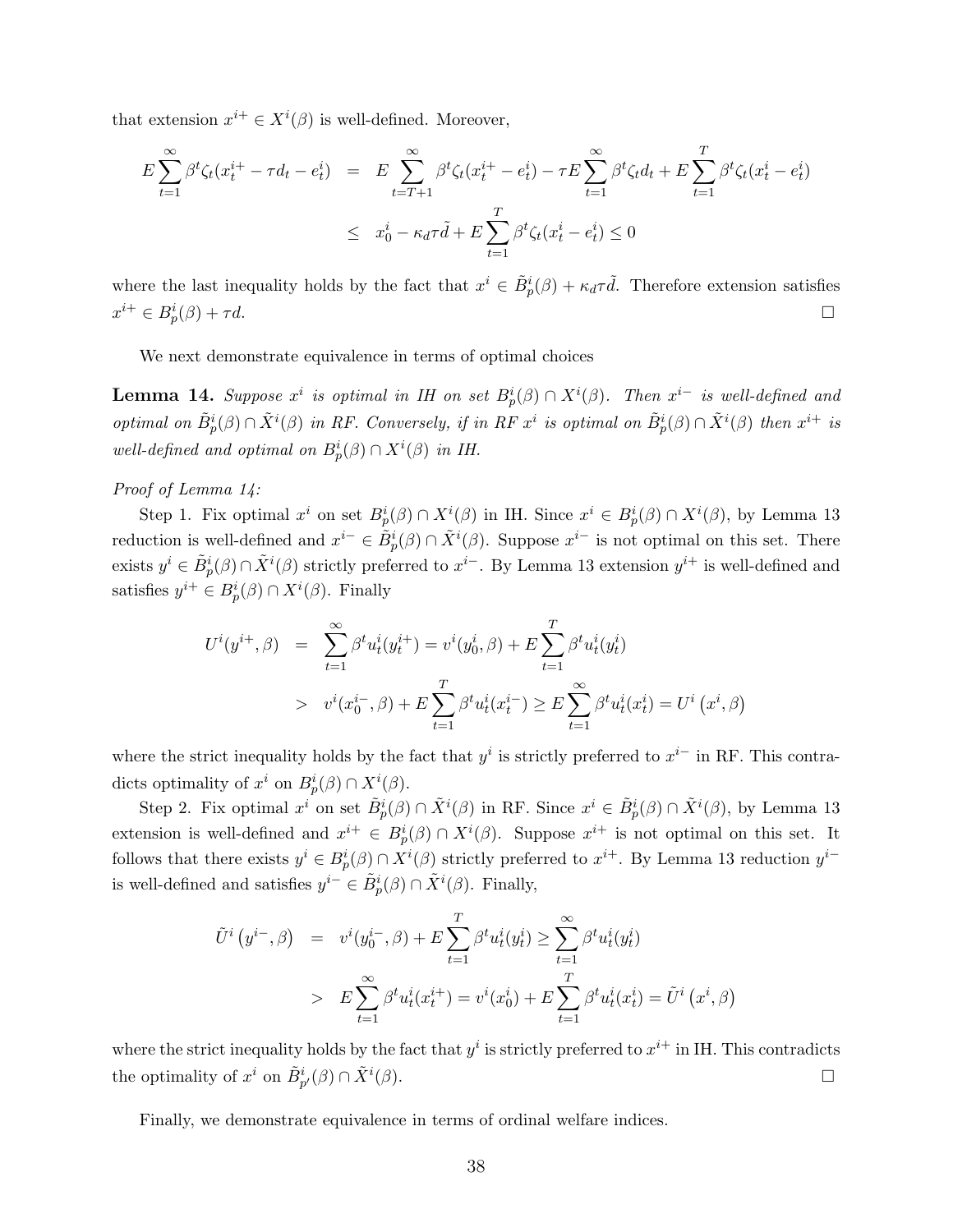that extension  $x^{i+} \in X^i(\beta)$  is well-defined. Moreover,

$$
E \sum_{t=1}^{\infty} \beta^t \zeta_t (x_t^{i+} - \tau d_t - e_t^i) = E \sum_{t=T+1}^{\infty} \beta^t \zeta_t (x_t^{i+} - e_t^i) - \tau E \sum_{t=1}^{\infty} \beta^t \zeta_t d_t + E \sum_{t=1}^T \beta^t \zeta_t (x_t^i - e_t^i)
$$
  

$$
\leq x_0^i - \kappa_d \tau d + E \sum_{t=1}^T \beta^t \zeta_t (x_t^i - e_t^i) \leq 0
$$

where the last inequality holds by the fact that  $x^i \in \tilde{B}_p^i(\beta) + \kappa_d \tau \tilde{d}$ . Therefore extension satisfies  $x^{i+} \in B_p^i(\beta) + \tau d.$ 

We next demonstrate equivalence in terms of optimal choices

**Lemma 14.** Suppose  $x^i$  is optimal in IH on set  $B_p^i(\beta) \cap X^i(\beta)$ . Then  $x^{i-}$  is well-defined and optimal on  $\tilde{B}^i_p(\beta) \cap \tilde{X}^i(\beta)$  in RF. Conversely, if in RF  $x^i$  is optimal on  $\tilde{B}^i_p(\beta) \cap \tilde{X}^i(\beta)$  then  $x^{i+}$  is well-defined and optimal on  $B_p^i(\beta) \cap X^i(\beta)$  in IH.

#### Proof of Lemma 14:

Step 1. Fix optimal  $x^i$  on set  $B_p^i(\beta) \cap X^i(\beta)$  in IH. Since  $x^i \in B_p^i(\beta) \cap X^i(\beta)$ , by Lemma 13 reduction is well-defined and  $x^{i-} \in \tilde{B}^i_p(\beta) \cap \tilde{X}^i(\beta)$ . Suppose  $x^{i-}$  is not optimal on this set. There exists  $y^i \in \tilde{B}^i_p(\beta) \cap \tilde{X}^i(\beta)$  strictly preferred to  $x^{i-}$ . By Lemma 13 extension  $y^{i+}$  is well-defined and satisfies  $y^{i+} \in B_p^i(\beta) \cap X^i(\beta)$ . Finally

$$
U^{i}(y^{i+},\beta) = \sum_{t=1}^{\infty} \beta^{t} u_{t}^{i}(y_{t}^{i+}) = v^{i}(y_{0}^{i},\beta) + E \sum_{t=1}^{T} \beta^{t} u_{t}^{i}(y_{t}^{i})
$$
  
>  $v^{i}(x_{0}^{i-},\beta) + E \sum_{t=1}^{T} \beta^{t} u_{t}^{i}(x_{t}^{i-}) \ge E \sum_{t=1}^{\infty} \beta^{t} u_{t}^{i}(x_{t}^{i}) = U^{i}(x^{i},\beta)$ 

where the strict inequality holds by the fact that  $y^i$  is strictly preferred to  $x^{i-}$  in RF. This contradicts optimality of  $x^i$  on  $B_p^i(\beta) \cap X^i(\beta)$ .

Step 2. Fix optimal  $x^i$  on set  $\tilde{B}^i_p(\beta) \cap \tilde{X}^i(\beta)$  in RF. Since  $x^i \in \tilde{B}^i_p(\beta) \cap \tilde{X}^i(\beta)$ , by Lemma 13 extension is well-defined and  $x^{i+} \in B_p^i(\beta) \cap X^i(\beta)$ . Suppose  $x^{i+}$  is not optimal on this set. It follows that there exists  $y^i \in B_p^i(\beta) \cap X^i(\beta)$  strictly preferred to  $x^{i+}$ . By Lemma 13 reduction  $y^{i-}$ is well-defined and satisfies  $y^{i-} \in \tilde{B}_p^i(\beta) \cap \tilde{X}^i(\beta)$ . Finally,

$$
\tilde{U}^{i}(y^{i-},\beta) = v^{i}(y_{0}^{i-},\beta) + E \sum_{t=1}^{T} \beta^{t} u_{t}^{i}(y_{t}^{i}) \ge \sum_{t=1}^{\infty} \beta^{t} u_{t}^{i}(y_{t}^{i})
$$
\n
$$
> E \sum_{t=1}^{\infty} \beta^{t} u_{t}^{i}(x_{t}^{i+}) = v^{i}(x_{0}^{i}) + E \sum_{t=1}^{T} \beta^{t} u_{t}^{i}(x_{t}^{i}) = \tilde{U}^{i}(x^{i},\beta)
$$

where the strict inequality holds by the fact that  $y^i$  is strictly preferred to  $x^{i+}$  in IH. This contradicts the optimality of  $x^i$  on  $\tilde{B}_{p'}^i(\beta) \cap \tilde{X}^i$  $(\beta)$ .

Finally, we demonstrate equivalence in terms of ordinal welfare indices.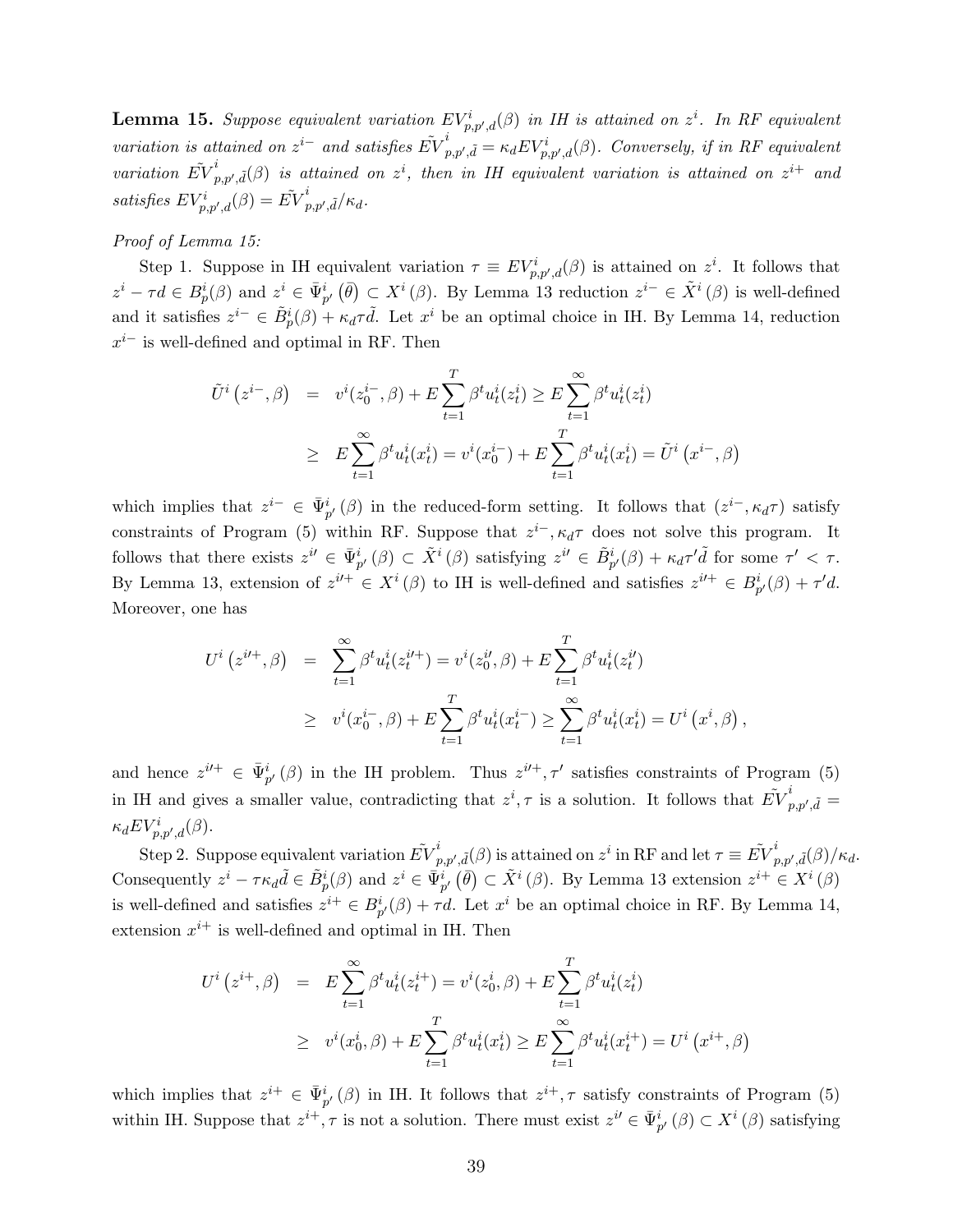**Lemma 15.** Suppose equivalent variation  $EV_{p,p',d}^i(\beta)$  in IH is attained on  $z^i$ . In RF equivalent variation is attained on  $z^{i-}$  and satisfies  $\tilde{EV}_{i}^{i}$  $p_{p,p',\tilde{d}}^i = \kappa_d E V_{p,p',d}^i(\beta)$ . Conversely, if in RF equivalent variation  $\tilde{EV}^i_i$  $p_{p,p',\tilde{d}}^i(\beta)$  is attained on  $z^i$ , then in IH equivalent variation is attained on  $z^{i+1}$  and satisfies  $EV_{p,p',d}^{i}(\beta) = \tilde{EV}_{p}^{i}$  $_{p,p',\tilde{d}}^{^{\prime}}/\kappa_{d}.$ 

#### Proof of Lemma 15:

Step 1. Suppose in IH equivalent variation  $\tau \equiv EV^i_{p,p',d}(\beta)$  is attained on  $z^i$ . It follows that  $z^i - \tau d \in B_p^i(\beta)$  and  $z^i \in \bar{\Psi}_{p'}^i(\bar{\theta}) \subset X^i(\beta)$ . By Lemma 13 reduction  $z^{i-} \in \tilde{X}^i(\beta)$  is well-defined and it satisfies  $z^{i-} \in \tilde{B}^i_p(\beta) + \kappa_d \tau \tilde{d}$ . Let  $x^i$  be an optimal choice in IH. By Lemma 14, reduction  $x^{i-}$  is well-defined and optimal in RF. Then

$$
\tilde{U}^{i}(z^{i-},\beta) = v^{i}(z_{0}^{i-},\beta) + E \sum_{t=1}^{T} \beta^{t} u_{t}^{i}(z_{t}^{i}) \ge E \sum_{t=1}^{\infty} \beta^{t} u_{t}^{i}(z_{t}^{i})
$$
\n
$$
\ge E \sum_{t=1}^{\infty} \beta^{t} u_{t}^{i}(x_{t}^{i}) = v^{i}(x_{0}^{i-}) + E \sum_{t=1}^{T} \beta^{t} u_{t}^{i}(x_{t}^{i}) = \tilde{U}^{i}(x^{i-},\beta)
$$

which implies that  $z^{i-} \in \bar{\Psi}_{p'}^{i}(\beta)$  in the reduced-form setting. It follows that  $(z^{i-}, \kappa_d \tau)$  satisfy constraints of Program (5) within RF. Suppose that  $z^{i-}$ ,  $\kappa_d \tau$  does not solve this program. It follows that there exists  $z^{i'} \in \bar{\Psi}_{p'}^{i}(\beta) \subset \tilde{X}^{i}(\beta)$  satisfying  $z^{i'} \in \tilde{B}_{p'}^{i}(\beta) + \kappa_d \tau' \tilde{d}$  for some  $\tau' < \tau$ . By Lemma 13, extension of  $z^{i\prime+} \in X^i(\beta)$  to IH is well-defined and satisfies  $z^{i\prime+} \in B_{p'}^i(\beta) + \tau' d$ . Moreover, one has

$$
U^{i}(z^{i\prime +},\beta) = \sum_{t=1}^{\infty} \beta^{t} u_{t}^{i}(z_{t}^{i\prime +}) = v^{i}(z_{0}^{i\prime},\beta) + E \sum_{t=1}^{T} \beta^{t} u_{t}^{i}(z_{t}^{i\prime})
$$
  
 
$$
\geq v^{i}(x_{0}^{i-},\beta) + E \sum_{t=1}^{T} \beta^{t} u_{t}^{i}(x_{t}^{i-}) \geq \sum_{t=1}^{\infty} \beta^{t} u_{t}^{i}(x_{t}^{i}) = U^{i}(x^{i},\beta)
$$

,

and hence  $z^{i\prime+} \in \bar{\Psi}_{p'}^{i}(\beta)$  in the IH problem. Thus  $z^{i\prime+}, \tau'$  satisfies constraints of Program (5) in IH and gives a smaller value, contradicting that  $z^i, \tau$  is a solution. It follows that  $\tilde{EV}^i_t$  $_{p,p',\tilde{d}}^{^{\prime}}=% \frac{\left( \alpha_{\phi}\right) ^{p^{\prime}}}{\left( \alpha_{\phi}\right) ^{p^{\prime}}}=\frac{\left( \alpha_{\phi}\right) ^{p^{\prime}}}{\left( \alpha_{\phi}\right) ^{p^{\prime}}}$  $\kappa_d E V^i_{p,p',d}(\beta)$ .

Step 2. Suppose equivalent variation  $\tilde{EV}_{r}^{i}$  $p_{p,p',\tilde{d}}(\beta)$  is attained on  $z^i$  in RF and let  $\tau \equiv \tilde{EV}_{p}^i$  $_{p,p',\tilde{d}}^{\prime}(\beta)/\kappa_{d}.$ Consequently  $z^i - \tau \kappa_d \tilde{d} \in \tilde{B}^i_p(\beta)$  and  $z^i \in \bar{\Psi}^i_{p'}(\bar{\theta}) \subset \tilde{X}^i(\beta)$ . By Lemma 13 extension  $z^{i+} \in X^i(\beta)$ is well-defined and satisfies  $z^{i+} \in B_{p'}^i(\beta) + \tau d$ . Let  $x^i$  be an optimal choice in RF. By Lemma 14, extension  $x^{i+}$  is well-defined and optimal in IH. Then

$$
U^{i}(z^{i+},\beta) = E \sum_{t=1}^{\infty} \beta^{t} u_{t}^{i}(z_{t}^{i+}) = v^{i}(z_{0}^{i},\beta) + E \sum_{t=1}^{T} \beta^{t} u_{t}^{i}(z_{t}^{i})
$$
  
\n
$$
\geq v^{i}(x_{0}^{i},\beta) + E \sum_{t=1}^{T} \beta^{t} u_{t}^{i}(x_{t}^{i}) \geq E \sum_{t=1}^{\infty} \beta^{t} u_{t}^{i}(x_{t}^{i+}) = U^{i}(x^{i+},\beta)
$$

which implies that  $z^{i+} \in \bar{\Psi}_{p'}^{i}(\beta)$  in IH. It follows that  $z^{i+}, \tau$  satisfy constraints of Program (5) within IH. Suppose that  $z^{i+}, \tau$  is not a solution. There must exist  $z^{i'} \in \bar{\Psi}_{p'}^{i}(\beta) \subset X^{i}(\beta)$  satisfying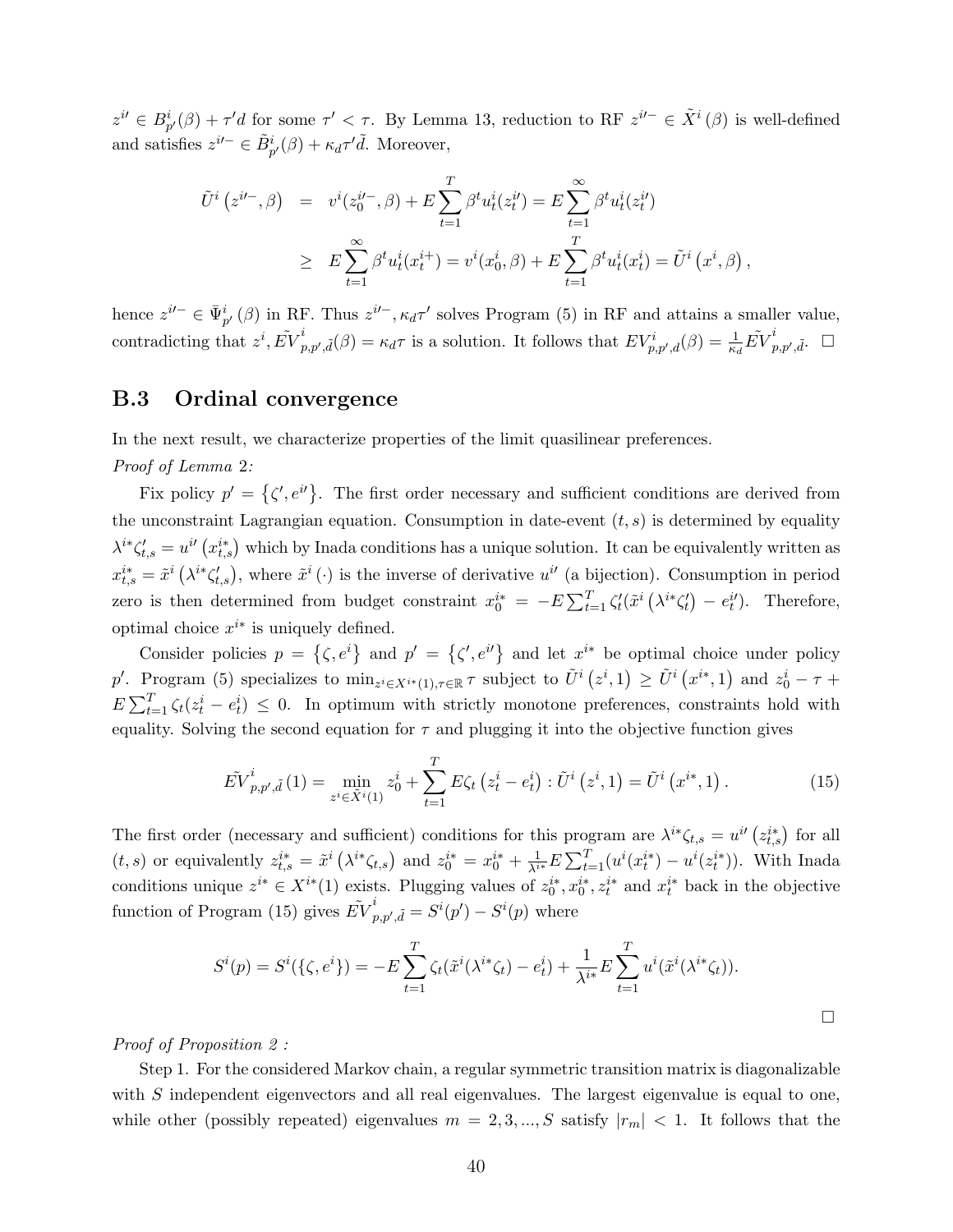$z^{i\ell} \in B_{p'}^i(\beta) + \tau'd$  for some  $\tau' < \tau$ . By Lemma 13, reduction to RF  $z^{i\ell -} \in \tilde{X}^i(\beta)$  is well-defined and satisfies  $z^{i\prime -} \in \tilde{B}_{p'}^{i}(\beta) + \kappa_d \tau' \tilde{d}$ . Moreover,

$$
\tilde{U}^{i}(z^{i\prime-},\beta) = v^{i}(z_{0}^{i\prime-},\beta) + E \sum_{t=1}^{T} \beta^{t} u_{t}^{i}(z_{t}^{i\prime}) = E \sum_{t=1}^{\infty} \beta^{t} u_{t}^{i}(z_{t}^{i\prime})
$$
\n
$$
\geq E \sum_{t=1}^{\infty} \beta^{t} u_{t}^{i}(x_{t}^{i+}) = v^{i}(x_{0}^{i},\beta) + E \sum_{t=1}^{T} \beta^{t} u_{t}^{i}(x_{t}^{i}) = \tilde{U}^{i}(x^{i},\beta),
$$

hence  $z^{i-} \in \bar{\Psi}_{p'}^{i}(\beta)$  in RF. Thus  $z^{i-}, \kappa_d \tau'$  solves Program (5) in RF and attains a smaller value, contradicting that  $z^i, \tilde{EV}^i_r$  $p_{p,p',\tilde{d}}(\beta) = \kappa_d \tau$  is a solution. It follows that  $EV_{p,p',d}^i(\beta) = \frac{1}{\kappa_d} \tilde{EV}_p^i$  $_{p,p',\tilde{d}}^{i}$ .  $\Box$ 

#### B.3 Ordinal convergence

In the next result, we characterize properties of the limit quasilinear preferences.

Proof of Lemma 2:

Fix policy  $p' = \{\zeta', e^{i\ell}\}\.$  The first order necessary and sufficient conditions are derived from the unconstraint Lagrangian equation. Consumption in date-event  $(t, s)$  is determined by equality  $\lambda^{i*}\zeta_{t,s}'=u^{i'}(x_{t,s}^{i*})$  which by Inada conditions has a unique solution. It can be equivalently written as  $x_{t,s}^{i*} = \tilde{x}^i (\lambda^{i*} \zeta_{t,s}'),$  where  $\tilde{x}^i (\cdot)$  is the inverse of derivative  $u^{i'}$  (a bijection). Consumption in period zero is then determined from budget constraint  $x_0^{i*} = -E \sum_{t=1}^T \zeta'_t (\tilde{x}^i (\lambda^{i*} \zeta'_t) - e_t^{i}).$  Therefore, optimal choice  $x^{i*}$  is uniquely defined.

Consider policies  $p = \{\zeta, e^i\}$  and  $p' = \{\zeta', e^{i'}\}$  and let  $x^{i*}$  be optimal choice under policy p'. Program (5) specializes to  $\min_{z^i \in X^{i*}(1), \tau \in \mathbb{R}} \tau$  subject to  $\tilde{U}^i(z^i, 1) \ge \tilde{U}^i(x^{i*}, 1)$  and  $z_0^i - \tau +$  $E\sum_{t=1}^{T}\zeta_t(z_t^i - e_t^i) \leq 0$ . In optimum with strictly monotone preferences, constraints hold with equality. Solving the second equation for  $\tau$  and plugging it into the objective function gives

$$
\tilde{EV}_{p,p',\tilde{d}}^{i}(1) = \min_{z^{i} \in \tilde{X}^{i}(1)} z_{0}^{i} + \sum_{t=1}^{T} E \zeta_{t} \left(z_{t}^{i} - e_{t}^{i}\right) : \tilde{U}^{i}\left(z^{i},1\right) = \tilde{U}^{i}\left(x^{i*},1\right). \tag{15}
$$

The first order (necessary and sufficient) conditions for this program are  $\lambda^{i*}\zeta_{t,s} = u^{i'}(z_{t,s}^{i*})$  for all (*t*, *s*) or equivalently  $z_{t,s}^{i*} = \tilde{x}^i \left( \lambda^{i*} \zeta_{t,s} \right)$  and  $z_0^{i*} = x_0^{i*} + \frac{1}{\lambda^{i*}} E \sum_{t=1}^T (u^i (x_t^{i*}) - u^i (z_t^{i*}))$ . With Inada conditions unique  $z^{i*} \in X^{i*}(1)$  exists. Plugging values of  $z_0^{i*}, x_0^{i*}, z_t^{i*}$  and  $x_t^{i*}$  back in the objective function of Program (15) gives  $\tilde{EV}^i_r$  $p_{p,p',\tilde{d}}^i = S^i(p') - S^i(p)$  where

$$
S^{i}(p) = S^{i}(\{\zeta, e^{i}\}) = -E \sum_{t=1}^{T} \zeta_{t}(\tilde{x}^{i}(\lambda^{i*} \zeta_{t}) - e_{t}^{i}) + \frac{1}{\lambda^{i*}} E \sum_{t=1}^{T} u^{i}(\tilde{x}^{i}(\lambda^{i*} \zeta_{t})).
$$

#### Proof of Proposition 2 :

Step 1. For the considered Markov chain, a regular symmetric transition matrix is diagonalizable with S independent eigenvectors and all real eigenvalues. The largest eigenvalue is equal to one, while other (possibly repeated) eigenvalues  $m = 2, 3, ..., S$  satisfy  $|r_m| < 1$ . It follows that the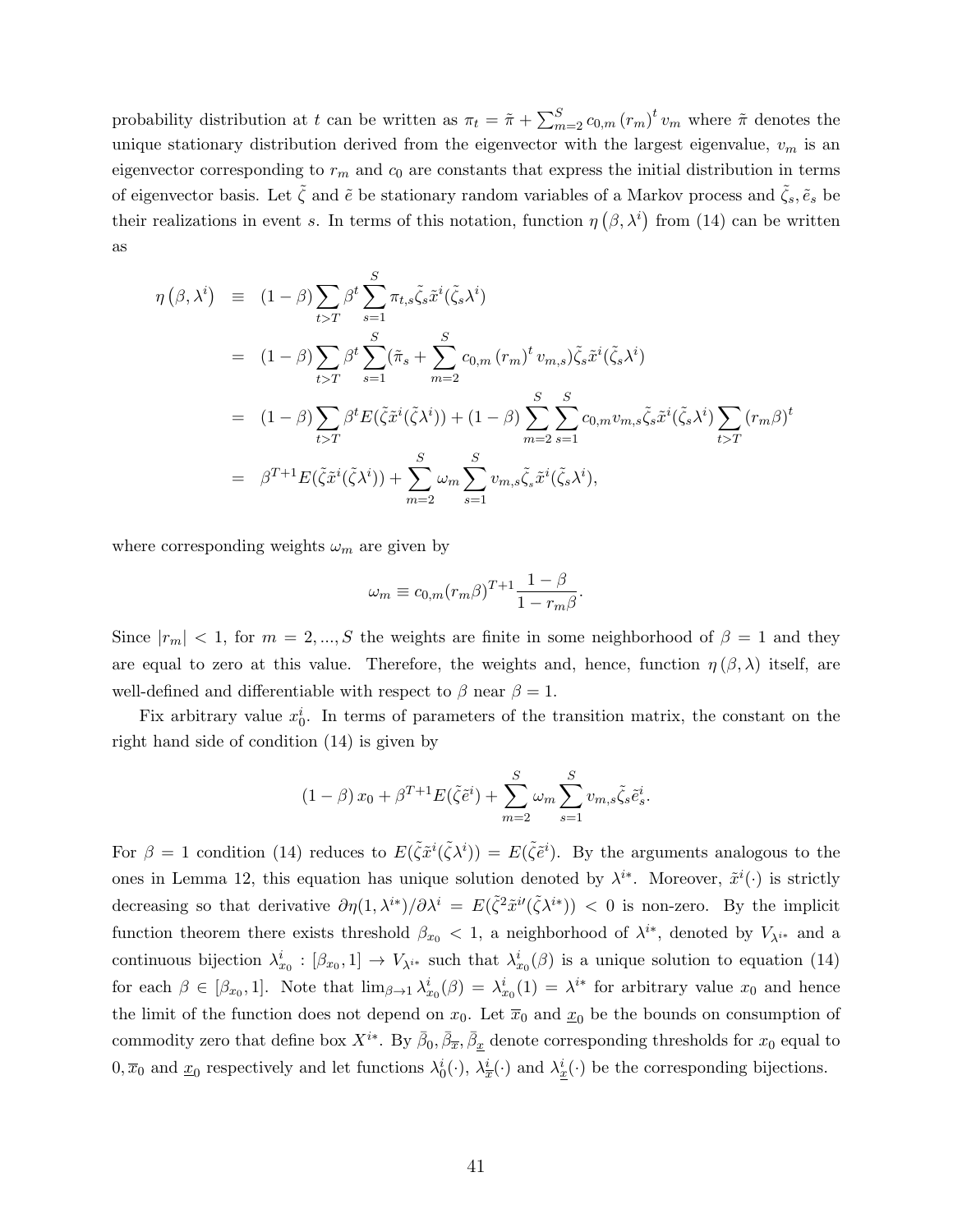probability distribution at t can be written as  $\pi_t = \tilde{\pi} + \sum_{m=2}^{S} c_{0,m} (r_m)^t v_m$  where  $\tilde{\pi}$  denotes the unique stationary distribution derived from the eigenvector with the largest eigenvalue,  $v_m$  is an eigenvector corresponding to  $r_m$  and  $c_0$  are constants that express the initial distribution in terms of eigenvector basis. Let  $\zeta$  and  $\tilde{e}$  be stationary random variables of a Markov process and  $\zeta_s$ ,  $\tilde{e}_s$  be their realizations in event s. In terms of this notation, function  $\eta(\beta,\lambda^i)$  from (14) can be written as

$$
\eta(\beta, \lambda^{i}) = (1 - \beta) \sum_{t>T} \beta^{t} \sum_{s=1}^{S} \pi_{t,s} \tilde{\zeta}_{s} \tilde{x}^{i} (\tilde{\zeta}_{s} \lambda^{i})
$$
  
\n
$$
= (1 - \beta) \sum_{t>T} \beta^{t} \sum_{s=1}^{S} (\tilde{\pi}_{s} + \sum_{m=2}^{S} c_{0,m} (r_{m})^{t} v_{m,s}) \tilde{\zeta}_{s} \tilde{x}^{i} (\tilde{\zeta}_{s} \lambda^{i})
$$
  
\n
$$
= (1 - \beta) \sum_{t>T} \beta^{t} E(\tilde{\zeta} \tilde{x}^{i} (\tilde{\zeta} \lambda^{i})) + (1 - \beta) \sum_{m=2}^{S} \sum_{s=1}^{S} c_{0,m} v_{m,s} \tilde{\zeta}_{s} \tilde{x}^{i} (\tilde{\zeta}_{s} \lambda^{i}) \sum_{t>T} (r_{m} \beta)^{t}
$$
  
\n
$$
= \beta^{T+1} E(\tilde{\zeta} \tilde{x}^{i} (\tilde{\zeta} \lambda^{i})) + \sum_{m=2}^{S} \omega_{m} \sum_{s=1}^{S} v_{m,s} \tilde{\zeta}_{s} \tilde{x}^{i} (\tilde{\zeta}_{s} \lambda^{i}),
$$

where corresponding weights  $\omega_m$  are given by

$$
\omega_m \equiv c_{0,m} (r_m \beta)^{T+1} \frac{1-\beta}{1-r_m \beta}.
$$

Since  $|r_m| < 1$ , for  $m = 2, ..., S$  the weights are finite in some neighborhood of  $\beta = 1$  and they are equal to zero at this value. Therefore, the weights and, hence, function  $\eta(\beta,\lambda)$  itself, are well-defined and differentiable with respect to  $\beta$  near  $\beta = 1$ .

Fix arbitrary value  $x_0^i$ . In terms of parameters of the transition matrix, the constant on the right hand side of condition (14) is given by

$$
(1 - \beta) x_0 + \beta^{T+1} E(\tilde{\zeta} \tilde{e}^i) + \sum_{m=2}^{S} \omega_m \sum_{s=1}^{S} v_{m,s} \tilde{\zeta}_s \tilde{e}^i_s.
$$

For  $\beta = 1$  condition (14) reduces to  $E(\tilde{\zeta} \tilde{x}^i(\tilde{\zeta} \lambda^i)) = E(\tilde{\zeta} \tilde{e}^i)$ . By the arguments analogous to the ones in Lemma 12, this equation has unique solution denoted by  $\lambda^{i*}$ . Moreover,  $\tilde{x}^i(\cdot)$  is strictly decreasing so that derivative  $\partial \eta(1, \lambda^{i*})/\partial \lambda^{i} = E(\tilde{\zeta}^{2} \tilde{x}^{i'}(\tilde{\zeta} \lambda^{i*})) < 0$  is non-zero. By the implicit function theorem there exists threshold  $\beta_{x_0} < 1$ , a neighborhood of  $\lambda^{i*}$ , denoted by  $V_{\lambda^{i*}}$  and a continuous bijection  $\lambda_{x_0}^i : [\beta_{x_0}, 1] \to V_{\lambda^{i*}}$  such that  $\lambda_{x_0}^i(\beta)$  is a unique solution to equation (14) for each  $\beta \in [\beta_{x_0}, 1]$ . Note that  $\lim_{\beta \to 1} \lambda_{x_0}^i(\beta) = \lambda_{x_0}^i(1) = \lambda^{i*}$  for arbitrary value  $x_0$  and hence the limit of the function does not depend on  $x_0$ . Let  $\overline{x}_0$  and  $\underline{x}_0$  be the bounds on consumption of commodity zero that define box  $X^{i*}$ . By  $\bar{\beta}_0$ ,  $\bar{\beta}_{\overline{x}}$ ,  $\bar{\beta}_{\underline{x}}$  denote corresponding thresholds for  $x_0$  equal to  $0, \overline{x}_0$  and  $\underline{x}_0$  respectively and let functions  $\lambda_0^i(\cdot), \lambda_{\overline{x}}^i(\cdot)$  and  $\lambda_{\underline{x}}^i(\cdot)$  be the corresponding bijections.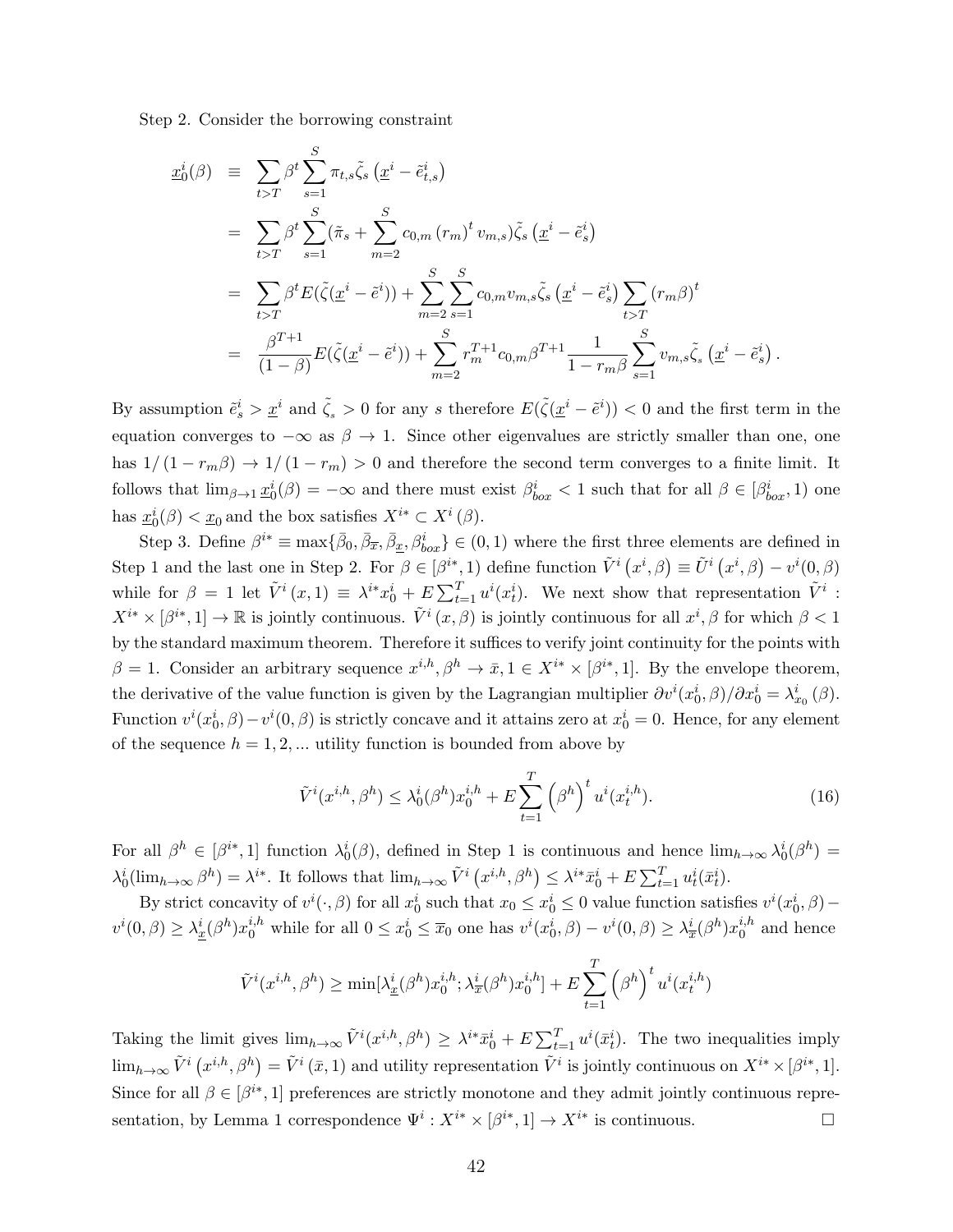Step 2. Consider the borrowing constraint

$$
\underline{x}_{0}^{i}(\beta) = \sum_{t>T} \beta^{t} \sum_{s=1}^{S} \pi_{t,s} \tilde{\zeta}_{s} (\underline{x}^{i} - \tilde{e}_{t,s}^{i})
$$
\n
$$
= \sum_{t>T} \beta^{t} \sum_{s=1}^{S} (\tilde{\pi}_{s} + \sum_{m=2}^{S} c_{0,m} (r_{m})^{t} v_{m,s}) \tilde{\zeta}_{s} (\underline{x}^{i} - \tilde{e}_{s}^{i})
$$
\n
$$
= \sum_{t>T} \beta^{t} E(\tilde{\zeta} (\underline{x}^{i} - \tilde{e}^{i})) + \sum_{m=2}^{S} \sum_{s=1}^{S} c_{0,m} v_{m,s} \tilde{\zeta}_{s} (\underline{x}^{i} - \tilde{e}_{s}^{i}) \sum_{t>T} (r_{m} \beta)^{t}
$$
\n
$$
= \frac{\beta^{T+1}}{(1-\beta)} E(\tilde{\zeta} (\underline{x}^{i} - \tilde{e}^{i})) + \sum_{m=2}^{S} r_{m}^{T+1} c_{0,m} \beta^{T+1} \frac{1}{1 - r_{m} \beta} \sum_{s=1}^{S} v_{m,s} \tilde{\zeta}_{s} (\underline{x}^{i} - \tilde{e}_{s}^{i}).
$$

By assumption  $\tilde{e}^i_s > \underline{x}^i$  and  $\tilde{\zeta}_s > 0$  for any s therefore  $E(\tilde{\zeta}(\underline{x}^i - \tilde{e}^i)) < 0$  and the first term in the equation converges to  $-\infty$  as  $\beta \to 1$ . Since other eigenvalues are strictly smaller than one, one has  $1/(1 - r_m \beta) \rightarrow 1/(1 - r_m) > 0$  and therefore the second term converges to a finite limit. It follows that  $\lim_{\beta\to 1}\underline{x}_0^i(\beta)=-\infty$  and there must exist  $\beta_{box}^i<1$  such that for all  $\beta\in[\beta_{box}^i,1)$  one has  $\underline{x}_0^i(\beta) < \underline{x}_0$  and the box satisfies  $X^{i*} \subset X^i(\beta)$ .

Step 3. Define  $\beta^{i*} \equiv \max\{\bar{\beta}_0, \bar{\beta}_{\overline{x}}, \bar{\beta}_{\underline{x}}, \beta_{box}^i\} \in (0, 1)$  where the first three elements are defined in Step 1 and the last one in Step 2. For  $\beta \in [\beta^{i*}, 1]$  define function  $\tilde{V}^i(x^i, \beta) \equiv \tilde{U}^i(x^i, \beta) - v^i(0, \beta)$ while for  $\beta = 1$  let  $\tilde{V}^i(x,1) \equiv \lambda^{i*}x_0^i + E \sum_{t=1}^T u^i(x_t^i)$ . We next show that representation  $\tilde{V}^i$ :  $X^{i*} \times [\beta^{i*}, 1] \to \mathbb{R}$  is jointly continuous.  $\tilde{V}^i(x, \beta)$  is jointly continuous for all  $x^i, \beta$  for which  $\beta < 1$ by the standard maximum theorem. Therefore it suffices to verify joint continuity for the points with  $\beta = 1$ . Consider an arbitrary sequence  $x^{i,h}, \beta^h \to \bar{x}, 1 \in X^{i*} \times [\beta^{i*}, 1]$ . By the envelope theorem, the derivative of the value function is given by the Lagrangian multiplier  $\partial v^i(x_0^i, \beta)/\partial x_0^i = \lambda_{x_0}^i(\beta)$ . Function  $v^i(x_0^i, \beta) - v^i(0, \beta)$  is strictly concave and it attains zero at  $x_0^i = 0$ . Hence, for any element of the sequence  $h = 1, 2, \dots$  utility function is bounded from above by

$$
\tilde{V}^{i}(x^{i,h},\beta^{h}) \leq \lambda_0^{i}(\beta^{h})x_0^{i,h} + E\sum_{t=1}^{T} (\beta^{h})^{t} u^{i}(x_t^{i,h}).
$$
\n(16)

For all  $\beta^h \in [\beta^{i*}, 1]$  function  $\lambda_0^i(\beta)$ , defined in Step 1 is continuous and hence  $\lim_{h\to\infty} \lambda_0^i(\beta^h)$  $\lambda_0^i(\lim_{h\to\infty}\beta^h)=\lambda^{i*}$ . It follows that  $\lim_{h\to\infty}\tilde{V}^i(x^{i,h},\beta^h)\leq \lambda^{i*}\bar{x}_0^i+E\sum_{t=1}^T u_t^i(\bar{x}_t^i)$ .

By strict concavity of  $v^i(\cdot,\beta)$  for all  $x_0^i$  such that  $x_0 \le x_0^i \le 0$  value function satisfies  $v^i(x_0^i,\beta)$  –  $v^i(0, \beta) \geq \lambda_{\underline{x}}^i(\beta^h) x_0^{i,h}$  while for all  $0 \leq x_0^i \leq \overline{x}_0$  one has  $v^i(x_0^i, \beta) - v^i(0, \beta) \geq \lambda_{\overline{x}}^i(\beta^h) x_0^{i,h}$  $_{0}^{i,n}$  and hence

$$
\tilde{V}^{i}(x^{i,h},\beta^h) \ge \min[\lambda_{\underline{x}}^{i}(\beta^h)x_0^{i,h};\lambda_{\overline{x}}^{i}(\beta^h)x_0^{i,h}] + E\sum_{t=1}^T (\beta^h)^t u^i(x_t^{i,h})
$$

Taking the limit gives  $\lim_{h\to\infty} \tilde{V}^i(x^{i,h},\beta^h) \geq \lambda^{i*}\bar{x}^i_0 + E \sum_{t=1}^T u^i(\bar{x}^i_t)$ . The two inequalities imply  $\lim_{h\to\infty} \tilde{V}^i\left(x^{i,h},\beta^h\right) = \tilde{V}^i\left(\bar{x},1\right)$  and utility representation  $\tilde{V}^i$  is jointly continuous on  $X^{i*} \times [\beta^{i*},1]$ . Since for all  $\beta \in [\beta^{i*}, 1]$  preferences are strictly monotone and they admit jointly continuous representation, by Lemma 1 correspondence  $\Psi^i: X^{i*} \times [\beta^{i*}, 1] \to X^{i*}$  is continuous.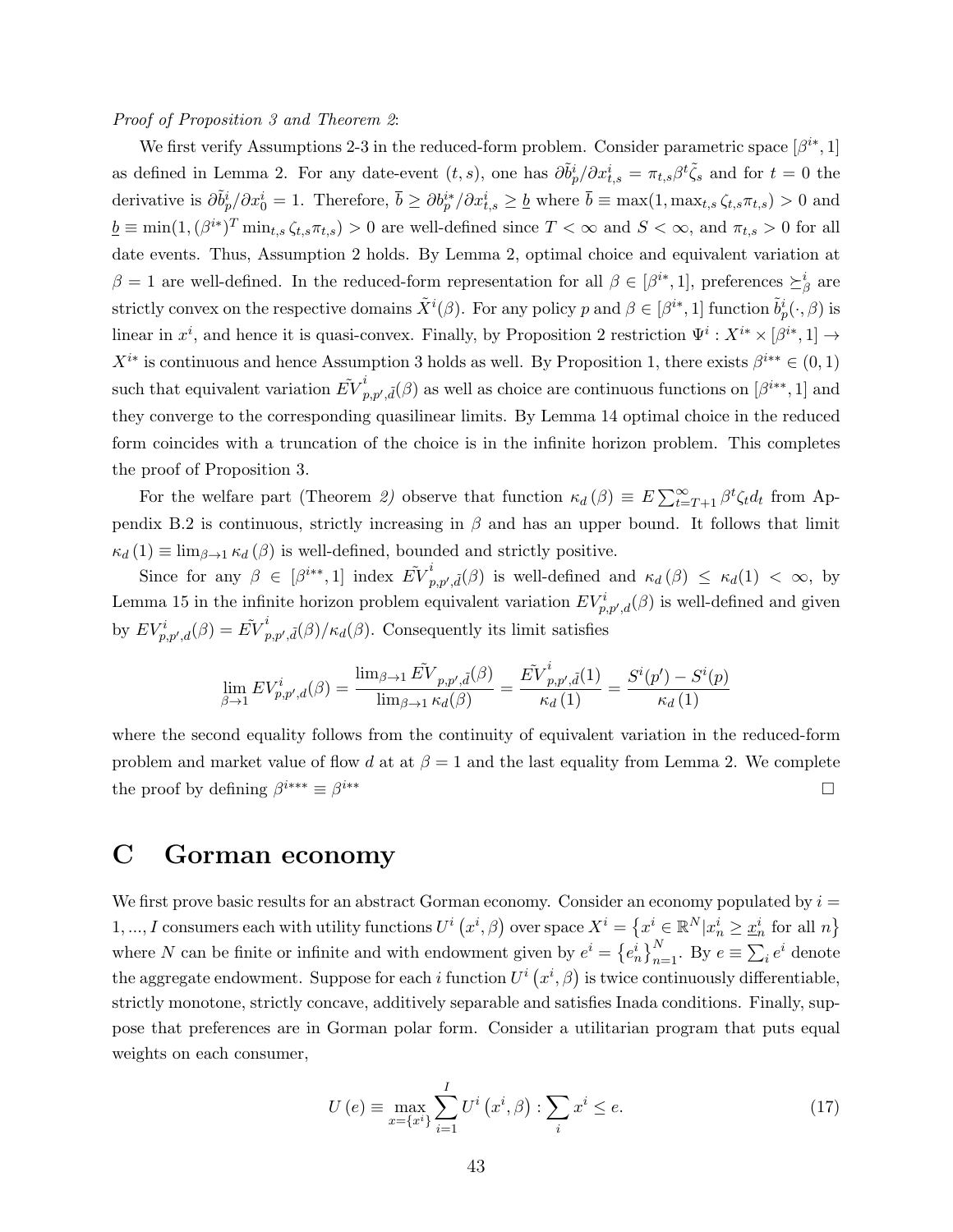#### Proof of Proposition 3 and Theorem 2:

We first verify Assumptions 2-3 in the reduced-form problem. Consider parametric space  $[\beta^{i*}, 1]$ as defined in Lemma 2. For any date-event  $(t, s)$ , one has  $\partial \tilde{b}_p^i / \partial x_{t,s}^i = \pi_{t,s} \beta^t \tilde{\zeta}_s$  and for  $t = 0$  the derivative is  $\partial \tilde{b}^i_p / \partial x^i_0 = 1$ . Therefore,  $\bar{b} \ge \partial b^{i*}_p / \partial x^i_{t,s} \ge \underline{b}$  where  $\bar{b} \equiv \max(1, \max_{t,s} \zeta_{t,s} \pi_{t,s}) > 0$  and  $\underline{b} \equiv \min(1, (\beta^{i*})^T \min_{t,s} \zeta_{t,s} \pi_{t,s}) > 0$  are well-defined since  $T < \infty$  and  $S < \infty$ , and  $\pi_{t,s} > 0$  for all date events. Thus, Assumption 2 holds. By Lemma 2, optimal choice and equivalent variation at  $\beta = 1$  are well-defined. In the reduced-form representation for all  $\beta \in [\beta^{i*}, 1]$ , preferences  $\succeq^i_{\beta}$  are strictly convex on the respective domains  $\tilde{X}^i(\beta)$ . For any policy p and  $\beta \in [\beta^{i*}, 1]$  function  $\tilde{b}_p^i(\cdot, \beta)$  is linear in  $x^i$ , and hence it is quasi-convex. Finally, by Proposition 2 restriction  $\Psi^i: X^{i*} \times [\beta^{i*}, 1] \to$  $X^{i*}$  is continuous and hence Assumption 3 holds as well. By Proposition 1, there exists  $\beta^{i**} \in (0,1)$ such that equivalent variation  $\tilde{EV}^i_r$  $p_{p,p',\tilde{d}}^i(\beta)$  as well as choice are continuous functions on  $[\beta^{i**}, 1]$  and they converge to the corresponding quasilinear limits. By Lemma 14 optimal choice in the reduced form coincides with a truncation of the choice is in the infinite horizon problem. This completes the proof of Proposition 3.

For the welfare part (Theorem 2) observe that function  $\kappa_d(\beta) \equiv E \sum_{t=T+1}^{\infty} \beta^t \zeta_t d_t$  from Appendix B.2 is continuous, strictly increasing in  $\beta$  and has an upper bound. It follows that limit  $\kappa_d$  (1)  $\equiv \lim_{\beta \to 1} \kappa_d(\beta)$  is well-defined, bounded and strictly positive.

Since for any  $\beta \in [\beta^{i*}, 1]$  index  $\tilde{EV}_i^i$  $_{p,p',\tilde{d}}^{\tilde{p}}(\beta)$  is well-defined and  $\kappa_d(\beta) \leq \kappa_d(1) < \infty$ , by Lemma 15 in the infinite horizon problem equivalent variation  $EV_{p,p',d}^{i}(\beta)$  is well-defined and given by  $EV_{p,p',d}^{i}(\beta) = \tilde{EV}_{p}^{i}$  $\int_{p,p',\tilde{d}}^{p}(\beta)/\kappa_{d}(\beta)$ . Consequently its limit satisfies

$$
\lim_{\beta \to 1} EV_{p,p',d}^i(\beta) = \frac{\lim_{\beta \to 1} \tilde{EV}_{p,p',\tilde{d}}(\beta)}{\lim_{\beta \to 1} \kappa_d(\beta)} = \frac{\tilde{EV}_{p,p',\tilde{d}}^i(1)}{\kappa_d(1)} = \frac{S^i(p') - S^i(p)}{\kappa_d(1)}
$$

where the second equality follows from the continuity of equivalent variation in the reduced-form problem and market value of flow d at at  $\beta = 1$  and the last equality from Lemma 2. We complete the proof by defining  $\beta^{i***} \equiv \beta$ i∗∗

## C Gorman economy

We first prove basic results for an abstract Gorman economy. Consider an economy populated by  $i =$  $1, ..., I$  consumers each with utility functions  $U^i(x^i, \beta)$  over space  $X^i = \{x^i \in \mathbb{R}^N | x^i_n \geq \underline{x}^i_n \text{ for all } n\}$ where N can be finite or infinite and with endowment given by  $e^i = \{e_n^i\}_{n=1}^N$ . By  $e \equiv \sum_i e^i$  denote the aggregate endowment. Suppose for each i function  $U^{i}(x^{i},\beta)$  is twice continuously differentiable, strictly monotone, strictly concave, additively separable and satisfies Inada conditions. Finally, suppose that preferences are in Gorman polar form. Consider a utilitarian program that puts equal weights on each consumer,

$$
U(e) \equiv \max_{x = \{x^i\}} \sum_{i=1}^I U^i(x^i, \beta) : \sum_i x^i \le e. \tag{17}
$$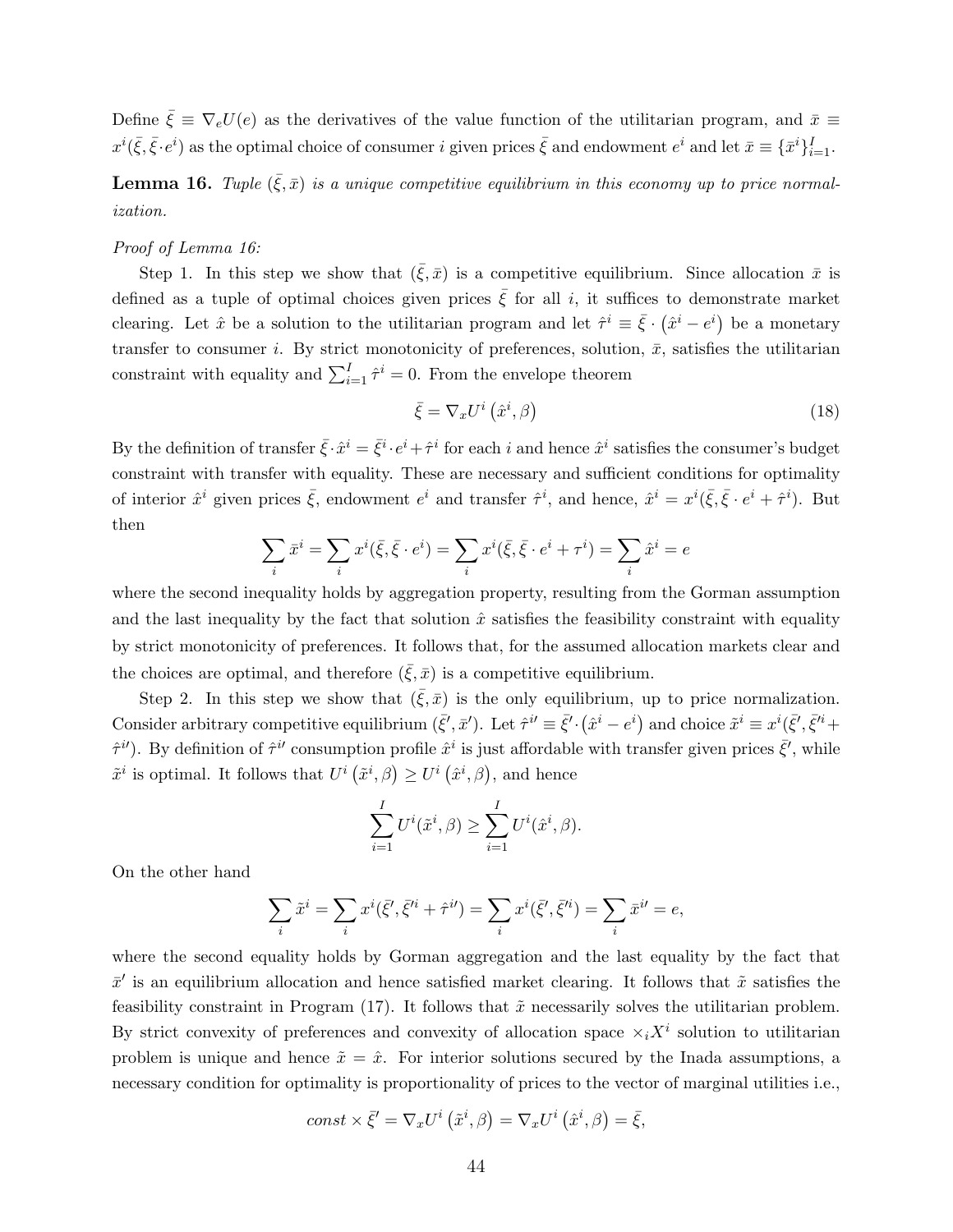Define  $\bar{\xi} \equiv \nabla_e U(e)$  as the derivatives of the value function of the utilitarian program, and  $\bar{x} \equiv$  $x^i(\bar{\xi}, \bar{\xi} \cdot e^i)$  as the optimal choice of consumer i given prices  $\bar{\xi}$  and endowment  $e^i$  and let  $\bar{x} \equiv \{\bar{x}^i\}_{i=1}^I$ .

**Lemma 16.** Tuple  $(\bar{\xi}, \bar{x})$  is a unique competitive equilibrium in this economy up to price normalization.

#### Proof of Lemma 16:

Step 1. In this step we show that  $(\bar{\xi}, \bar{x})$  is a competitive equilibrium. Since allocation  $\bar{x}$  is defined as a tuple of optimal choices given prices  $\bar{\xi}$  for all i, it suffices to demonstrate market clearing. Let  $\hat{x}$  be a solution to the utilitarian program and let  $\hat{\tau}^i \equiv \bar{\xi} \cdot (\hat{x}^i - e^i)$  be a monetary transfer to consumer i. By strict monotonicity of preferences, solution,  $\bar{x}$ , satisfies the utilitarian constraint with equality and  $\sum_{i=1}^{I} \hat{\tau}^i = 0$ . From the envelope theorem

$$
\bar{\xi} = \nabla_x U^i \left( \hat{x}^i, \beta \right) \tag{18}
$$

By the definition of transfer  $\bar{\xi} \cdot \hat{x}^i = \bar{\xi}^i \cdot e^i + \hat{\tau}^i$  for each i and hence  $\hat{x}^i$  satisfies the consumer's budget constraint with transfer with equality. These are necessary and sufficient conditions for optimality of interior  $\hat{x}^i$  given prices  $\bar{\xi}$ , endowment  $e^i$  and transfer  $\hat{\tau}^i$ , and hence,  $\hat{x}^i = x^i(\bar{\xi}, \bar{\xi} \cdot e^i + \hat{\tau}^i)$ . But then

$$
\sum_{i} \bar{x}^{i} = \sum_{i} x^{i} (\bar{\xi}, \bar{\xi} \cdot e^{i}) = \sum_{i} x^{i} (\bar{\xi}, \bar{\xi} \cdot e^{i} + \tau^{i}) = \sum_{i} \hat{x}^{i} = e
$$

where the second inequality holds by aggregation property, resulting from the Gorman assumption and the last inequality by the fact that solution  $\hat{x}$  satisfies the feasibility constraint with equality by strict monotonicity of preferences. It follows that, for the assumed allocation markets clear and the choices are optimal, and therefore  $(\bar{\xi}, \bar{x})$  is a competitive equilibrium.

Step 2. In this step we show that  $(\bar{\xi}, \bar{x})$  is the only equilibrium, up to price normalization. Consider arbitrary competitive equilibrium  $(\bar{\xi}', \bar{x}')$ . Let  $\hat{\tau}^i \equiv \bar{\xi}' \cdot (\hat{x}^i - e^i)$  and choice  $\tilde{x}^i \equiv x^i(\bar{\xi}', \bar{\xi}'^i +$  $\hat{\tau}^{i'}$ ). By definition of  $\hat{\tau}^{i'}$  consumption profile  $\hat{x}^i$  is just affordable with transfer given prices  $\bar{\xi}'$ , while  $\tilde{x}^i$  is optimal. It follows that  $U^i(\tilde{x}^i, \beta) \geq U^i(\hat{x}^i, \beta)$ , and hence

$$
\sum_{i=1}^{I} U^i(\tilde{x}^i, \beta) \ge \sum_{i=1}^{I} U^i(\hat{x}^i, \beta).
$$

On the other hand

$$
\sum_i \tilde{x}^i = \sum_i x^i(\bar{\xi}', \bar{\xi}'^i + \hat{\tau}^{i\prime}) = \sum_i x^i(\bar{\xi}', \bar{\xi}'^i) = \sum_i \bar{x}^{i\prime} = e,
$$

where the second equality holds by Gorman aggregation and the last equality by the fact that  $\bar{x}'$  is an equilibrium allocation and hence satisfied market clearing. It follows that  $\tilde{x}$  satisfies the feasibility constraint in Program  $(17)$ . It follows that  $\tilde{x}$  necessarily solves the utilitarian problem. By strict convexity of preferences and convexity of allocation space  $\times_i X^i$  solution to utilitarian problem is unique and hence  $\tilde{x} = \hat{x}$ . For interior solutions secured by the Inada assumptions, a necessary condition for optimality is proportionality of prices to the vector of marginal utilities i.e.,

$$
const\times\bar{\xi}'=\nabla_x U^i\left(\tilde{x}^i,\beta\right)=\nabla_x U^i\left(\hat{x}^i,\beta\right)=\bar{\xi},
$$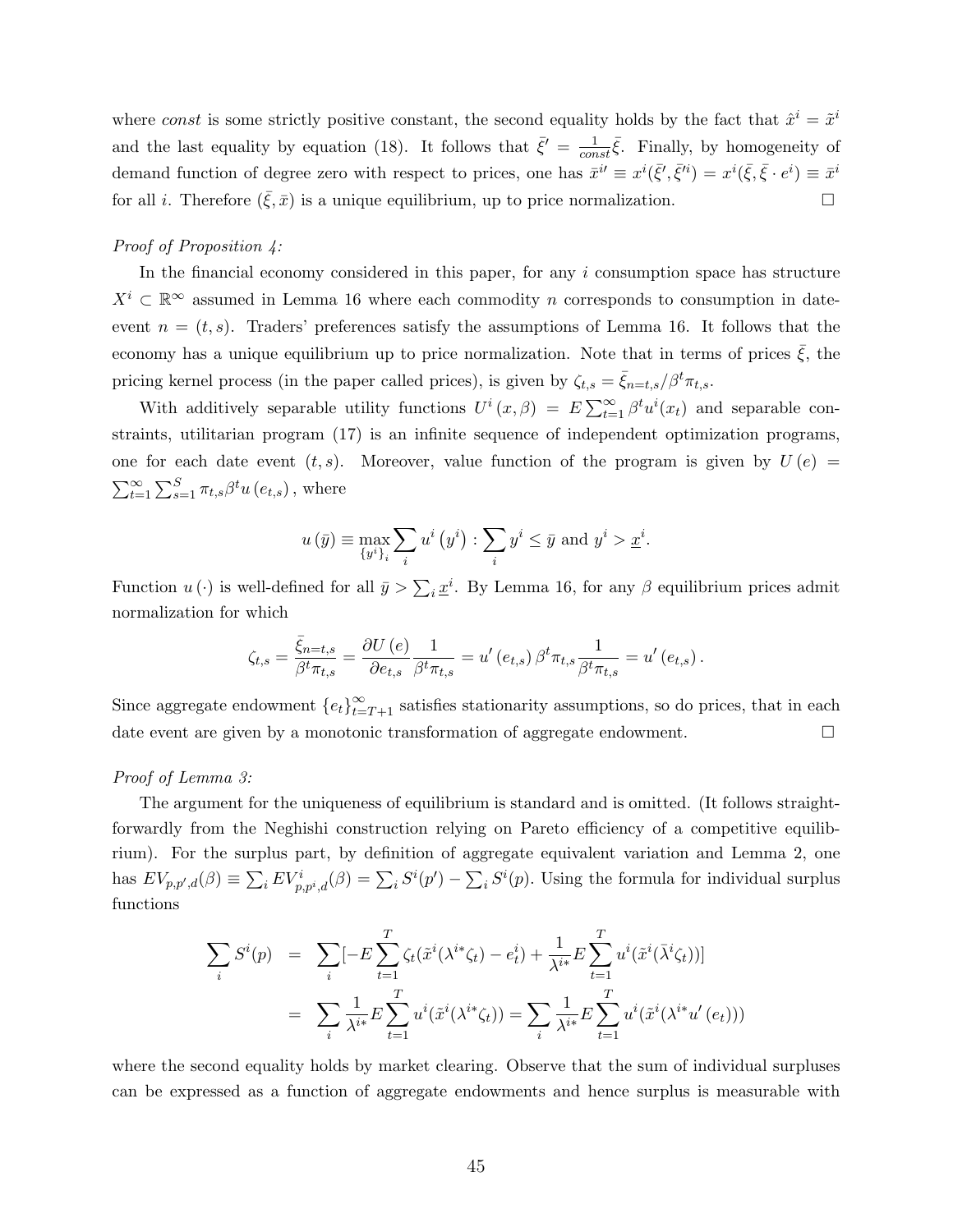where const is some strictly positive constant, the second equality holds by the fact that  $\hat{x}^i = \tilde{x}^i$ and the last equality by equation (18). It follows that  $\bar{\xi}' = \frac{1}{\epsilon_0}$  $\frac{1}{const}\bar{\xi}$ . Finally, by homogeneity of demand function of degree zero with respect to prices, one has  $\bar{x}^{i'} \equiv x^{i}(\bar{\xi}', \bar{\xi}^{i}) = x^{i}(\bar{\xi}, \bar{\xi} \cdot e^{i}) \equiv \bar{x}^{i'}$ for all *i*. Therefore  $(\bar{\xi}, \bar{x})$  is a unique equilibrium, up to price normalization.

#### Proof of Proposition 4:

In the financial economy considered in this paper, for any  $i$  consumption space has structure  $X^i \subset \mathbb{R}^\infty$  assumed in Lemma 16 where each commodity n corresponds to consumption in dateevent  $n = (t, s)$ . Traders' preferences satisfy the assumptions of Lemma 16. It follows that the economy has a unique equilibrium up to price normalization. Note that in terms of prices  $\xi$ , the pricing kernel process (in the paper called prices), is given by  $\zeta_{t,s} = \bar{\zeta}_{n=t,s}/\beta^t \pi_{t,s}$ .

With additively separable utility functions  $U^i(x, \beta) = E \sum_{t=1}^{\infty} \beta^t u^i(x_t)$  and separable constraints, utilitarian program (17) is an infinite sequence of independent optimization programs, one for each date event  $(t, s)$ . Moreover, value function of the program is given by  $U(e)$  =  $\sum_{t=1}^{\infty}\sum_{s=1}^{S}\pi_{t,s}\beta^{t}u\left(e_{t,s}\right)$ , where

$$
u(\bar{y}) \equiv \max_{\{y^i\}_i} \sum_i u^i(y^i) : \sum_i y^i \leq \bar{y}
$$
 and  $y^i > \underline{x}^i$ .

Function  $u(\cdot)$  is well-defined for all  $\bar{y} > \sum_i \underline{x}^i$ . By Lemma 16, for any  $\beta$  equilibrium prices admit normalization for which

$$
\zeta_{t,s}=\frac{\bar{\xi}_{n=t,s}}{\beta^t\pi_{t,s}}=\frac{\partial U\left(e\right)}{\partial e_{t,s}}\frac{1}{\beta^t\pi_{t,s}}=u'\left(e_{t,s}\right)\beta^t\pi_{t,s}\frac{1}{\beta^t\pi_{t,s}}=u'\left(e_{t,s}\right).
$$

Since aggregate endowment  ${e_t}_{t=T+1}^{\infty}$  satisfies stationarity assumptions, so do prices, that in each date event are given by a monotonic transformation of aggregate endowment.

#### Proof of Lemma 3:

The argument for the uniqueness of equilibrium is standard and is omitted. (It follows straightforwardly from the Neghishi construction relying on Pareto efficiency of a competitive equilibrium). For the surplus part, by definition of aggregate equivalent variation and Lemma 2, one has  $EV_{p,p',d}(\beta) \equiv \sum_i EV_{p,p^i,d}^i(\beta) = \sum_i S^i(p') - \sum_i S^i(p)$ . Using the formula for individual surplus functions

$$
\sum_{i} S^{i}(p) = \sum_{i} [-E \sum_{t=1}^{T} \zeta_{t}(\tilde{x}^{i}(\lambda^{i*} \zeta_{t}) - e_{t}^{i}) + \frac{1}{\lambda^{i*}} E \sum_{t=1}^{T} u^{i}(\tilde{x}^{i}(\bar{\lambda}^{i} \zeta_{t}))]
$$
  

$$
= \sum_{i} \frac{1}{\lambda^{i*}} E \sum_{t=1}^{T} u^{i}(\tilde{x}^{i}(\lambda^{i*} \zeta_{t})) = \sum_{i} \frac{1}{\lambda^{i*}} E \sum_{t=1}^{T} u^{i}(\tilde{x}^{i}(\lambda^{i*} u'(e_{t})))
$$

where the second equality holds by market clearing. Observe that the sum of individual surpluses can be expressed as a function of aggregate endowments and hence surplus is measurable with